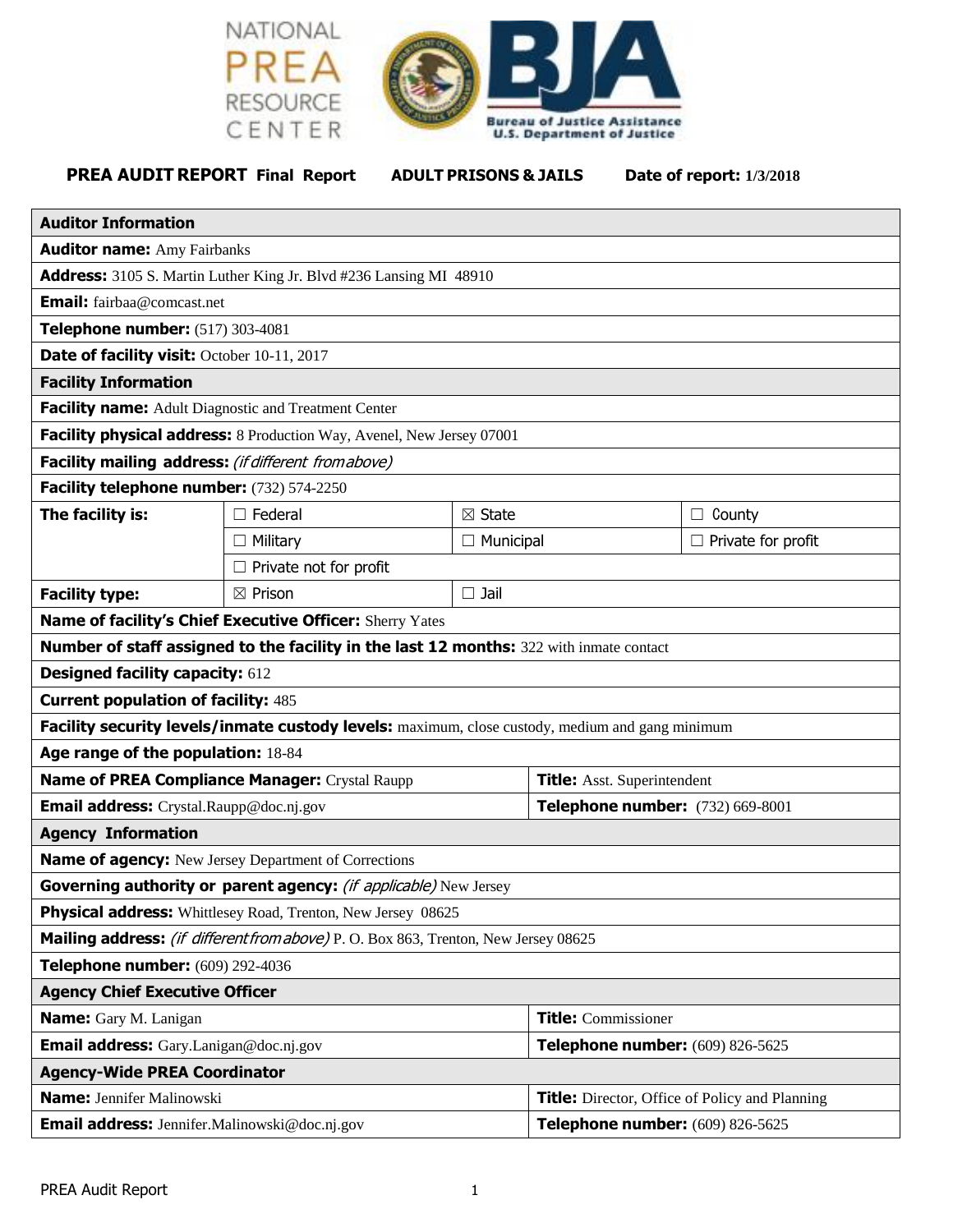



**PREA AUDIT REPORT Final Report ADULT PRISONS & JAILS Date of report: 1/3/2018**

| <b>Auditor Information</b>                                                                      |                    |                                                       |                                    |                           |
|-------------------------------------------------------------------------------------------------|--------------------|-------------------------------------------------------|------------------------------------|---------------------------|
| <b>Auditor name: Amy Fairbanks</b>                                                              |                    |                                                       |                                    |                           |
| <b>Address:</b> 3105 S. Martin Luther King Jr. Blvd #236 Lansing MI 48910                       |                    |                                                       |                                    |                           |
| <b>Email:</b> fairbaa@comcast.net                                                               |                    |                                                       |                                    |                           |
| Telephone number: (517) 303-4081                                                                |                    |                                                       |                                    |                           |
| Date of facility visit: October 10-11, 2017                                                     |                    |                                                       |                                    |                           |
| <b>Facility Information</b>                                                                     |                    |                                                       |                                    |                           |
| Facility name: Adult Diagnostic and Treatment Center                                            |                    |                                                       |                                    |                           |
| Facility physical address: 8 Production Way, Avenel, New Jersey 07001                           |                    |                                                       |                                    |                           |
| Facility mailing address: (if different fromabove)                                              |                    |                                                       |                                    |                           |
| Facility telephone number: (732) 574-2250                                                       |                    |                                                       |                                    |                           |
| The facility is:                                                                                | $\Box$ Federal     | $\boxtimes$ State                                     |                                    | $\Box$ County             |
|                                                                                                 | $\Box$ Military    | $\Box$ Municipal                                      |                                    | $\Box$ Private for profit |
| Private not for profit                                                                          |                    |                                                       |                                    |                           |
| <b>Facility type:</b>                                                                           | $\boxtimes$ Prison | $\Box$ Jail                                           |                                    |                           |
| Name of facility's Chief Executive Officer: Sherry Yates                                        |                    |                                                       |                                    |                           |
| Number of staff assigned to the facility in the last 12 months: 322 with inmate contact         |                    |                                                       |                                    |                           |
| <b>Designed facility capacity: 612</b>                                                          |                    |                                                       |                                    |                           |
| <b>Current population of facility: 485</b>                                                      |                    |                                                       |                                    |                           |
| Facility security levels/inmate custody levels: maximum, close custody, medium and gang minimum |                    |                                                       |                                    |                           |
| Age range of the population: 18-84                                                              |                    |                                                       |                                    |                           |
| Name of PREA Compliance Manager: Crystal Raupp                                                  |                    |                                                       | <b>Title:</b> Asst. Superintendent |                           |
| Email address: Crystal.Raupp@doc.nj.gov                                                         |                    |                                                       | Telephone number: (732) 669-8001   |                           |
| <b>Agency Information</b>                                                                       |                    |                                                       |                                    |                           |
| <b>Name of agency:</b> New Jersey Department of Corrections                                     |                    |                                                       |                                    |                           |
| Governing authority or parent agency: (if applicable) New Jersey                                |                    |                                                       |                                    |                           |
| Physical address: Whittlesey Road, Trenton, New Jersey 08625                                    |                    |                                                       |                                    |                           |
| Mailing address: (if different from above) P. O. Box 863, Trenton, New Jersey 08625             |                    |                                                       |                                    |                           |
| Telephone number: (609) 292-4036                                                                |                    |                                                       |                                    |                           |
| <b>Agency Chief Executive Officer</b>                                                           |                    |                                                       |                                    |                           |
| Name: Gary M. Lanigan                                                                           |                    |                                                       | <b>Title:</b> Commissioner         |                           |
| Email address: Gary.Lanigan@doc.nj.gov                                                          |                    |                                                       | Telephone number: (609) 826-5625   |                           |
| <b>Agency-Wide PREA Coordinator</b>                                                             |                    |                                                       |                                    |                           |
| <b>Name:</b> Jennifer Malinowski                                                                |                    | <b>Title:</b> Director, Office of Policy and Planning |                                    |                           |
| Telephone number: (609) 826-5625<br>Email address: Jennifer.Malinowski@doc.nj.gov               |                    |                                                       |                                    |                           |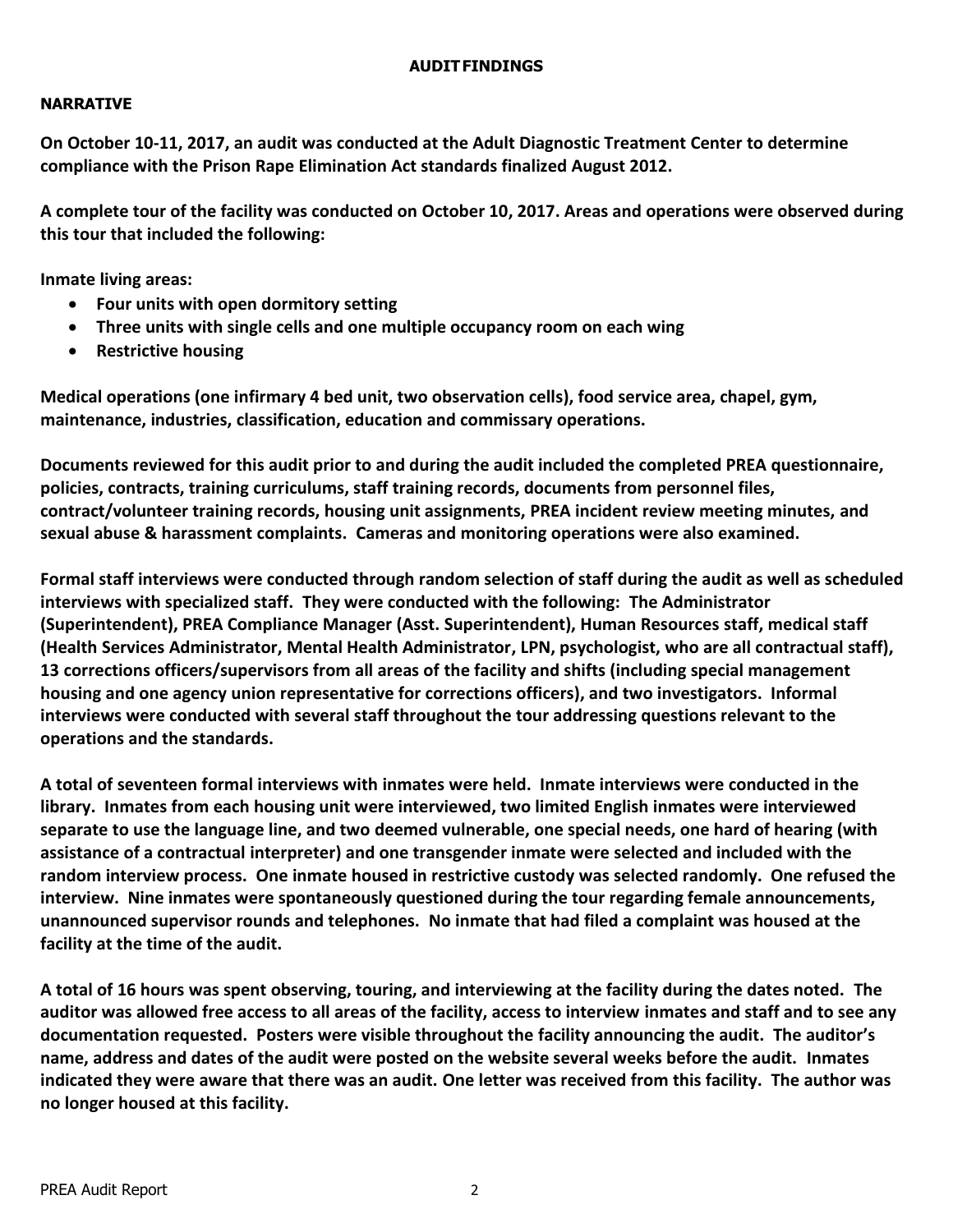#### **AUDITFINDINGS**

#### **NARRATIVE**

**On October 10-11, 2017, an audit was conducted at the Adult Diagnostic Treatment Center to determine compliance with the Prison Rape Elimination Act standards finalized August 2012.** 

**A complete tour of the facility was conducted on October 10, 2017. Areas and operations were observed during this tour that included the following:**

**Inmate living areas:**

- **Four units with open dormitory setting**
- **Three units with single cells and one multiple occupancy room on each wing**
- **•** Restrictive housing

**Medical operations (one infirmary 4 bed unit, two observation cells), food service area, chapel, gym, maintenance, industries, classification, education and commissary operations.**

**Documents reviewed for this audit prior to and during the audit included the completed PREA questionnaire, policies, contracts, training curriculums, staff training records, documents from personnel files, contract/volunteer training records, housing unit assignments, PREA incident review meeting minutes, and sexual abuse & harassment complaints. Cameras and monitoring operations were also examined.**

**Formal staff interviews were conducted through random selection of staff during the audit as well as scheduled interviews with specialized staff. They were conducted with the following: The Administrator (Superintendent), PREA Compliance Manager (Asst. Superintendent), Human Resources staff, medical staff (Health Services Administrator, Mental Health Administrator, LPN, psychologist, who are all contractual staff), 13 corrections officers/supervisors from all areas of the facility and shifts (including special management housing and one agency union representative for corrections officers), and two investigators. Informal interviews were conducted with several staff throughout the tour addressing questions relevant to the operations and the standards.**

**A total of seventeen formal interviews with inmates were held. Inmate interviews were conducted in the library. Inmates from each housing unit were interviewed, two limited English inmates were interviewed separate to use the language line, and two deemed vulnerable, one special needs, one hard of hearing (with assistance of a contractual interpreter) and one transgender inmate were selected and included with the random interview process. One inmate housed in restrictive custody was selected randomly. One refused the interview. Nine inmates were spontaneously questioned during the tour regarding female announcements, unannounced supervisor rounds and telephones. No inmate that had filed a complaint was housed at the facility at the time of the audit.**

**A total of 16 hours was spent observing, touring, and interviewing at the facility during the dates noted. The auditor was allowed free access to all areas of the facility, access to interview inmates and staff and to see any documentation requested. Posters were visible throughout the facility announcing the audit. The auditor's name, address and dates of the audit were posted on the website several weeks before the audit. Inmates indicated they were aware that there was an audit. One letter was received from this facility. The author was no longer housed at this facility.**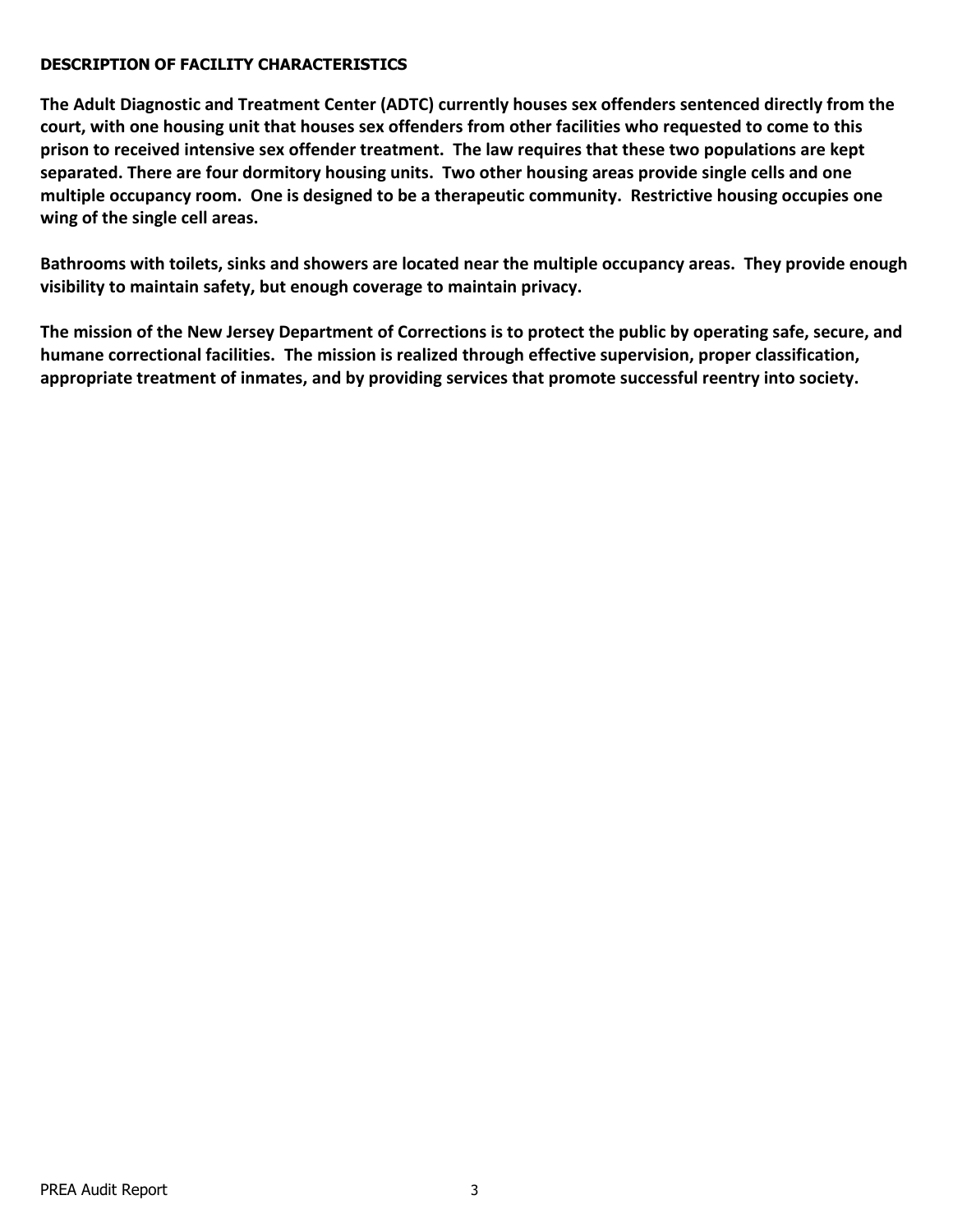#### **DESCRIPTION OF FACILITY CHARACTERISTICS**

**The Adult Diagnostic and Treatment Center (ADTC) currently houses sex offenders sentenced directly from the court, with one housing unit that houses sex offenders from other facilities who requested to come to this prison to received intensive sex offender treatment. The law requires that these two populations are kept separated. There are four dormitory housing units. Two other housing areas provide single cells and one multiple occupancy room. One is designed to be a therapeutic community. Restrictive housing occupies one wing of the single cell areas.** 

**Bathrooms with toilets, sinks and showers are located near the multiple occupancy areas. They provide enough visibility to maintain safety, but enough coverage to maintain privacy.** 

**The mission of the New Jersey Department of Corrections is to protect the public by operating safe, secure, and humane correctional facilities. The mission is realized through effective supervision, proper classification, appropriate treatment of inmates, and by providing services that promote successful reentry into society.**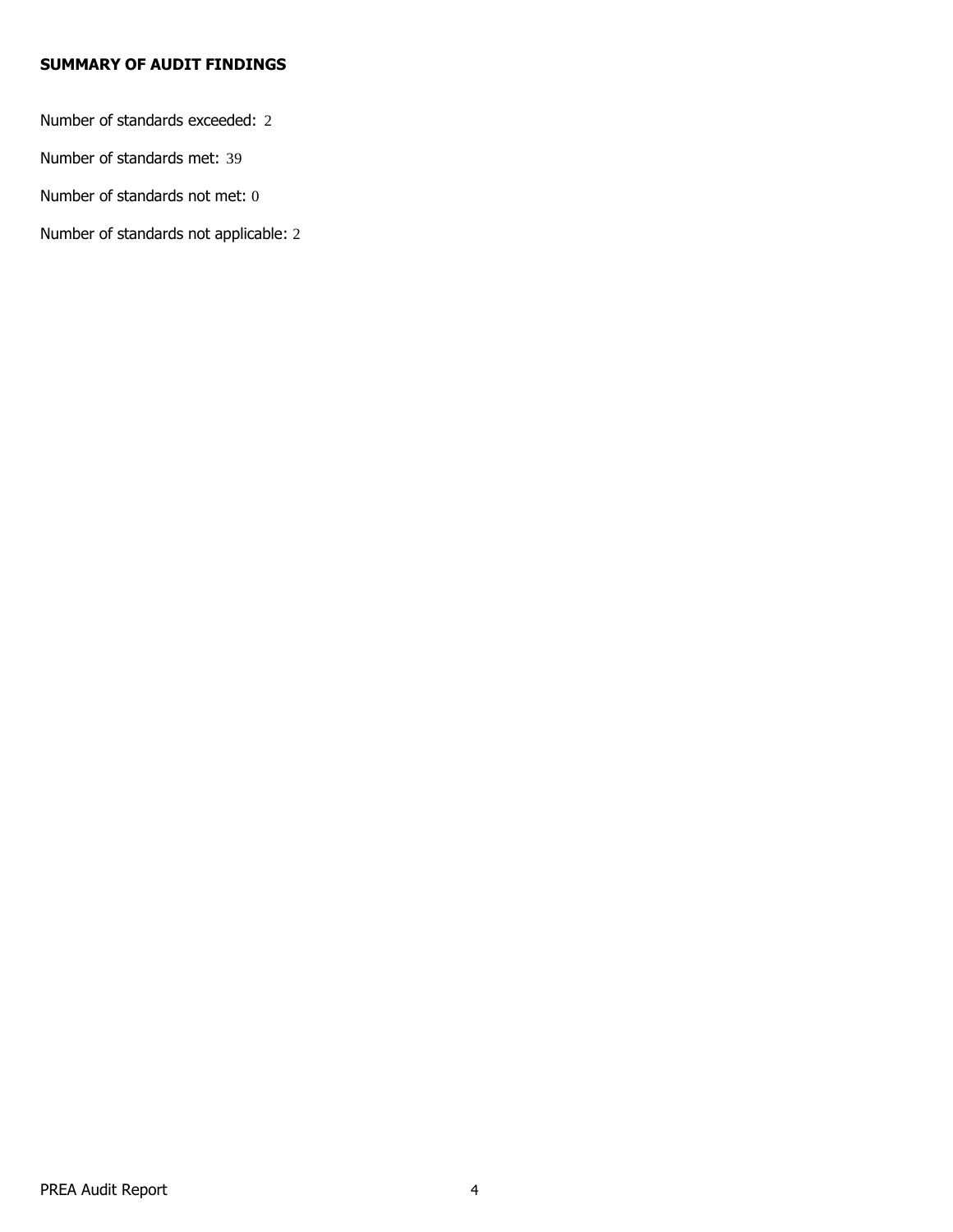## **SUMMARY OF AUDIT FINDINGS**

Number of standards exceeded: 2

Number of standards met: 39

Number of standards not met: 0

Number of standards not applicable: 2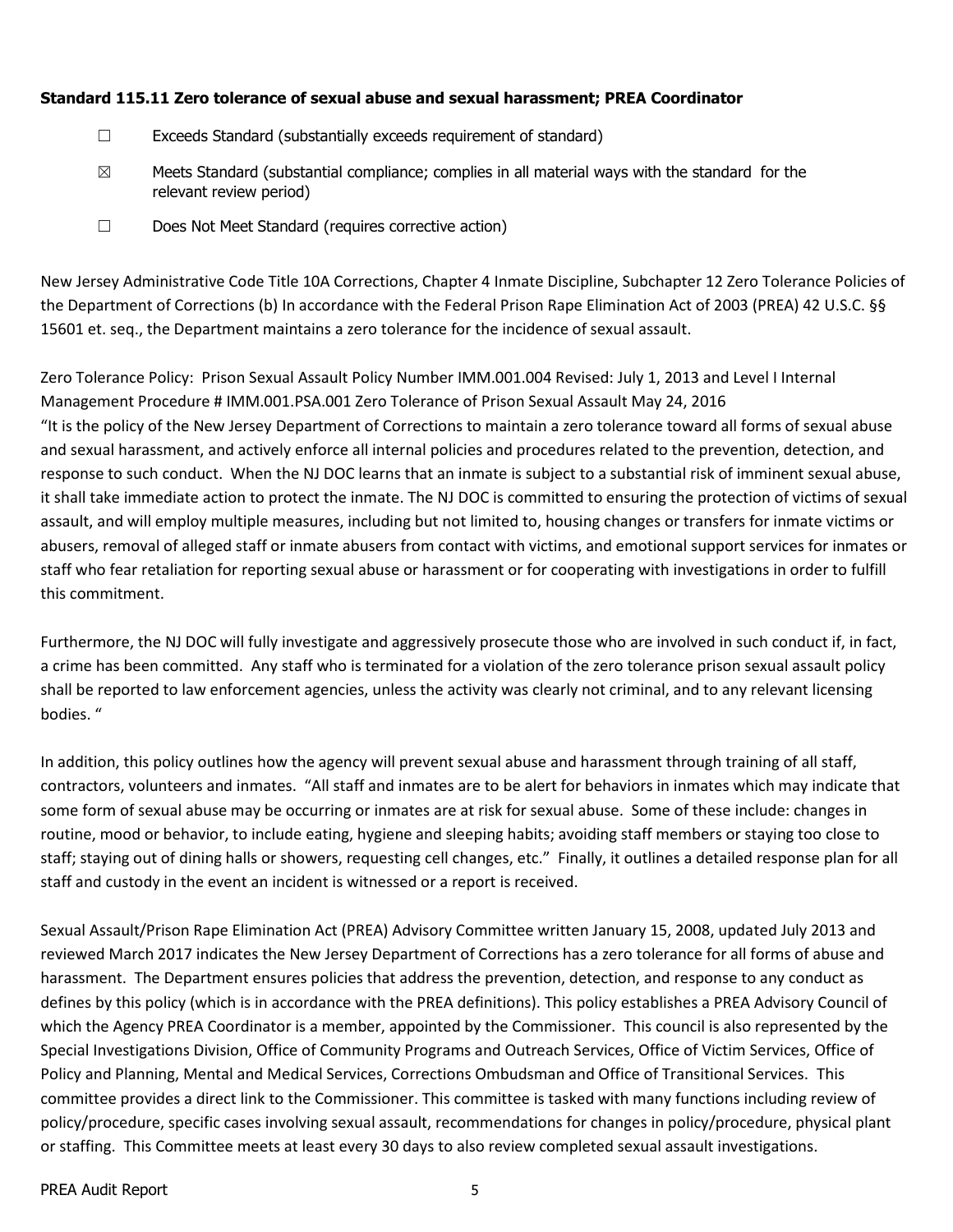#### **Standard 115.11 Zero tolerance of sexual abuse and sexual harassment; PREA Coordinator**

- ☐ Exceeds Standard (substantially exceeds requirement of standard)
- $\boxtimes$  Meets Standard (substantial compliance; complies in all material ways with the standard for the relevant review period)
- ☐ Does Not Meet Standard (requires corrective action)

New Jersey Administrative Code Title 10A Corrections, Chapter 4 Inmate Discipline, Subchapter 12 Zero Tolerance Policies of the Department of Corrections (b) In accordance with the Federal Prison Rape Elimination Act of 2003 (PREA) 42 U.S.C. §§ 15601 et. seq., the Department maintains a zero tolerance for the incidence of sexual assault.

Zero Tolerance Policy: Prison Sexual Assault Policy Number IMM.001.004 Revised: July 1, 2013 and Level I Internal Management Procedure # IMM.001.PSA.001 Zero Tolerance of Prison Sexual Assault May 24, 2016 "It is the policy of the New Jersey Department of Corrections to maintain a zero tolerance toward all forms of sexual abuse and sexual harassment, and actively enforce all internal policies and procedures related to the prevention, detection, and response to such conduct. When the NJ DOC learns that an inmate is subject to a substantial risk of imminent sexual abuse, it shall take immediate action to protect the inmate. The NJ DOC is committed to ensuring the protection of victims of sexual assault, and will employ multiple measures, including but not limited to, housing changes or transfers for inmate victims or abusers, removal of alleged staff or inmate abusers from contact with victims, and emotional support services for inmates or staff who fear retaliation for reporting sexual abuse or harassment or for cooperating with investigations in order to fulfill this commitment.

Furthermore, the NJ DOC will fully investigate and aggressively prosecute those who are involved in such conduct if, in fact, a crime has been committed. Any staff who is terminated for a violation of the zero tolerance prison sexual assault policy shall be reported to law enforcement agencies, unless the activity was clearly not criminal, and to any relevant licensing bodies. "

In addition, this policy outlines how the agency will prevent sexual abuse and harassment through training of all staff, contractors, volunteers and inmates. "All staff and inmates are to be alert for behaviors in inmates which may indicate that some form of sexual abuse may be occurring or inmates are at risk for sexual abuse. Some of these include: changes in routine, mood or behavior, to include eating, hygiene and sleeping habits; avoiding staff members or staying too close to staff; staying out of dining halls or showers, requesting cell changes, etc." Finally, it outlines a detailed response plan for all staff and custody in the event an incident is witnessed or a report is received.

Sexual Assault/Prison Rape Elimination Act (PREA) Advisory Committee written January 15, 2008, updated July 2013 and reviewed March 2017 indicates the New Jersey Department of Corrections has a zero tolerance for all forms of abuse and harassment. The Department ensures policies that address the prevention, detection, and response to any conduct as defines by this policy (which is in accordance with the PREA definitions). This policy establishes a PREA Advisory Council of which the Agency PREA Coordinator is a member, appointed by the Commissioner. This council is also represented by the Special Investigations Division, Office of Community Programs and Outreach Services, Office of Victim Services, Office of Policy and Planning, Mental and Medical Services, Corrections Ombudsman and Office of Transitional Services. This committee provides a direct link to the Commissioner. This committee is tasked with many functions including review of policy/procedure, specific cases involving sexual assault, recommendations for changes in policy/procedure, physical plant or staffing. This Committee meets at least every 30 days to also review completed sexual assault investigations.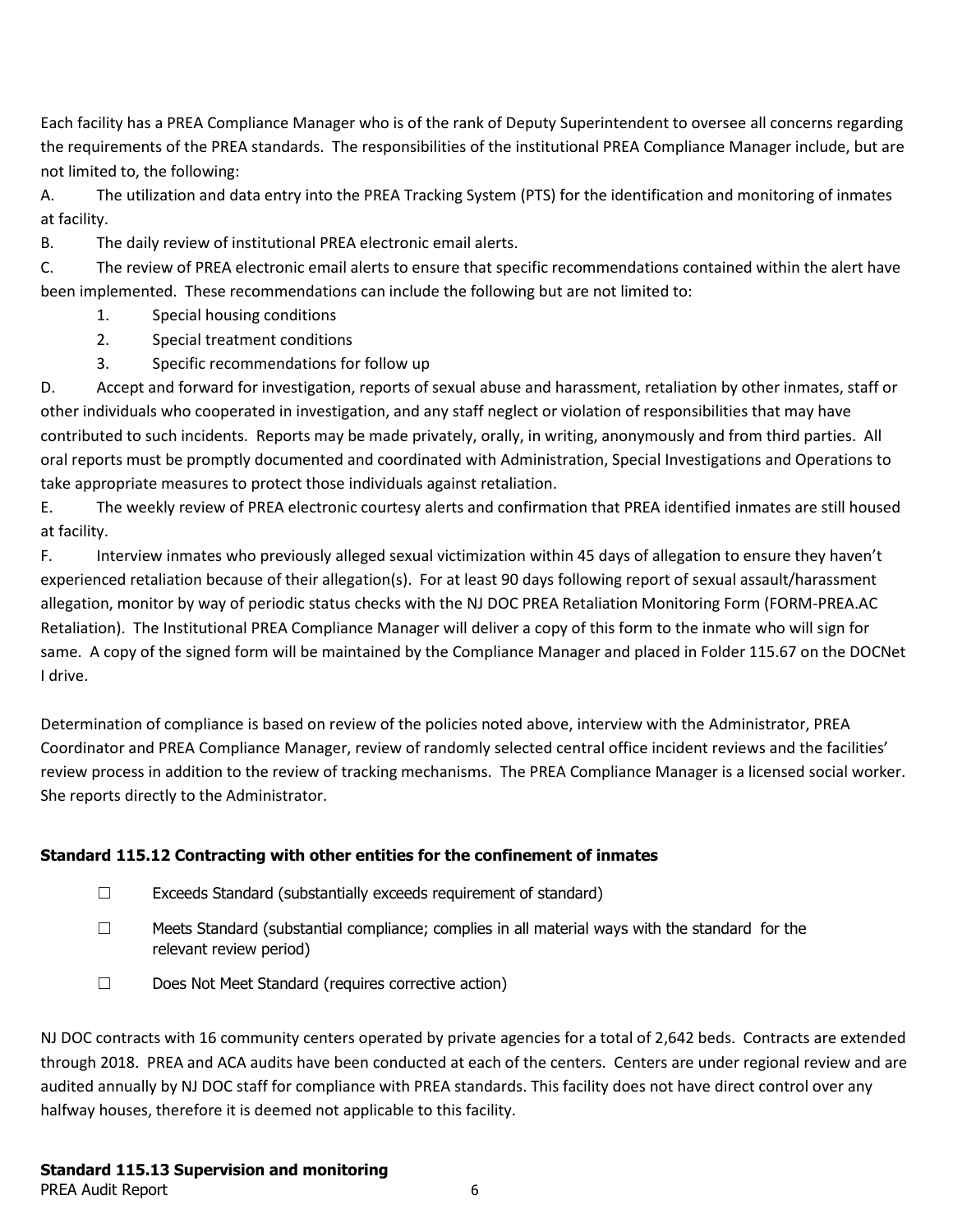Each facility has a PREA Compliance Manager who is of the rank of Deputy Superintendent to oversee all concerns regarding the requirements of the PREA standards. The responsibilities of the institutional PREA Compliance Manager include, but are not limited to, the following:

A. The utilization and data entry into the PREA Tracking System (PTS) for the identification and monitoring of inmates at facility.

B. The daily review of institutional PREA electronic email alerts.

C. The review of PREA electronic email alerts to ensure that specific recommendations contained within the alert have been implemented. These recommendations can include the following but are not limited to:

- 1. Special housing conditions
- 2. Special treatment conditions
- 3. Specific recommendations for follow up

D. Accept and forward for investigation, reports of sexual abuse and harassment, retaliation by other inmates, staff or other individuals who cooperated in investigation, and any staff neglect or violation of responsibilities that may have contributed to such incidents. Reports may be made privately, orally, in writing, anonymously and from third parties. All oral reports must be promptly documented and coordinated with Administration, Special Investigations and Operations to take appropriate measures to protect those individuals against retaliation.

E. The weekly review of PREA electronic courtesy alerts and confirmation that PREA identified inmates are still housed at facility.

F. Interview inmates who previously alleged sexual victimization within 45 days of allegation to ensure they haven't experienced retaliation because of their allegation(s). For at least 90 days following report of sexual assault/harassment allegation, monitor by way of periodic status checks with the NJ DOC PREA Retaliation Monitoring Form (FORM-PREA.AC Retaliation). The Institutional PREA Compliance Manager will deliver a copy of this form to the inmate who will sign for same. A copy of the signed form will be maintained by the Compliance Manager and placed in Folder 115.67 on the DOCNet I drive.

Determination of compliance is based on review of the policies noted above, interview with the Administrator, PREA Coordinator and PREA Compliance Manager, review of randomly selected central office incident reviews and the facilities' review process in addition to the review of tracking mechanisms. The PREA Compliance Manager is a licensed social worker. She reports directly to the Administrator.

# **Standard 115.12 Contracting with other entities for the confinement of inmates**

- ☐ Exceeds Standard (substantially exceeds requirement of standard)
- $\Box$  Meets Standard (substantial compliance; complies in all material ways with the standard for the relevant review period)
- ☐ Does Not Meet Standard (requires corrective action)

NJ DOC contracts with 16 community centers operated by private agencies for a total of 2,642 beds. Contracts are extended through 2018. PREA and ACA audits have been conducted at each of the centers. Centers are under regional review and are audited annually by NJ DOC staff for compliance with PREA standards. This facility does not have direct control over any halfway houses, therefore it is deemed not applicable to this facility.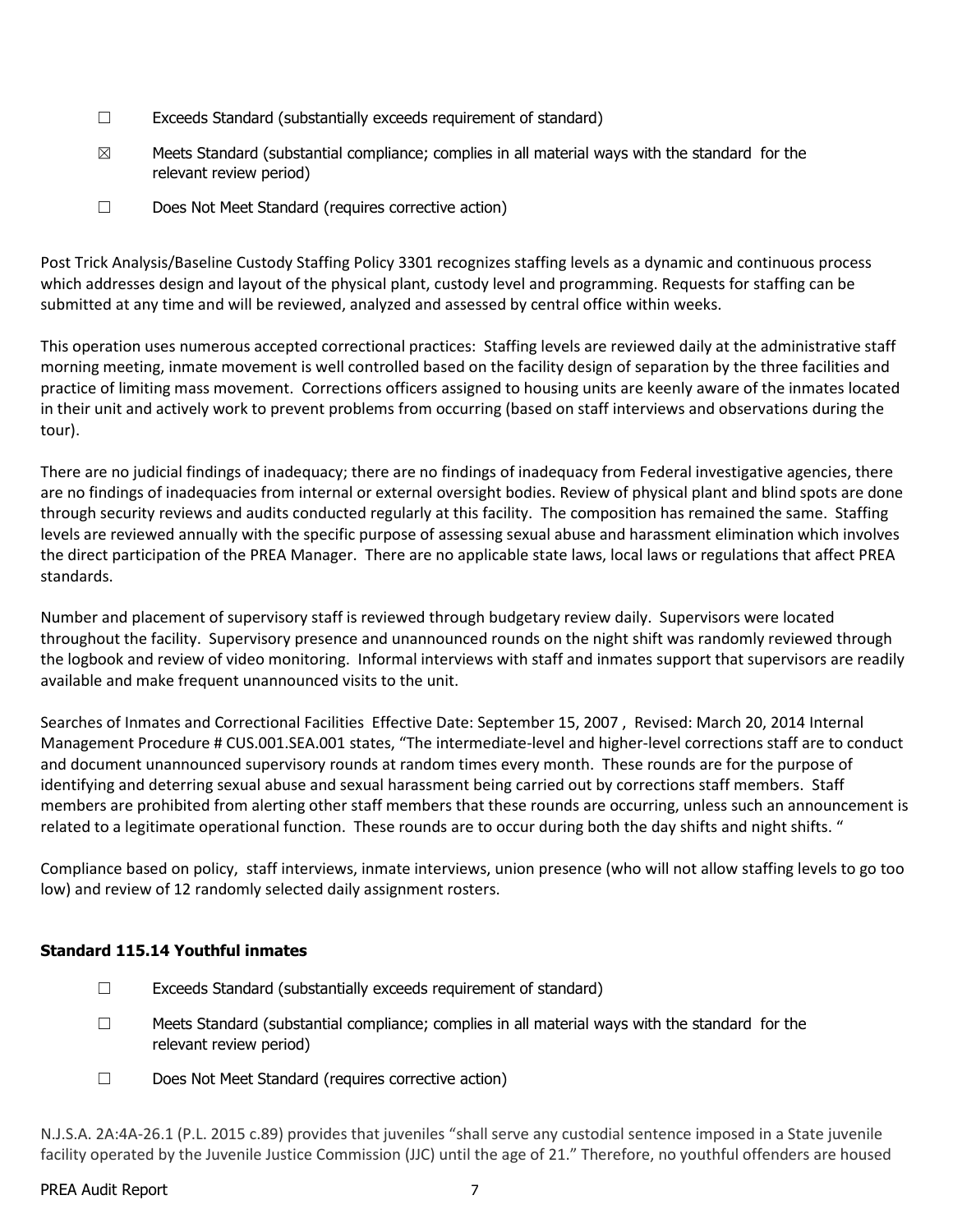- ☐ Exceeds Standard (substantially exceeds requirement of standard)
- $\boxtimes$  Meets Standard (substantial compliance; complies in all material ways with the standard for the relevant review period)
- ☐ Does Not Meet Standard (requires corrective action)

Post Trick Analysis/Baseline Custody Staffing Policy 3301 recognizes staffing levels as a dynamic and continuous process which addresses design and layout of the physical plant, custody level and programming. Requests for staffing can be submitted at any time and will be reviewed, analyzed and assessed by central office within weeks.

This operation uses numerous accepted correctional practices: Staffing levels are reviewed daily at the administrative staff morning meeting, inmate movement is well controlled based on the facility design of separation by the three facilities and practice of limiting mass movement. Corrections officers assigned to housing units are keenly aware of the inmates located in their unit and actively work to prevent problems from occurring (based on staff interviews and observations during the tour).

There are no judicial findings of inadequacy; there are no findings of inadequacy from Federal investigative agencies, there are no findings of inadequacies from internal or external oversight bodies. Review of physical plant and blind spots are done through security reviews and audits conducted regularly at this facility. The composition has remained the same. Staffing levels are reviewed annually with the specific purpose of assessing sexual abuse and harassment elimination which involves the direct participation of the PREA Manager. There are no applicable state laws, local laws or regulations that affect PREA standards.

Number and placement of supervisory staff is reviewed through budgetary review daily. Supervisors were located throughout the facility. Supervisory presence and unannounced rounds on the night shift was randomly reviewed through the logbook and review of video monitoring. Informal interviews with staff and inmates support that supervisors are readily available and make frequent unannounced visits to the unit.

Searches of Inmates and Correctional Facilities Effective Date: September 15, 2007 , Revised: March 20, 2014 Internal Management Procedure # CUS.001.SEA.001 states, "The intermediate-level and higher-level corrections staff are to conduct and document unannounced supervisory rounds at random times every month. These rounds are for the purpose of identifying and deterring sexual abuse and sexual harassment being carried out by corrections staff members. Staff members are prohibited from alerting other staff members that these rounds are occurring, unless such an announcement is related to a legitimate operational function. These rounds are to occur during both the day shifts and night shifts. "

Compliance based on policy, staff interviews, inmate interviews, union presence (who will not allow staffing levels to go too low) and review of 12 randomly selected daily assignment rosters.

#### **Standard 115.14 Youthful inmates**

- ☐ Exceeds Standard (substantially exceeds requirement of standard)
- $\Box$  Meets Standard (substantial compliance; complies in all material ways with the standard for the relevant review period)
- ☐ Does Not Meet Standard (requires corrective action)

N.J.S.A. 2A:4A-26.1 (P.L. 2015 c.89) provides that juveniles "shall serve any custodial sentence imposed in a State juvenile facility operated by the Juvenile Justice Commission (JJC) until the age of 21." Therefore, no youthful offenders are housed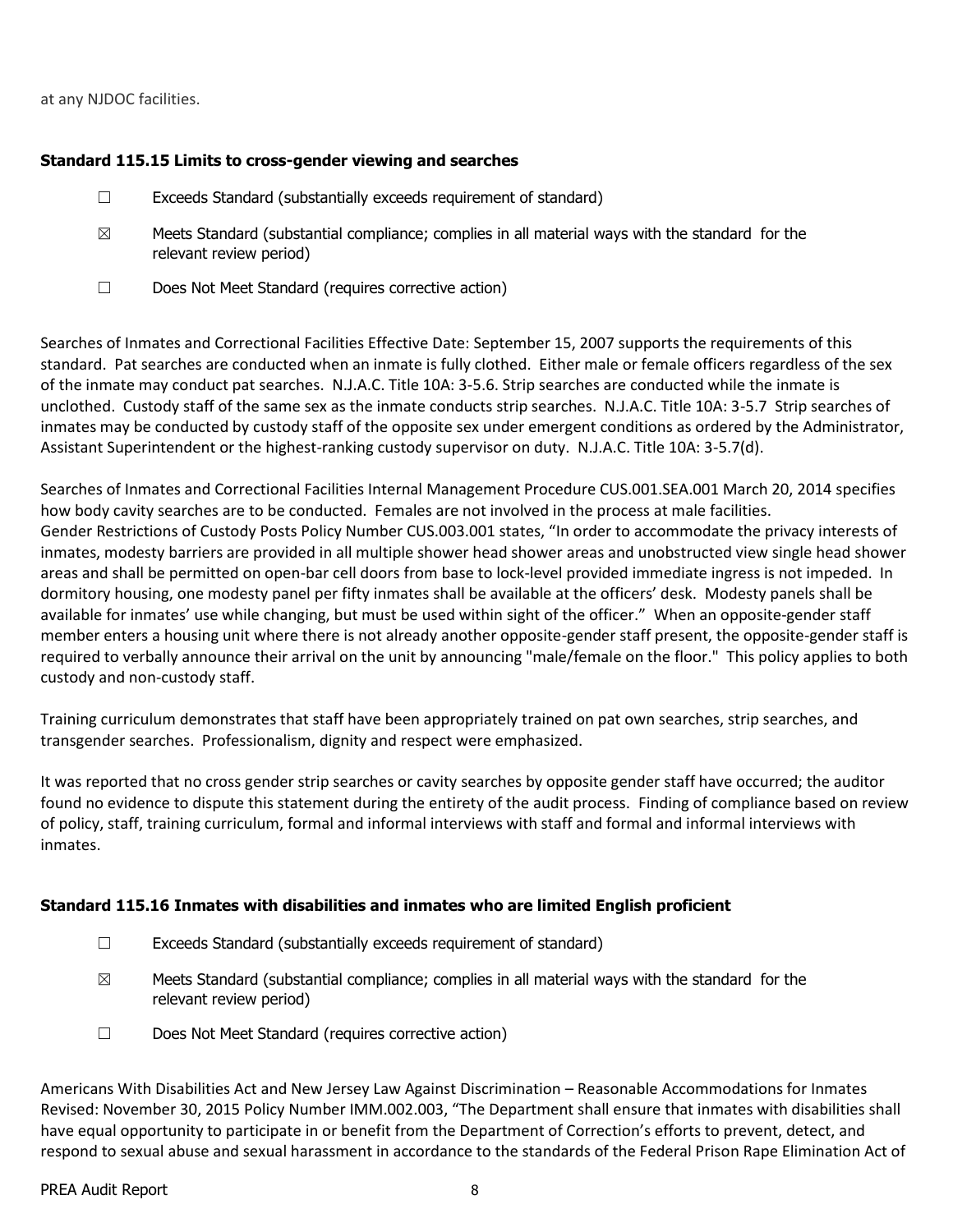#### at any NJDOC facilities.

#### **Standard 115.15 Limits to cross-gender viewing and searches**

- $\Box$  Exceeds Standard (substantially exceeds requirement of standard)
- $\boxtimes$  Meets Standard (substantial compliance; complies in all material ways with the standard for the relevant review period)
- ☐ Does Not Meet Standard (requires corrective action)

Searches of Inmates and Correctional Facilities Effective Date: September 15, 2007 supports the requirements of this standard. Pat searches are conducted when an inmate is fully clothed. Either male or female officers regardless of the sex of the inmate may conduct pat searches. N.J.A.C. Title 10A: 3-5.6. Strip searches are conducted while the inmate is unclothed. Custody staff of the same sex as the inmate conducts strip searches. N.J.A.C. Title 10A: 3-5.7 Strip searches of inmates may be conducted by custody staff of the opposite sex under emergent conditions as ordered by the Administrator, Assistant Superintendent or the highest-ranking custody supervisor on duty. N.J.A.C. Title 10A: 3-5.7(d).

Searches of Inmates and Correctional Facilities Internal Management Procedure CUS.001.SEA.001 March 20, 2014 specifies how body cavity searches are to be conducted. Females are not involved in the process at male facilities. Gender Restrictions of Custody Posts Policy Number CUS.003.001 states, "In order to accommodate the privacy interests of inmates, modesty barriers are provided in all multiple shower head shower areas and unobstructed view single head shower areas and shall be permitted on open-bar cell doors from base to lock-level provided immediate ingress is not impeded. In dormitory housing, one modesty panel per fifty inmates shall be available at the officers' desk. Modesty panels shall be available for inmates' use while changing, but must be used within sight of the officer." When an opposite-gender staff member enters a housing unit where there is not already another opposite-gender staff present, the opposite-gender staff is required to verbally announce their arrival on the unit by announcing "male/female on the floor." This policy applies to both custody and non-custody staff.

Training curriculum demonstrates that staff have been appropriately trained on pat own searches, strip searches, and transgender searches. Professionalism, dignity and respect were emphasized.

It was reported that no cross gender strip searches or cavity searches by opposite gender staff have occurred; the auditor found no evidence to dispute this statement during the entirety of the audit process. Finding of compliance based on review of policy, staff, training curriculum, formal and informal interviews with staff and formal and informal interviews with inmates.

## **Standard 115.16 Inmates with disabilities and inmates who are limited English proficient**

- $\Box$  Exceeds Standard (substantially exceeds requirement of standard)
- $\boxtimes$  Meets Standard (substantial compliance; complies in all material ways with the standard for the relevant review period)
- ☐ Does Not Meet Standard (requires corrective action)

Americans With Disabilities Act and New Jersey Law Against Discrimination – Reasonable Accommodations for Inmates Revised: November 30, 2015 Policy Number IMM.002.003, "The Department shall ensure that inmates with disabilities shall have equal opportunity to participate in or benefit from the Department of Correction's efforts to prevent, detect, and respond to sexual abuse and sexual harassment in accordance to the standards of the Federal Prison Rape Elimination Act of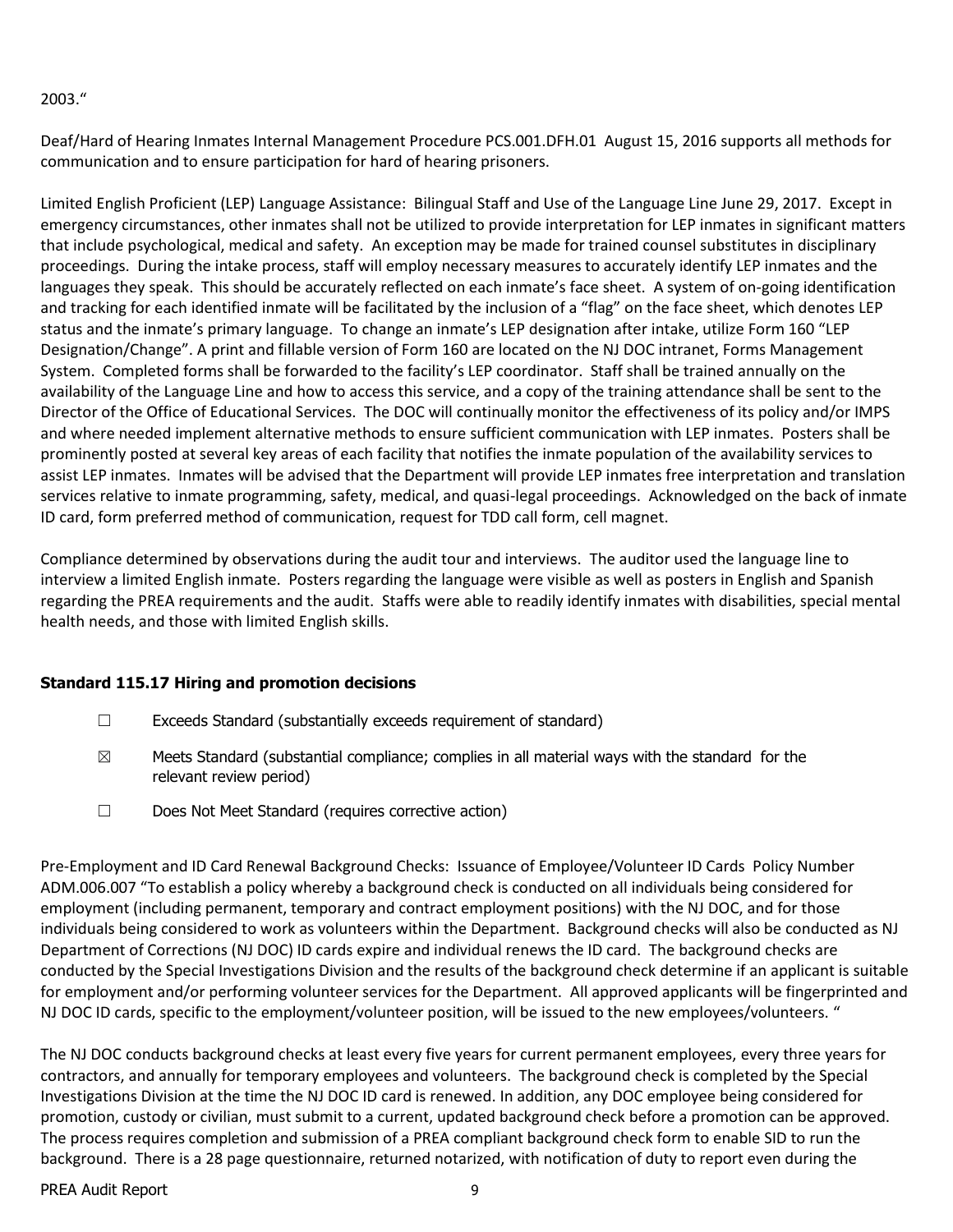#### 2003."

Deaf/Hard of Hearing Inmates Internal Management Procedure PCS.001.DFH.01 August 15, 2016 supports all methods for communication and to ensure participation for hard of hearing prisoners.

Limited English Proficient (LEP) Language Assistance: Bilingual Staff and Use of the Language Line June 29, 2017. Except in emergency circumstances, other inmates shall not be utilized to provide interpretation for LEP inmates in significant matters that include psychological, medical and safety. An exception may be made for trained counsel substitutes in disciplinary proceedings. During the intake process, staff will employ necessary measures to accurately identify LEP inmates and the languages they speak. This should be accurately reflected on each inmate's face sheet. A system of on-going identification and tracking for each identified inmate will be facilitated by the inclusion of a "flag" on the face sheet, which denotes LEP status and the inmate's primary language. To change an inmate's LEP designation after intake, utilize Form 160 "LEP Designation/Change". A print and fillable version of Form 160 are located on the NJ DOC intranet, Forms Management System. Completed forms shall be forwarded to the facility's LEP coordinator. Staff shall be trained annually on the availability of the Language Line and how to access this service, and a copy of the training attendance shall be sent to the Director of the Office of Educational Services. The DOC will continually monitor the effectiveness of its policy and/or IMPS and where needed implement alternative methods to ensure sufficient communication with LEP inmates. Posters shall be prominently posted at several key areas of each facility that notifies the inmate population of the availability services to assist LEP inmates. Inmates will be advised that the Department will provide LEP inmates free interpretation and translation services relative to inmate programming, safety, medical, and quasi-legal proceedings. Acknowledged on the back of inmate ID card, form preferred method of communication, request for TDD call form, cell magnet.

Compliance determined by observations during the audit tour and interviews. The auditor used the language line to interview a limited English inmate. Posters regarding the language were visible as well as posters in English and Spanish regarding the PREA requirements and the audit. Staffs were able to readily identify inmates with disabilities, special mental health needs, and those with limited English skills.

## **Standard 115.17 Hiring and promotion decisions**

- ☐ Exceeds Standard (substantially exceeds requirement of standard)
- $\boxtimes$  Meets Standard (substantial compliance; complies in all material ways with the standard for the relevant review period)
- ☐ Does Not Meet Standard (requires corrective action)

Pre-Employment and ID Card Renewal Background Checks: Issuance of Employee/Volunteer ID Cards Policy Number ADM.006.007 "To establish a policy whereby a background check is conducted on all individuals being considered for employment (including permanent, temporary and contract employment positions) with the NJ DOC, and for those individuals being considered to work as volunteers within the Department. Background checks will also be conducted as NJ Department of Corrections (NJ DOC) ID cards expire and individual renews the ID card. The background checks are conducted by the Special Investigations Division and the results of the background check determine if an applicant is suitable for employment and/or performing volunteer services for the Department. All approved applicants will be fingerprinted and NJ DOC ID cards, specific to the employment/volunteer position, will be issued to the new employees/volunteers. "

The NJ DOC conducts background checks at least every five years for current permanent employees, every three years for contractors, and annually for temporary employees and volunteers. The background check is completed by the Special Investigations Division at the time the NJ DOC ID card is renewed. In addition, any DOC employee being considered for promotion, custody or civilian, must submit to a current, updated background check before a promotion can be approved. The process requires completion and submission of a PREA compliant background check form to enable SID to run the background. There is a 28 page questionnaire, returned notarized, with notification of duty to report even during the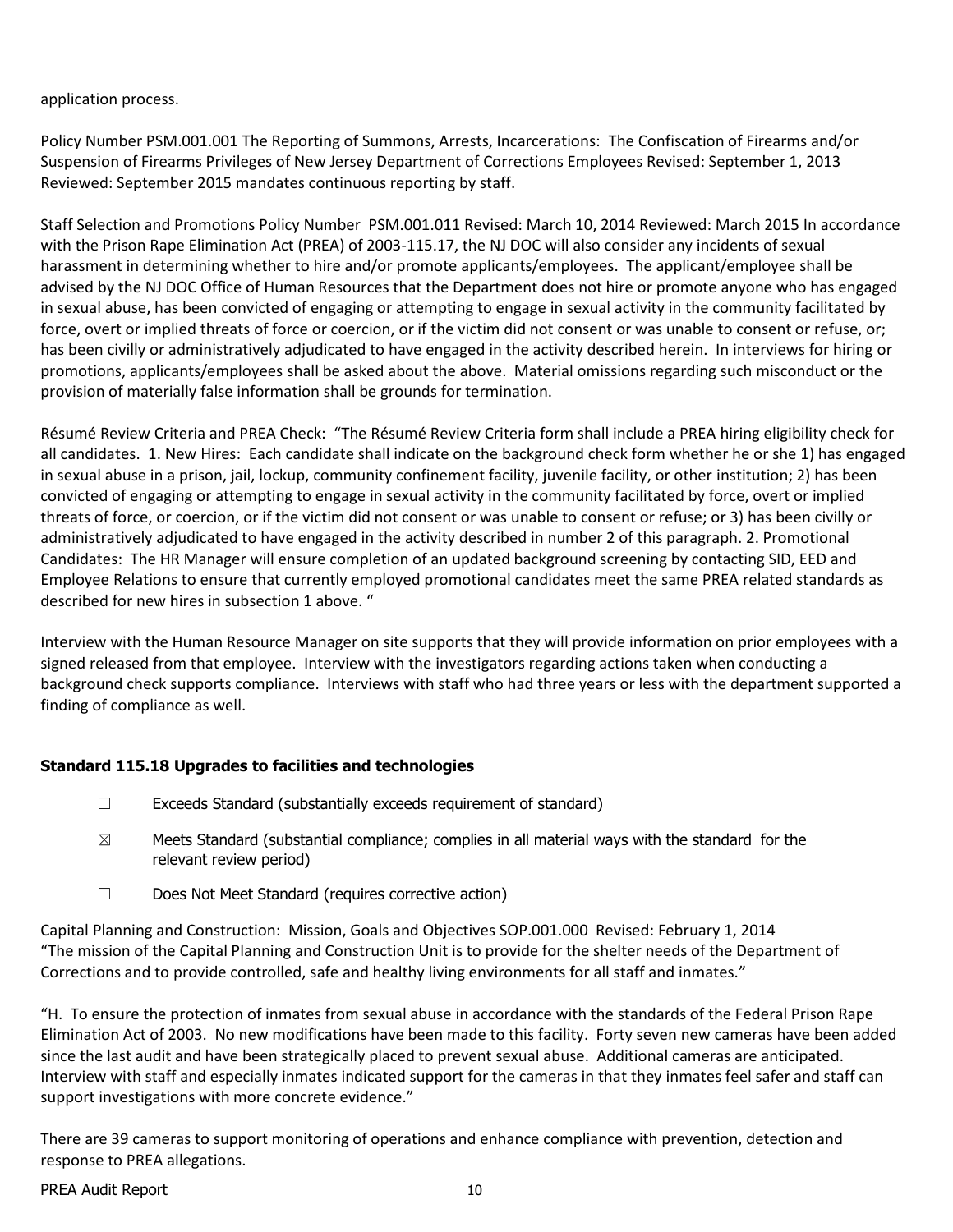#### application process.

Policy Number PSM.001.001 The Reporting of Summons, Arrests, Incarcerations: The Confiscation of Firearms and/or Suspension of Firearms Privileges of New Jersey Department of Corrections Employees Revised: September 1, 2013 Reviewed: September 2015 mandates continuous reporting by staff.

Staff Selection and Promotions Policy Number PSM.001.011 Revised: March 10, 2014 Reviewed: March 2015 In accordance with the Prison Rape Elimination Act (PREA) of 2003-115.17, the NJ DOC will also consider any incidents of sexual harassment in determining whether to hire and/or promote applicants/employees. The applicant/employee shall be advised by the NJ DOC Office of Human Resources that the Department does not hire or promote anyone who has engaged in sexual abuse, has been convicted of engaging or attempting to engage in sexual activity in the community facilitated by force, overt or implied threats of force or coercion, or if the victim did not consent or was unable to consent or refuse, or; has been civilly or administratively adjudicated to have engaged in the activity described herein. In interviews for hiring or promotions, applicants/employees shall be asked about the above. Material omissions regarding such misconduct or the provision of materially false information shall be grounds for termination.

Résumé Review Criteria and PREA Check: "The Résumé Review Criteria form shall include a PREA hiring eligibility check for all candidates. 1. New Hires: Each candidate shall indicate on the background check form whether he or she 1) has engaged in sexual abuse in a prison, jail, lockup, community confinement facility, juvenile facility, or other institution; 2) has been convicted of engaging or attempting to engage in sexual activity in the community facilitated by force, overt or implied threats of force, or coercion, or if the victim did not consent or was unable to consent or refuse; or 3) has been civilly or administratively adjudicated to have engaged in the activity described in number 2 of this paragraph. 2. Promotional Candidates: The HR Manager will ensure completion of an updated background screening by contacting SID, EED and Employee Relations to ensure that currently employed promotional candidates meet the same PREA related standards as described for new hires in subsection 1 above. "

Interview with the Human Resource Manager on site supports that they will provide information on prior employees with a signed released from that employee. Interview with the investigators regarding actions taken when conducting a background check supports compliance. Interviews with staff who had three years or less with the department supported a finding of compliance as well.

## **Standard 115.18 Upgrades to facilities and technologies**

- ☐ Exceeds Standard (substantially exceeds requirement of standard)
- $\boxtimes$  Meets Standard (substantial compliance; complies in all material ways with the standard for the relevant review period)
- ☐ Does Not Meet Standard (requires corrective action)

Capital Planning and Construction: Mission, Goals and Objectives SOP.001.000 Revised: February 1, 2014 "The mission of the Capital Planning and Construction Unit is to provide for the shelter needs of the Department of Corrections and to provide controlled, safe and healthy living environments for all staff and inmates."

"H. To ensure the protection of inmates from sexual abuse in accordance with the standards of the Federal Prison Rape Elimination Act of 2003. No new modifications have been made to this facility. Forty seven new cameras have been added since the last audit and have been strategically placed to prevent sexual abuse. Additional cameras are anticipated. Interview with staff and especially inmates indicated support for the cameras in that they inmates feel safer and staff can support investigations with more concrete evidence."

There are 39 cameras to support monitoring of operations and enhance compliance with prevention, detection and response to PREA allegations.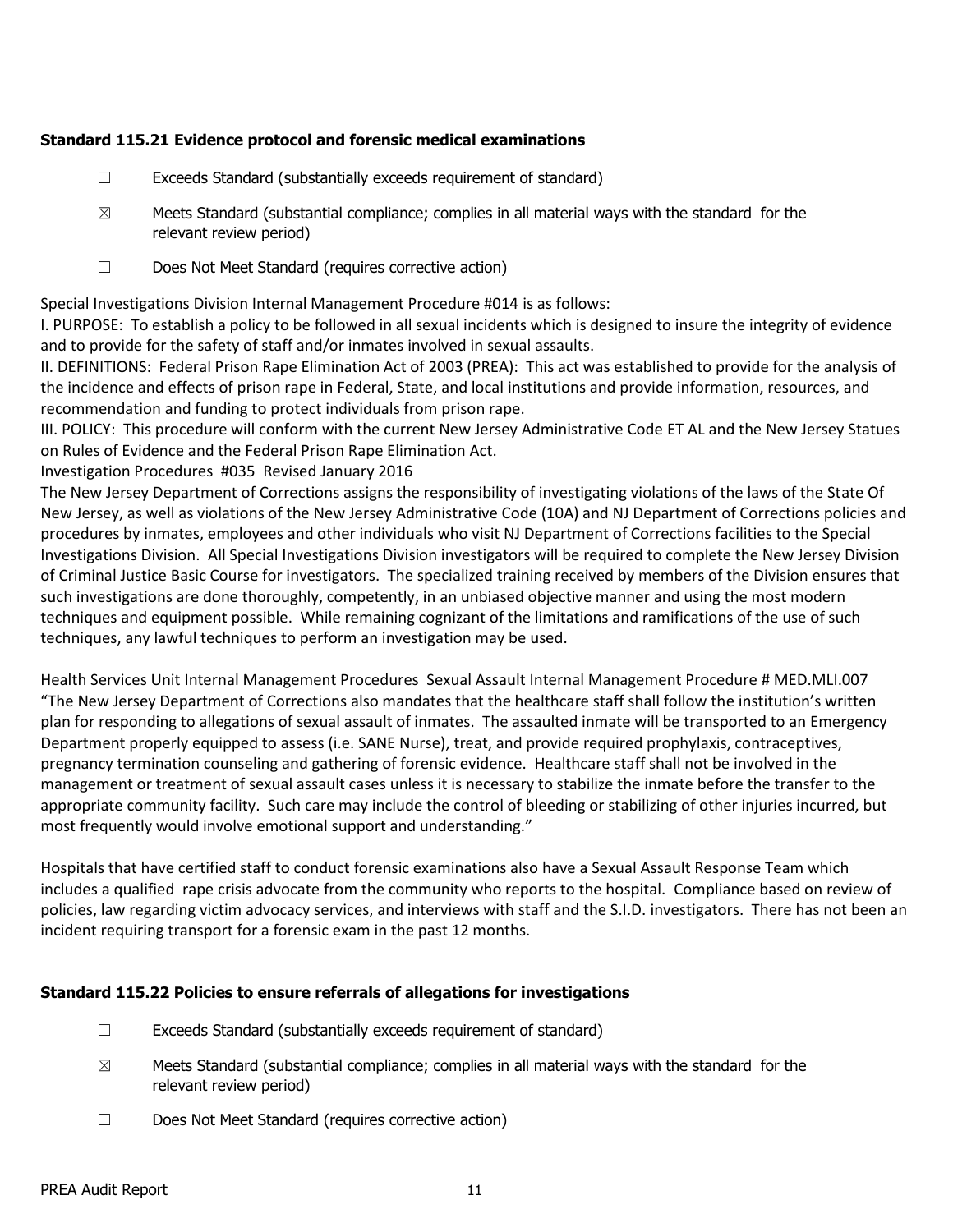#### **Standard 115.21 Evidence protocol and forensic medical examinations**

- ☐ Exceeds Standard (substantially exceeds requirement of standard)
- $\boxtimes$  Meets Standard (substantial compliance; complies in all material ways with the standard for the relevant review period)
- ☐ Does Not Meet Standard (requires corrective action)

Special Investigations Division Internal Management Procedure #014 is as follows:

I. PURPOSE: To establish a policy to be followed in all sexual incidents which is designed to insure the integrity of evidence and to provide for the safety of staff and/or inmates involved in sexual assaults.

II. DEFINITIONS: Federal Prison Rape Elimination Act of 2003 (PREA): This act was established to provide for the analysis of the incidence and effects of prison rape in Federal, State, and local institutions and provide information, resources, and recommendation and funding to protect individuals from prison rape.

III. POLICY: This procedure will conform with the current New Jersey Administrative Code ET AL and the New Jersey Statues on Rules of Evidence and the Federal Prison Rape Elimination Act.

Investigation Procedures #035 Revised January 2016

The New Jersey Department of Corrections assigns the responsibility of investigating violations of the laws of the State Of New Jersey, as well as violations of the New Jersey Administrative Code (10A) and NJ Department of Corrections policies and procedures by inmates, employees and other individuals who visit NJ Department of Corrections facilities to the Special Investigations Division. All Special Investigations Division investigators will be required to complete the New Jersey Division of Criminal Justice Basic Course for investigators. The specialized training received by members of the Division ensures that such investigations are done thoroughly, competently, in an unbiased objective manner and using the most modern techniques and equipment possible. While remaining cognizant of the limitations and ramifications of the use of such techniques, any lawful techniques to perform an investigation may be used.

Health Services Unit Internal Management Procedures Sexual Assault Internal Management Procedure # MED.MLI.007 "The New Jersey Department of Corrections also mandates that the healthcare staff shall follow the institution's written plan for responding to allegations of sexual assault of inmates. The assaulted inmate will be transported to an Emergency Department properly equipped to assess (i.e. SANE Nurse), treat, and provide required prophylaxis, contraceptives, pregnancy termination counseling and gathering of forensic evidence. Healthcare staff shall not be involved in the management or treatment of sexual assault cases unless it is necessary to stabilize the inmate before the transfer to the appropriate community facility. Such care may include the control of bleeding or stabilizing of other injuries incurred, but most frequently would involve emotional support and understanding."

Hospitals that have certified staff to conduct forensic examinations also have a Sexual Assault Response Team which includes a qualified rape crisis advocate from the community who reports to the hospital. Compliance based on review of policies, law regarding victim advocacy services, and interviews with staff and the S.I.D. investigators. There has not been an incident requiring transport for a forensic exam in the past 12 months.

## **Standard 115.22 Policies to ensure referrals of allegations for investigations**

- $\Box$  Exceeds Standard (substantially exceeds requirement of standard)
- $\boxtimes$  Meets Standard (substantial compliance; complies in all material ways with the standard for the relevant review period)
- ☐ Does Not Meet Standard (requires corrective action)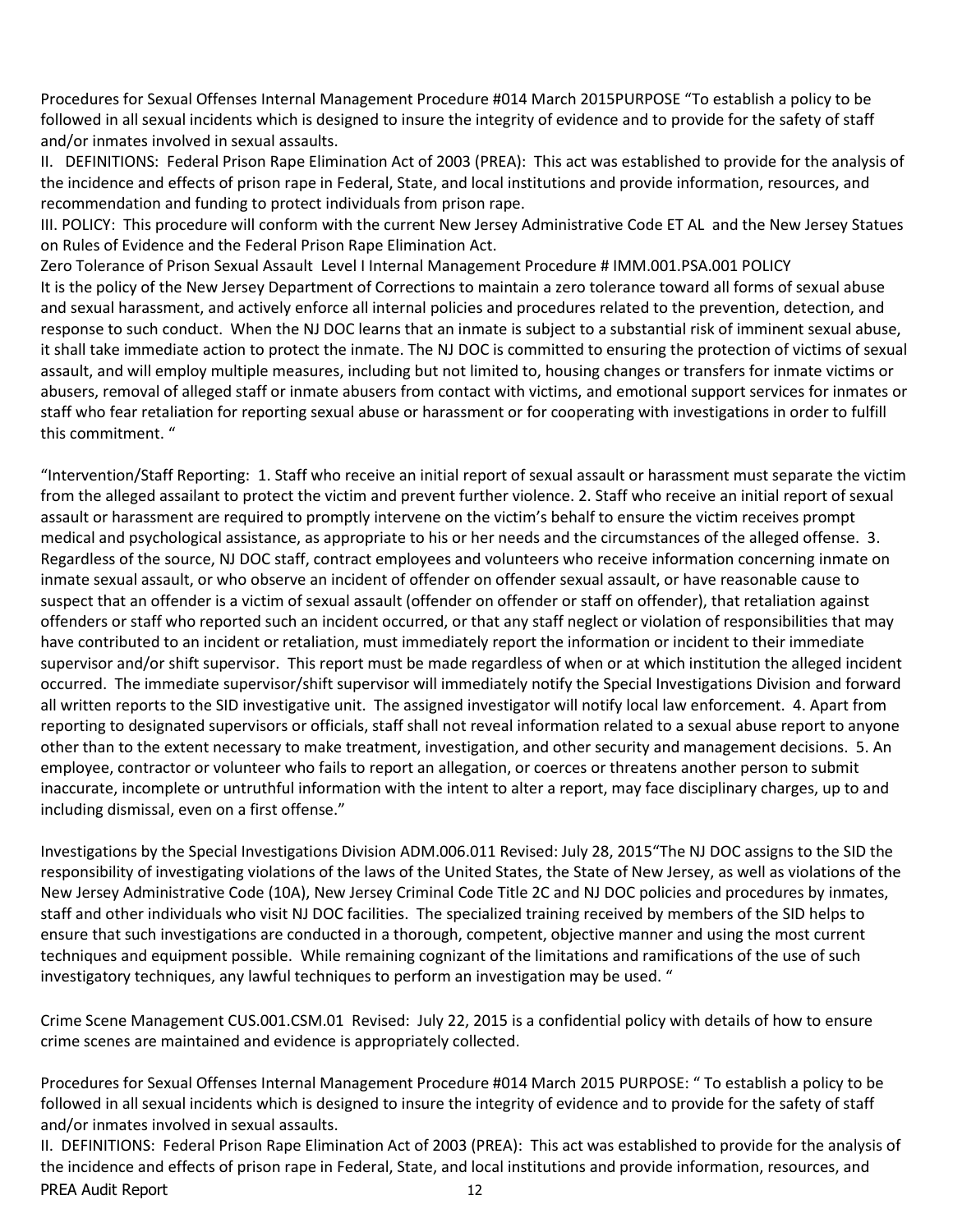Procedures for Sexual Offenses Internal Management Procedure #014 March 2015PURPOSE "To establish a policy to be followed in all sexual incidents which is designed to insure the integrity of evidence and to provide for the safety of staff and/or inmates involved in sexual assaults.

II. DEFINITIONS: Federal Prison Rape Elimination Act of 2003 (PREA): This act was established to provide for the analysis of the incidence and effects of prison rape in Federal, State, and local institutions and provide information, resources, and recommendation and funding to protect individuals from prison rape.

III. POLICY: This procedure will conform with the current New Jersey Administrative Code ET AL and the New Jersey Statues on Rules of Evidence and the Federal Prison Rape Elimination Act.

Zero Tolerance of Prison Sexual Assault Level I Internal Management Procedure # IMM.001.PSA.001 POLICY It is the policy of the New Jersey Department of Corrections to maintain a zero tolerance toward all forms of sexual abuse and sexual harassment, and actively enforce all internal policies and procedures related to the prevention, detection, and response to such conduct. When the NJ DOC learns that an inmate is subject to a substantial risk of imminent sexual abuse, it shall take immediate action to protect the inmate. The NJ DOC is committed to ensuring the protection of victims of sexual assault, and will employ multiple measures, including but not limited to, housing changes or transfers for inmate victims or abusers, removal of alleged staff or inmate abusers from contact with victims, and emotional support services for inmates or staff who fear retaliation for reporting sexual abuse or harassment or for cooperating with investigations in order to fulfill this commitment. "

"Intervention/Staff Reporting: 1. Staff who receive an initial report of sexual assault or harassment must separate the victim from the alleged assailant to protect the victim and prevent further violence. 2. Staff who receive an initial report of sexual assault or harassment are required to promptly intervene on the victim's behalf to ensure the victim receives prompt medical and psychological assistance, as appropriate to his or her needs and the circumstances of the alleged offense. 3. Regardless of the source, NJ DOC staff, contract employees and volunteers who receive information concerning inmate on inmate sexual assault, or who observe an incident of offender on offender sexual assault, or have reasonable cause to suspect that an offender is a victim of sexual assault (offender on offender or staff on offender), that retaliation against offenders or staff who reported such an incident occurred, or that any staff neglect or violation of responsibilities that may have contributed to an incident or retaliation, must immediately report the information or incident to their immediate supervisor and/or shift supervisor. This report must be made regardless of when or at which institution the alleged incident occurred. The immediate supervisor/shift supervisor will immediately notify the Special Investigations Division and forward all written reports to the SID investigative unit. The assigned investigator will notify local law enforcement. 4. Apart from reporting to designated supervisors or officials, staff shall not reveal information related to a sexual abuse report to anyone other than to the extent necessary to make treatment, investigation, and other security and management decisions. 5. An employee, contractor or volunteer who fails to report an allegation, or coerces or threatens another person to submit inaccurate, incomplete or untruthful information with the intent to alter a report, may face disciplinary charges, up to and including dismissal, even on a first offense."

Investigations by the Special Investigations Division ADM.006.011 Revised: July 28, 2015"The NJ DOC assigns to the SID the responsibility of investigating violations of the laws of the United States, the State of New Jersey, as well as violations of the New Jersey Administrative Code (10A), New Jersey Criminal Code Title 2C and NJ DOC policies and procedures by inmates, staff and other individuals who visit NJ DOC facilities. The specialized training received by members of the SID helps to ensure that such investigations are conducted in a thorough, competent, objective manner and using the most current techniques and equipment possible. While remaining cognizant of the limitations and ramifications of the use of such investigatory techniques, any lawful techniques to perform an investigation may be used. "

Crime Scene Management CUS.001.CSM.01 Revised: July 22, 2015 is a confidential policy with details of how to ensure crime scenes are maintained and evidence is appropriately collected.

Procedures for Sexual Offenses Internal Management Procedure #014 March 2015 PURPOSE: " To establish a policy to be followed in all sexual incidents which is designed to insure the integrity of evidence and to provide for the safety of staff and/or inmates involved in sexual assaults.

PREA Audit Report 12 II. DEFINITIONS: Federal Prison Rape Elimination Act of 2003 (PREA): This act was established to provide for the analysis of the incidence and effects of prison rape in Federal, State, and local institutions and provide information, resources, and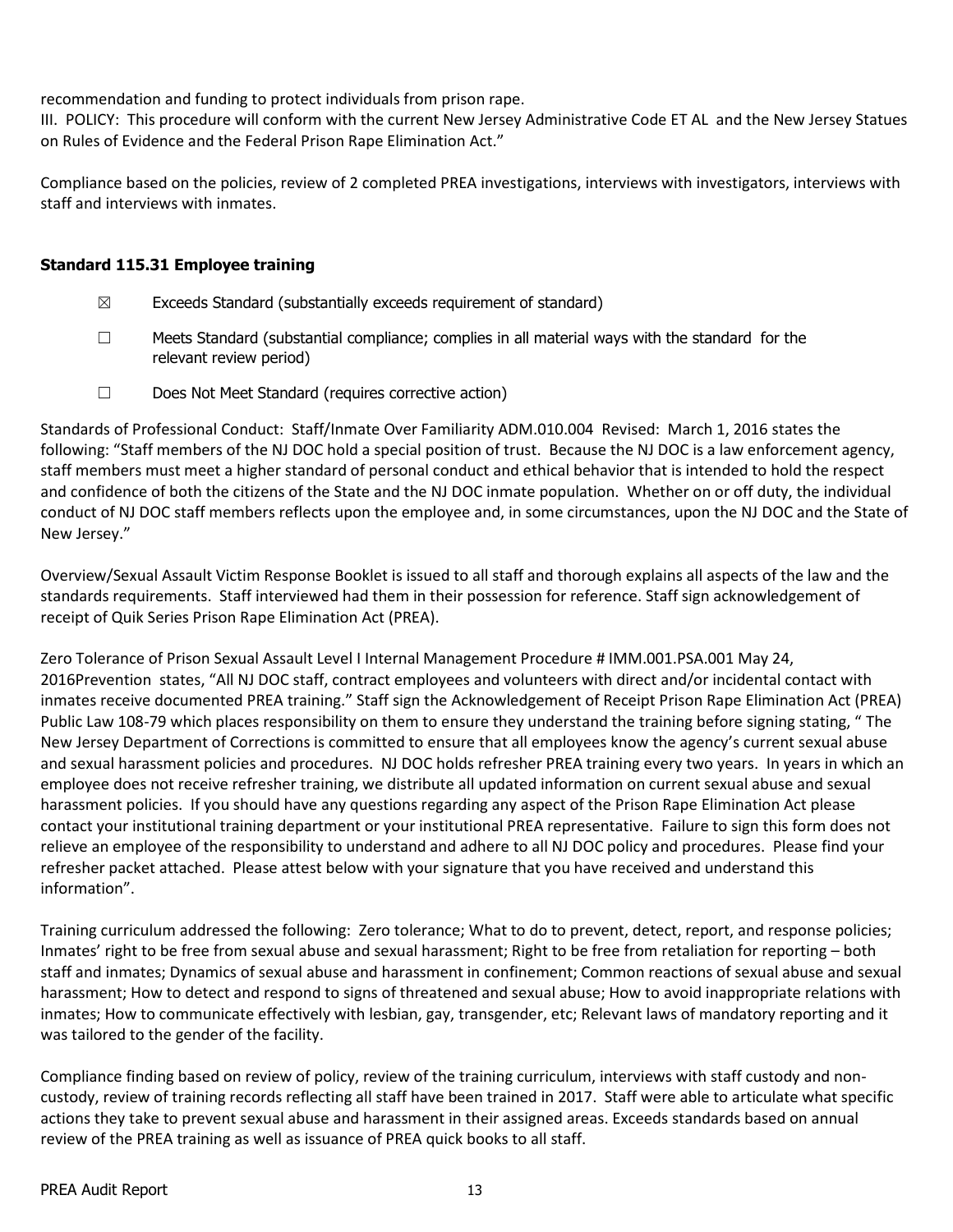recommendation and funding to protect individuals from prison rape.

III. POLICY: This procedure will conform with the current New Jersey Administrative Code ET AL and the New Jersey Statues on Rules of Evidence and the Federal Prison Rape Elimination Act."

Compliance based on the policies, review of 2 completed PREA investigations, interviews with investigators, interviews with staff and interviews with inmates.

## **Standard 115.31 Employee training**

- $\boxtimes$  Exceeds Standard (substantially exceeds requirement of standard)
- $\Box$  Meets Standard (substantial compliance; complies in all material ways with the standard for the relevant review period)
- ☐ Does Not Meet Standard (requires corrective action)

Standards of Professional Conduct: Staff/Inmate Over Familiarity ADM.010.004 Revised: March 1, 2016 states the following: "Staff members of the NJ DOC hold a special position of trust. Because the NJ DOC is a law enforcement agency, staff members must meet a higher standard of personal conduct and ethical behavior that is intended to hold the respect and confidence of both the citizens of the State and the NJ DOC inmate population. Whether on or off duty, the individual conduct of NJ DOC staff members reflects upon the employee and, in some circumstances, upon the NJ DOC and the State of New Jersey."

Overview/Sexual Assault Victim Response Booklet is issued to all staff and thorough explains all aspects of the law and the standards requirements. Staff interviewed had them in their possession for reference. Staff sign acknowledgement of receipt of Quik Series Prison Rape Elimination Act (PREA).

Zero Tolerance of Prison Sexual Assault Level I Internal Management Procedure # IMM.001.PSA.001 May 24, 2016Prevention states, "All NJ DOC staff, contract employees and volunteers with direct and/or incidental contact with inmates receive documented PREA training." Staff sign the Acknowledgement of Receipt Prison Rape Elimination Act (PREA) Public Law 108-79 which places responsibility on them to ensure they understand the training before signing stating, " The New Jersey Department of Corrections is committed to ensure that all employees know the agency's current sexual abuse and sexual harassment policies and procedures. NJ DOC holds refresher PREA training every two years. In years in which an employee does not receive refresher training, we distribute all updated information on current sexual abuse and sexual harassment policies. If you should have any questions regarding any aspect of the Prison Rape Elimination Act please contact your institutional training department or your institutional PREA representative. Failure to sign this form does not relieve an employee of the responsibility to understand and adhere to all NJ DOC policy and procedures. Please find your refresher packet attached. Please attest below with your signature that you have received and understand this information".

Training curriculum addressed the following: Zero tolerance; What to do to prevent, detect, report, and response policies; Inmates' right to be free from sexual abuse and sexual harassment; Right to be free from retaliation for reporting – both staff and inmates; Dynamics of sexual abuse and harassment in confinement; Common reactions of sexual abuse and sexual harassment; How to detect and respond to signs of threatened and sexual abuse; How to avoid inappropriate relations with inmates; How to communicate effectively with lesbian, gay, transgender, etc; Relevant laws of mandatory reporting and it was tailored to the gender of the facility.

Compliance finding based on review of policy, review of the training curriculum, interviews with staff custody and noncustody, review of training records reflecting all staff have been trained in 2017. Staff were able to articulate what specific actions they take to prevent sexual abuse and harassment in their assigned areas. Exceeds standards based on annual review of the PREA training as well as issuance of PREA quick books to all staff.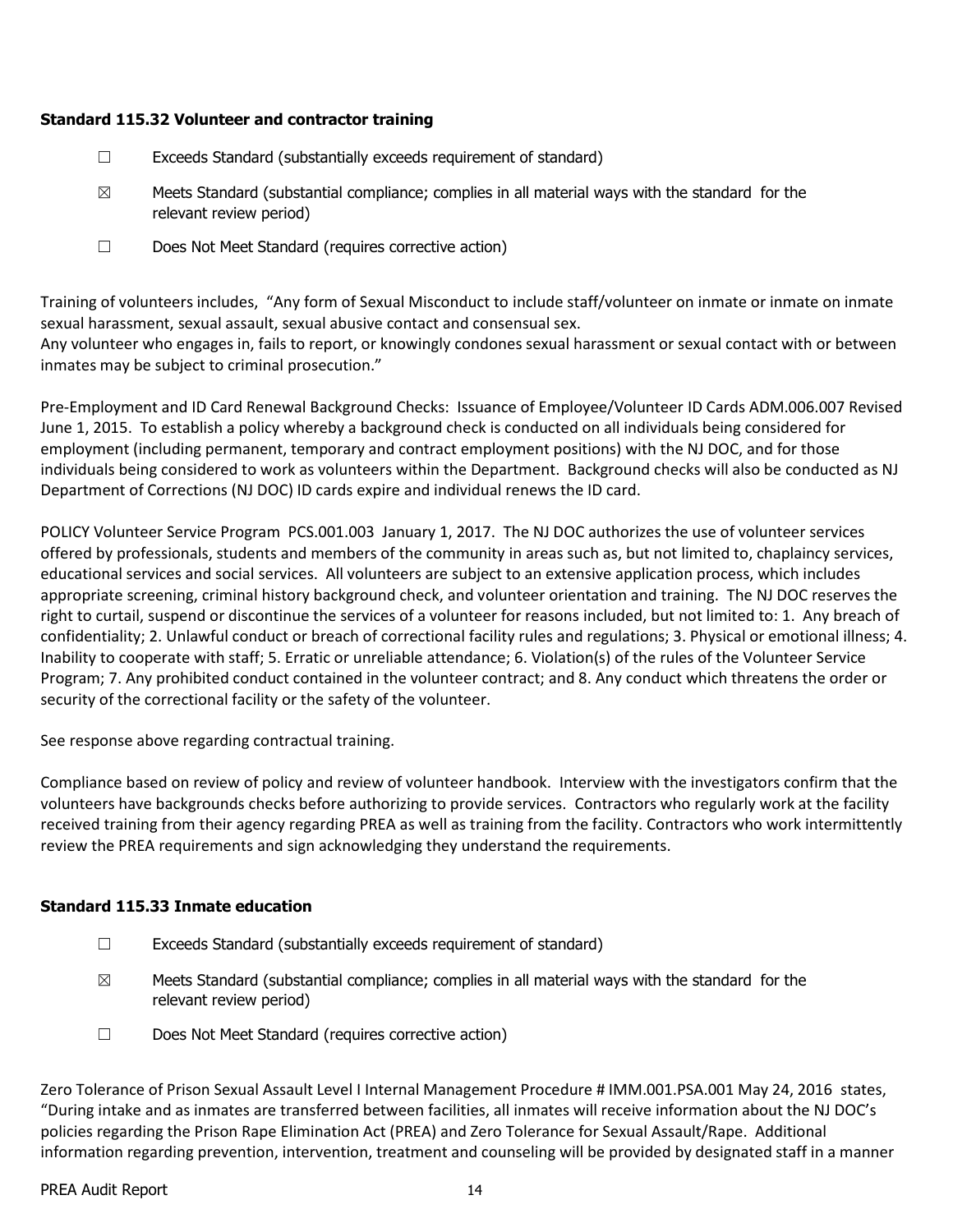## **Standard 115.32 Volunteer and contractor training**

- $\Box$  Exceeds Standard (substantially exceeds requirement of standard)
- $\boxtimes$  Meets Standard (substantial compliance; complies in all material ways with the standard for the relevant review period)
- ☐ Does Not Meet Standard (requires corrective action)

Training of volunteers includes, "Any form of Sexual Misconduct to include staff/volunteer on inmate or inmate on inmate sexual harassment, sexual assault, sexual abusive contact and consensual sex.

Any volunteer who engages in, fails to report, or knowingly condones sexual harassment or sexual contact with or between inmates may be subject to criminal prosecution."

Pre-Employment and ID Card Renewal Background Checks: Issuance of Employee/Volunteer ID Cards ADM.006.007 Revised June 1, 2015. To establish a policy whereby a background check is conducted on all individuals being considered for employment (including permanent, temporary and contract employment positions) with the NJ DOC, and for those individuals being considered to work as volunteers within the Department. Background checks will also be conducted as NJ Department of Corrections (NJ DOC) ID cards expire and individual renews the ID card.

POLICY Volunteer Service Program PCS.001.003 January 1, 2017. The NJ DOC authorizes the use of volunteer services offered by professionals, students and members of the community in areas such as, but not limited to, chaplaincy services, educational services and social services. All volunteers are subject to an extensive application process, which includes appropriate screening, criminal history background check, and volunteer orientation and training. The NJ DOC reserves the right to curtail, suspend or discontinue the services of a volunteer for reasons included, but not limited to: 1. Any breach of confidentiality; 2. Unlawful conduct or breach of correctional facility rules and regulations; 3. Physical or emotional illness; 4. Inability to cooperate with staff; 5. Erratic or unreliable attendance; 6. Violation(s) of the rules of the Volunteer Service Program; 7. Any prohibited conduct contained in the volunteer contract; and 8. Any conduct which threatens the order or security of the correctional facility or the safety of the volunteer.

See response above regarding contractual training.

Compliance based on review of policy and review of volunteer handbook. Interview with the investigators confirm that the volunteers have backgrounds checks before authorizing to provide services. Contractors who regularly work at the facility received training from their agency regarding PREA as well as training from the facility. Contractors who work intermittently review the PREA requirements and sign acknowledging they understand the requirements.

## **Standard 115.33 Inmate education**

- ☐ Exceeds Standard (substantially exceeds requirement of standard)
- $\boxtimes$  Meets Standard (substantial compliance; complies in all material ways with the standard for the relevant review period)
- ☐ Does Not Meet Standard (requires corrective action)

Zero Tolerance of Prison Sexual Assault Level I Internal Management Procedure # IMM.001.PSA.001 May 24, 2016 states, "During intake and as inmates are transferred between facilities, all inmates will receive information about the NJ DOC's policies regarding the Prison Rape Elimination Act (PREA) and Zero Tolerance for Sexual Assault/Rape. Additional information regarding prevention, intervention, treatment and counseling will be provided by designated staff in a manner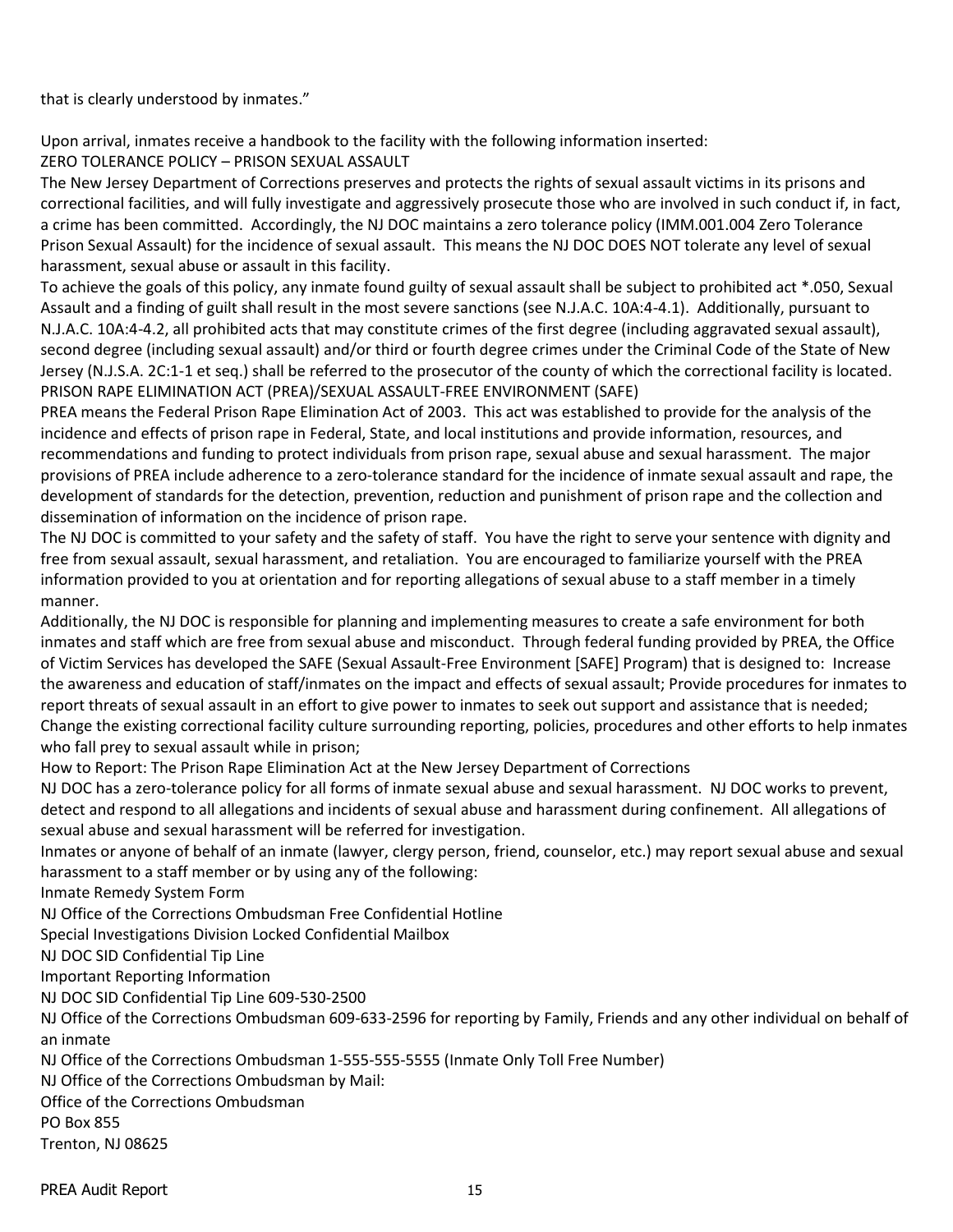that is clearly understood by inmates."

Upon arrival, inmates receive a handbook to the facility with the following information inserted: ZERO TOLERANCE POLICY – PRISON SEXUAL ASSAULT

The New Jersey Department of Corrections preserves and protects the rights of sexual assault victims in its prisons and correctional facilities, and will fully investigate and aggressively prosecute those who are involved in such conduct if, in fact, a crime has been committed. Accordingly, the NJ DOC maintains a zero tolerance policy (IMM.001.004 Zero Tolerance Prison Sexual Assault) for the incidence of sexual assault. This means the NJ DOC DOES NOT tolerate any level of sexual harassment, sexual abuse or assault in this facility.

To achieve the goals of this policy, any inmate found guilty of sexual assault shall be subject to prohibited act \*.050, Sexual Assault and a finding of guilt shall result in the most severe sanctions (see N.J.A.C. 10A:4-4.1). Additionally, pursuant to N.J.A.C. 10A:4-4.2, all prohibited acts that may constitute crimes of the first degree (including aggravated sexual assault), second degree (including sexual assault) and/or third or fourth degree crimes under the Criminal Code of the State of New Jersey (N.J.S.A. 2C:1-1 et seq.) shall be referred to the prosecutor of the county of which the correctional facility is located. PRISON RAPE ELIMINATION ACT (PREA)/SEXUAL ASSAULT-FREE ENVIRONMENT (SAFE)

PREA means the Federal Prison Rape Elimination Act of 2003. This act was established to provide for the analysis of the incidence and effects of prison rape in Federal, State, and local institutions and provide information, resources, and recommendations and funding to protect individuals from prison rape, sexual abuse and sexual harassment. The major provisions of PREA include adherence to a zero-tolerance standard for the incidence of inmate sexual assault and rape, the development of standards for the detection, prevention, reduction and punishment of prison rape and the collection and dissemination of information on the incidence of prison rape.

The NJ DOC is committed to your safety and the safety of staff. You have the right to serve your sentence with dignity and free from sexual assault, sexual harassment, and retaliation. You are encouraged to familiarize yourself with the PREA information provided to you at orientation and for reporting allegations of sexual abuse to a staff member in a timely manner.

Additionally, the NJ DOC is responsible for planning and implementing measures to create a safe environment for both inmates and staff which are free from sexual abuse and misconduct. Through federal funding provided by PREA, the Office of Victim Services has developed the SAFE (Sexual Assault-Free Environment [SAFE] Program) that is designed to: Increase the awareness and education of staff/inmates on the impact and effects of sexual assault; Provide procedures for inmates to report threats of sexual assault in an effort to give power to inmates to seek out support and assistance that is needed; Change the existing correctional facility culture surrounding reporting, policies, procedures and other efforts to help inmates who fall prey to sexual assault while in prison;

How to Report: The Prison Rape Elimination Act at the New Jersey Department of Corrections

NJ DOC has a zero-tolerance policy for all forms of inmate sexual abuse and sexual harassment. NJ DOC works to prevent, detect and respond to all allegations and incidents of sexual abuse and harassment during confinement. All allegations of sexual abuse and sexual harassment will be referred for investigation.

Inmates or anyone of behalf of an inmate (lawyer, clergy person, friend, counselor, etc.) may report sexual abuse and sexual harassment to a staff member or by using any of the following:

Inmate Remedy System Form

NJ Office of the Corrections Ombudsman Free Confidential Hotline

Special Investigations Division Locked Confidential Mailbox

NJ DOC SID Confidential Tip Line

Important Reporting Information

NJ DOC SID Confidential Tip Line 609-530-2500

NJ Office of the Corrections Ombudsman 609-633-2596 for reporting by Family, Friends and any other individual on behalf of an inmate

NJ Office of the Corrections Ombudsman 1-555-555-5555 (Inmate Only Toll Free Number)

NJ Office of the Corrections Ombudsman by Mail:

Office of the Corrections Ombudsman

PO Box 855

Trenton, NJ 08625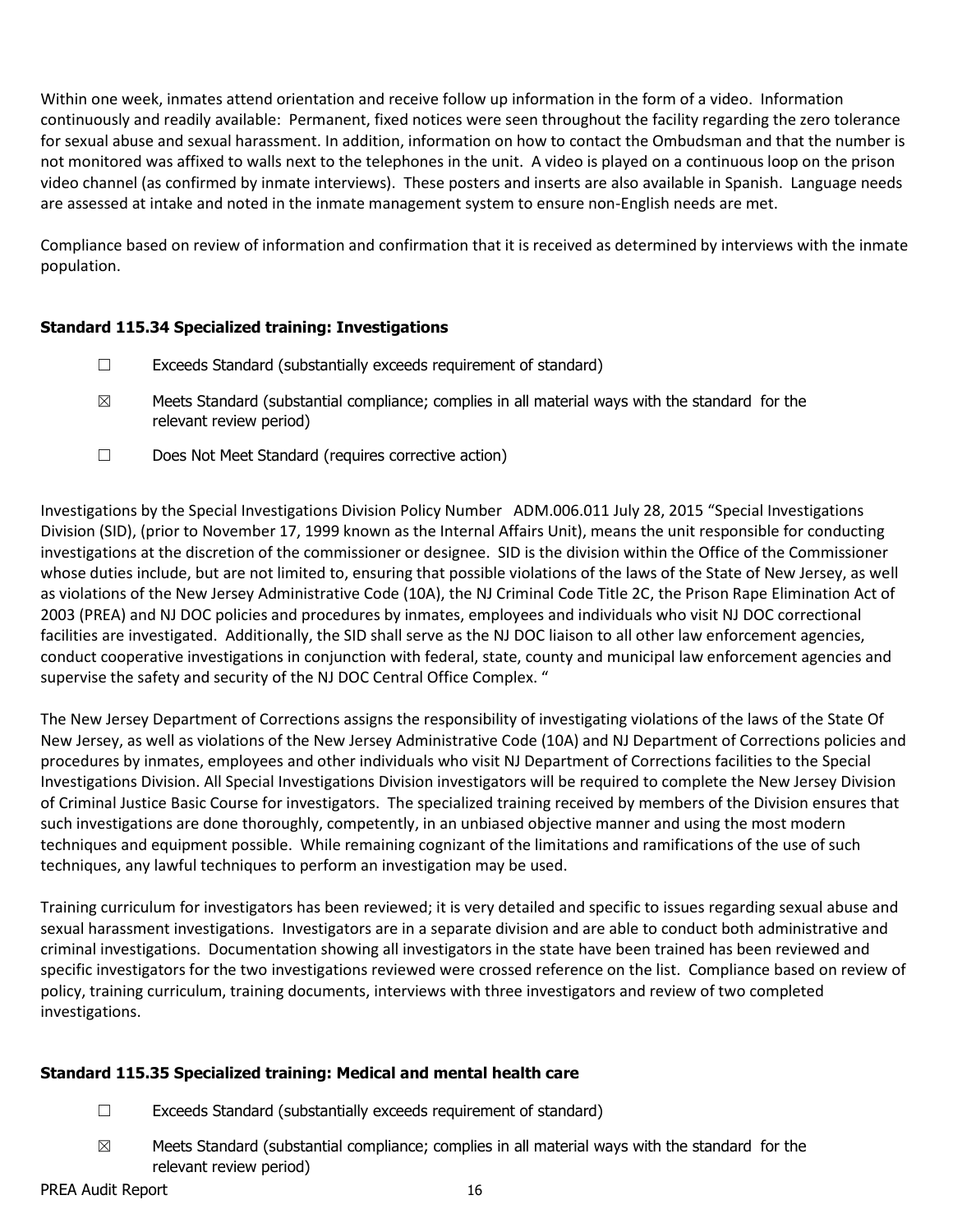Within one week, inmates attend orientation and receive follow up information in the form of a video. Information continuously and readily available: Permanent, fixed notices were seen throughout the facility regarding the zero tolerance for sexual abuse and sexual harassment. In addition, information on how to contact the Ombudsman and that the number is not monitored was affixed to walls next to the telephones in the unit. A video is played on a continuous loop on the prison video channel (as confirmed by inmate interviews). These posters and inserts are also available in Spanish. Language needs are assessed at intake and noted in the inmate management system to ensure non-English needs are met.

Compliance based on review of information and confirmation that it is received as determined by interviews with the inmate population.

#### **Standard 115.34 Specialized training: Investigations**

- ☐ Exceeds Standard (substantially exceeds requirement of standard)
- $\boxtimes$  Meets Standard (substantial compliance; complies in all material ways with the standard for the relevant review period)
- ☐ Does Not Meet Standard (requires corrective action)

Investigations by the Special Investigations Division Policy Number ADM.006.011 July 28, 2015 "Special Investigations Division (SID), (prior to November 17, 1999 known as the Internal Affairs Unit), means the unit responsible for conducting investigations at the discretion of the commissioner or designee. SID is the division within the Office of the Commissioner whose duties include, but are not limited to, ensuring that possible violations of the laws of the State of New Jersey, as well as violations of the New Jersey Administrative Code (10A), the NJ Criminal Code Title 2C, the Prison Rape Elimination Act of 2003 (PREA) and NJ DOC policies and procedures by inmates, employees and individuals who visit NJ DOC correctional facilities are investigated. Additionally, the SID shall serve as the NJ DOC liaison to all other law enforcement agencies, conduct cooperative investigations in conjunction with federal, state, county and municipal law enforcement agencies and supervise the safety and security of the NJ DOC Central Office Complex. "

The New Jersey Department of Corrections assigns the responsibility of investigating violations of the laws of the State Of New Jersey, as well as violations of the New Jersey Administrative Code (10A) and NJ Department of Corrections policies and procedures by inmates, employees and other individuals who visit NJ Department of Corrections facilities to the Special Investigations Division. All Special Investigations Division investigators will be required to complete the New Jersey Division of Criminal Justice Basic Course for investigators. The specialized training received by members of the Division ensures that such investigations are done thoroughly, competently, in an unbiased objective manner and using the most modern techniques and equipment possible. While remaining cognizant of the limitations and ramifications of the use of such techniques, any lawful techniques to perform an investigation may be used.

Training curriculum for investigators has been reviewed; it is very detailed and specific to issues regarding sexual abuse and sexual harassment investigations. Investigators are in a separate division and are able to conduct both administrative and criminal investigations. Documentation showing all investigators in the state have been trained has been reviewed and specific investigators for the two investigations reviewed were crossed reference on the list. Compliance based on review of policy, training curriculum, training documents, interviews with three investigators and review of two completed investigations.

## **Standard 115.35 Specialized training: Medical and mental health care**

- ☐ Exceeds Standard (substantially exceeds requirement of standard)
- $\boxtimes$  Meets Standard (substantial compliance; complies in all material ways with the standard for the relevant review period)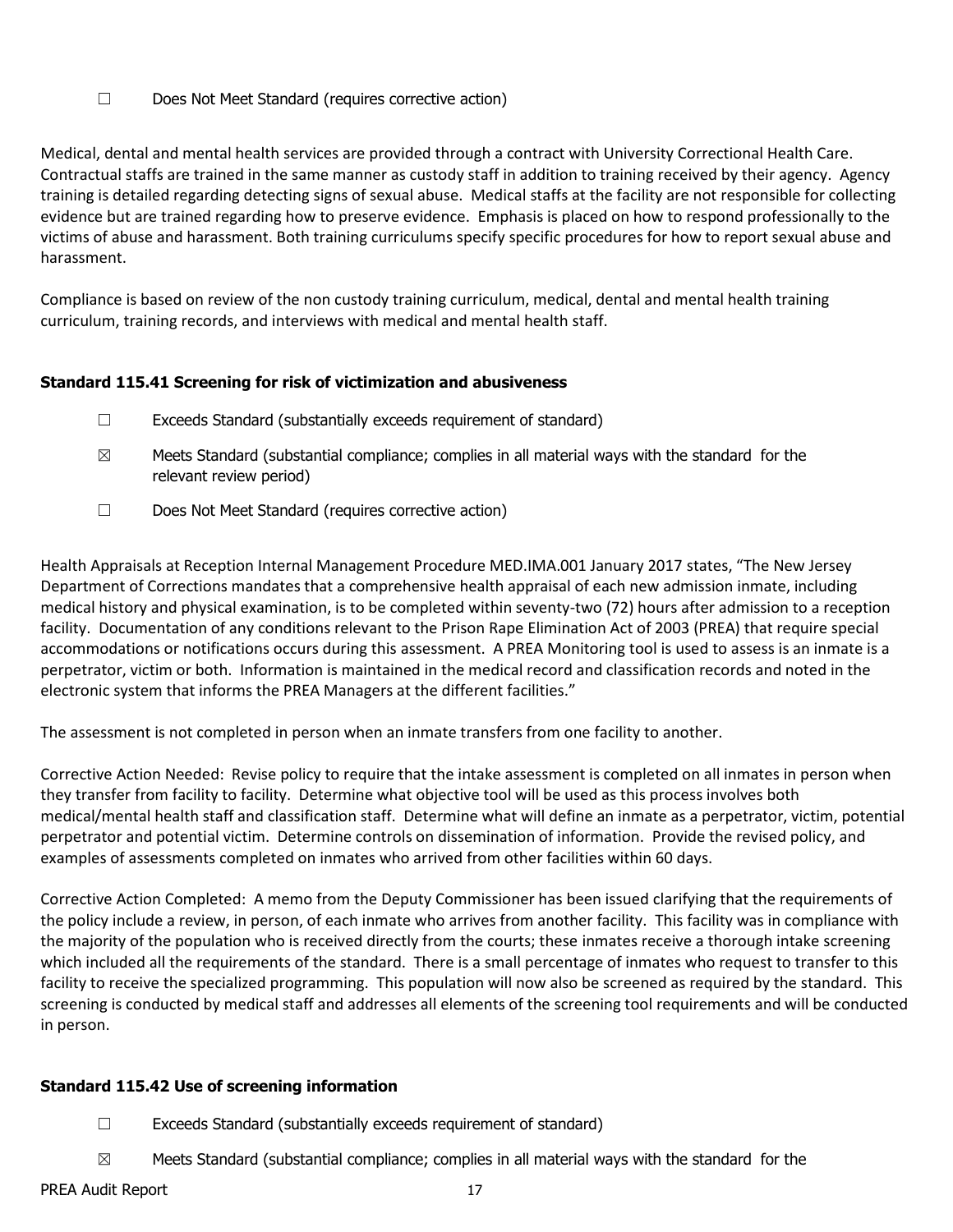☐ Does Not Meet Standard (requires corrective action)

Medical, dental and mental health services are provided through a contract with University Correctional Health Care. Contractual staffs are trained in the same manner as custody staff in addition to training received by their agency. Agency training is detailed regarding detecting signs of sexual abuse. Medical staffs at the facility are not responsible for collecting evidence but are trained regarding how to preserve evidence. Emphasis is placed on how to respond professionally to the victims of abuse and harassment. Both training curriculums specify specific procedures for how to report sexual abuse and harassment.

Compliance is based on review of the non custody training curriculum, medical, dental and mental health training curriculum, training records, and interviews with medical and mental health staff.

## **Standard 115.41 Screening for risk of victimization and abusiveness**

- ☐ Exceeds Standard (substantially exceeds requirement of standard)
- $\boxtimes$  Meets Standard (substantial compliance; complies in all material ways with the standard for the relevant review period)
- ☐ Does Not Meet Standard (requires corrective action)

Health Appraisals at Reception Internal Management Procedure MED.IMA.001 January 2017 states, "The New Jersey Department of Corrections mandates that a comprehensive health appraisal of each new admission inmate, including medical history and physical examination, is to be completed within seventy-two (72) hours after admission to a reception facility. Documentation of any conditions relevant to the Prison Rape Elimination Act of 2003 (PREA) that require special accommodations or notifications occurs during this assessment. A PREA Monitoring tool is used to assess is an inmate is a perpetrator, victim or both. Information is maintained in the medical record and classification records and noted in the electronic system that informs the PREA Managers at the different facilities."

The assessment is not completed in person when an inmate transfers from one facility to another.

Corrective Action Needed: Revise policy to require that the intake assessment is completed on all inmates in person when they transfer from facility to facility. Determine what objective tool will be used as this process involves both medical/mental health staff and classification staff. Determine what will define an inmate as a perpetrator, victim, potential perpetrator and potential victim. Determine controls on dissemination of information. Provide the revised policy, and examples of assessments completed on inmates who arrived from other facilities within 60 days.

Corrective Action Completed: A memo from the Deputy Commissioner has been issued clarifying that the requirements of the policy include a review, in person, of each inmate who arrives from another facility. This facility was in compliance with the majority of the population who is received directly from the courts; these inmates receive a thorough intake screening which included all the requirements of the standard. There is a small percentage of inmates who request to transfer to this facility to receive the specialized programming. This population will now also be screened as required by the standard. This screening is conducted by medical staff and addresses all elements of the screening tool requirements and will be conducted in person.

## **Standard 115.42 Use of screening information**

- ☐ Exceeds Standard (substantially exceeds requirement of standard)
- $\boxtimes$  Meets Standard (substantial compliance; complies in all material ways with the standard for the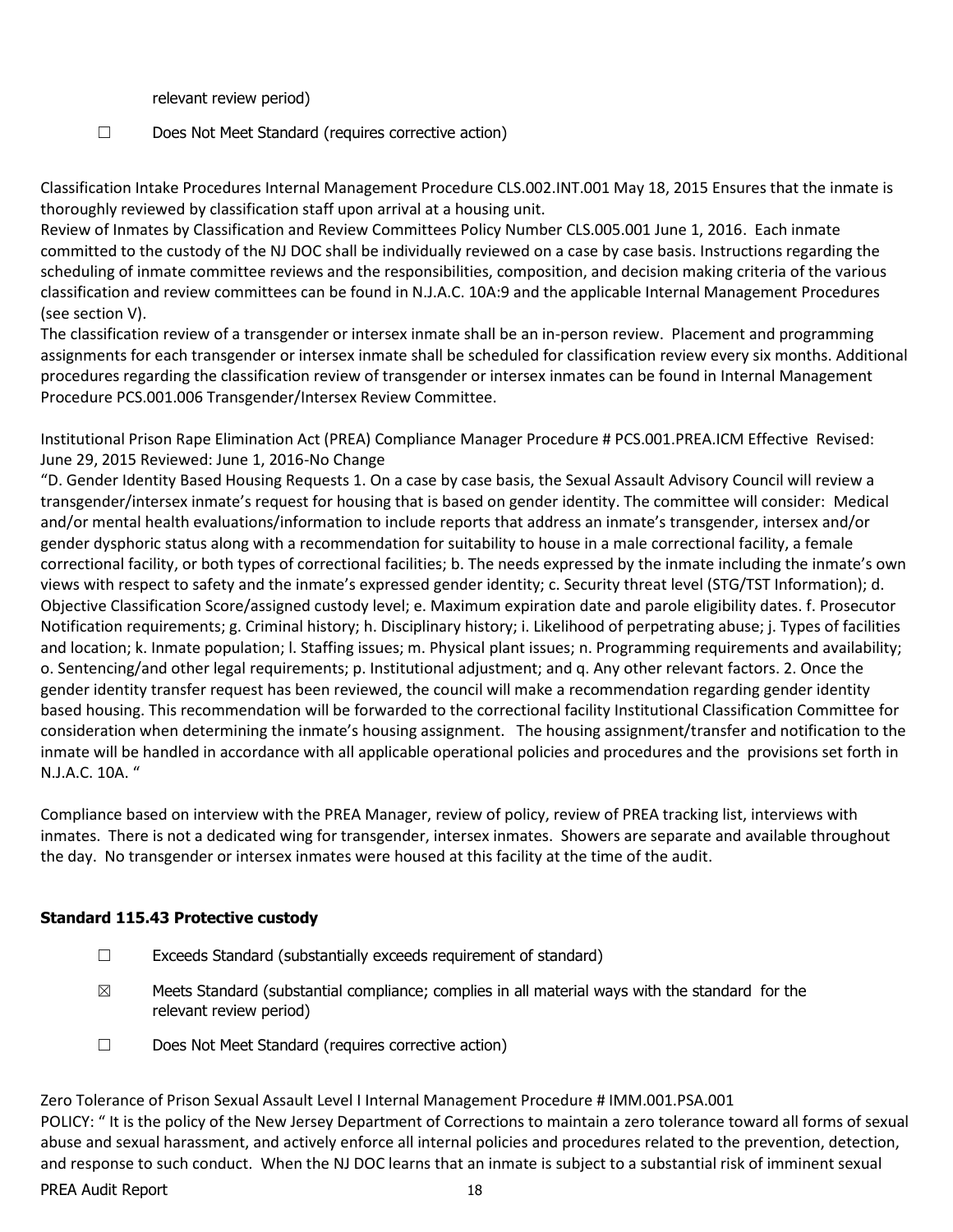relevant review period)

☐ Does Not Meet Standard (requires corrective action)

Classification Intake Procedures Internal Management Procedure CLS.002.INT.001 May 18, 2015 Ensures that the inmate is thoroughly reviewed by classification staff upon arrival at a housing unit.

Review of Inmates by Classification and Review Committees Policy Number CLS.005.001 June 1, 2016. Each inmate committed to the custody of the NJ DOC shall be individually reviewed on a case by case basis. Instructions regarding the scheduling of inmate committee reviews and the responsibilities, composition, and decision making criteria of the various classification and review committees can be found in N.J.A.C. 10A:9 and the applicable Internal Management Procedures (see section V).

The classification review of a transgender or intersex inmate shall be an in-person review. Placement and programming assignments for each transgender or intersex inmate shall be scheduled for classification review every six months. Additional procedures regarding the classification review of transgender or intersex inmates can be found in Internal Management Procedure PCS.001.006 Transgender/Intersex Review Committee.

Institutional Prison Rape Elimination Act (PREA) Compliance Manager Procedure # PCS.001.PREA.ICM Effective Revised: June 29, 2015 Reviewed: June 1, 2016-No Change

"D. Gender Identity Based Housing Requests 1. On a case by case basis, the Sexual Assault Advisory Council will review a transgender/intersex inmate's request for housing that is based on gender identity. The committee will consider: Medical and/or mental health evaluations/information to include reports that address an inmate's transgender, intersex and/or gender dysphoric status along with a recommendation for suitability to house in a male correctional facility, a female correctional facility, or both types of correctional facilities; b. The needs expressed by the inmate including the inmate's own views with respect to safety and the inmate's expressed gender identity; c. Security threat level (STG/TST Information); d. Objective Classification Score/assigned custody level; e. Maximum expiration date and parole eligibility dates. f. Prosecutor Notification requirements; g. Criminal history; h. Disciplinary history; i. Likelihood of perpetrating abuse; j. Types of facilities and location; k. Inmate population; l. Staffing issues; m. Physical plant issues; n. Programming requirements and availability; o. Sentencing/and other legal requirements; p. Institutional adjustment; and q. Any other relevant factors. 2. Once the gender identity transfer request has been reviewed, the council will make a recommendation regarding gender identity based housing. This recommendation will be forwarded to the correctional facility Institutional Classification Committee for consideration when determining the inmate's housing assignment. The housing assignment/transfer and notification to the inmate will be handled in accordance with all applicable operational policies and procedures and the provisions set forth in N.J.A.C. 10A. "

Compliance based on interview with the PREA Manager, review of policy, review of PREA tracking list, interviews with inmates. There is not a dedicated wing for transgender, intersex inmates. Showers are separate and available throughout the day. No transgender or intersex inmates were housed at this facility at the time of the audit.

## **Standard 115.43 Protective custody**

- $\Box$  Exceeds Standard (substantially exceeds requirement of standard)
- $\boxtimes$  Meets Standard (substantial compliance; complies in all material ways with the standard for the relevant review period)
- ☐ Does Not Meet Standard (requires corrective action)

PREA Audit Report 18 Zero Tolerance of Prison Sexual Assault Level I Internal Management Procedure # IMM.001.PSA.001 POLICY: " It is the policy of the New Jersey Department of Corrections to maintain a zero tolerance toward all forms of sexual abuse and sexual harassment, and actively enforce all internal policies and procedures related to the prevention, detection, and response to such conduct. When the NJ DOC learns that an inmate is subject to a substantial risk of imminent sexual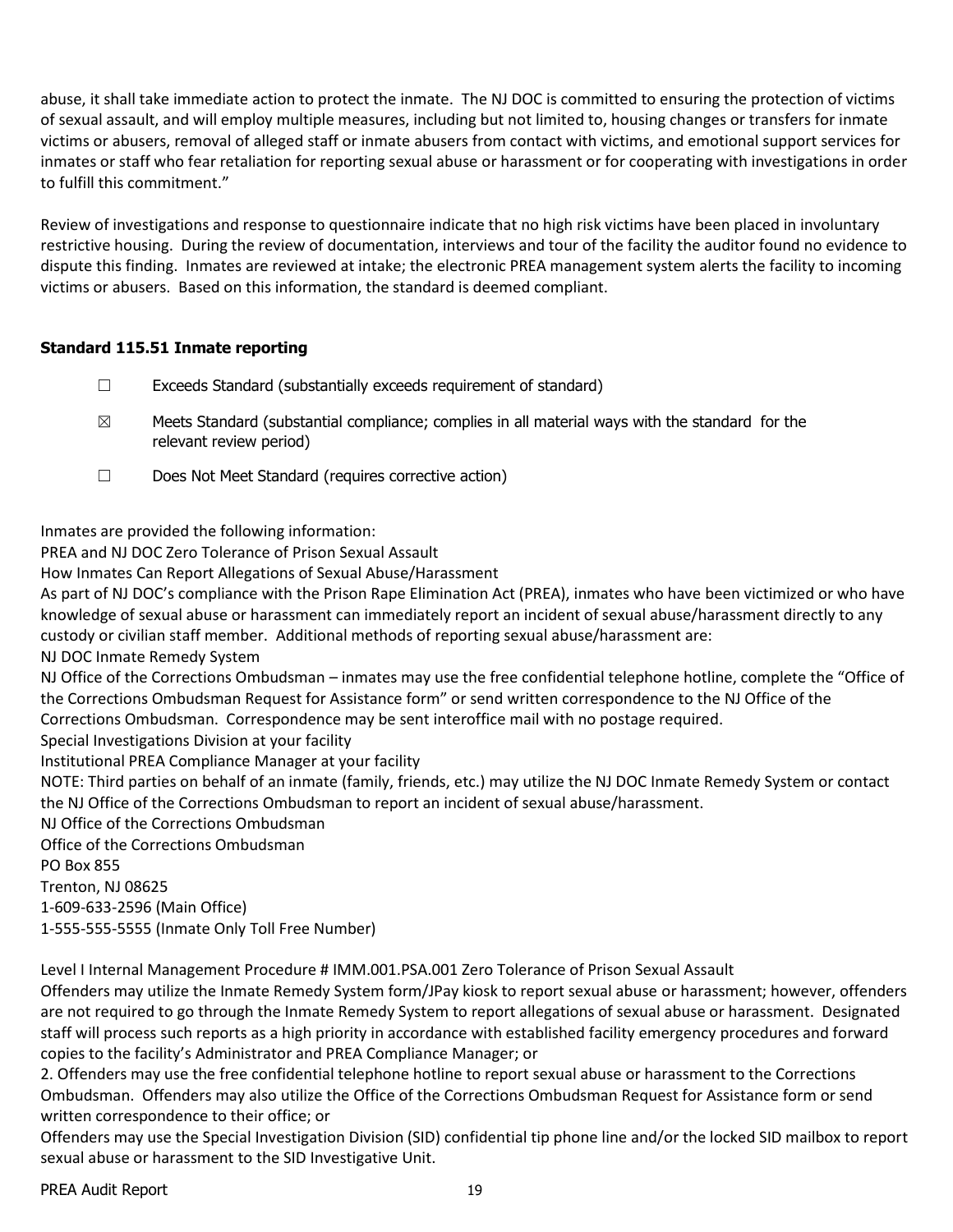abuse, it shall take immediate action to protect the inmate. The NJ DOC is committed to ensuring the protection of victims of sexual assault, and will employ multiple measures, including but not limited to, housing changes or transfers for inmate victims or abusers, removal of alleged staff or inmate abusers from contact with victims, and emotional support services for inmates or staff who fear retaliation for reporting sexual abuse or harassment or for cooperating with investigations in order to fulfill this commitment."

Review of investigations and response to questionnaire indicate that no high risk victims have been placed in involuntary restrictive housing. During the review of documentation, interviews and tour of the facility the auditor found no evidence to dispute this finding. Inmates are reviewed at intake; the electronic PREA management system alerts the facility to incoming victims or abusers. Based on this information, the standard is deemed compliant.

## **Standard 115.51 Inmate reporting**

- ☐ Exceeds Standard (substantially exceeds requirement of standard)
- $\boxtimes$  Meets Standard (substantial compliance; complies in all material ways with the standard for the relevant review period)
- ☐ Does Not Meet Standard (requires corrective action)

Inmates are provided the following information:

PREA and NJ DOC Zero Tolerance of Prison Sexual Assault

How Inmates Can Report Allegations of Sexual Abuse/Harassment

As part of NJ DOC's compliance with the Prison Rape Elimination Act (PREA), inmates who have been victimized or who have knowledge of sexual abuse or harassment can immediately report an incident of sexual abuse/harassment directly to any custody or civilian staff member. Additional methods of reporting sexual abuse/harassment are:

NJ DOC Inmate Remedy System

NJ Office of the Corrections Ombudsman – inmates may use the free confidential telephone hotline, complete the "Office of the Corrections Ombudsman Request for Assistance form" or send written correspondence to the NJ Office of the Corrections Ombudsman. Correspondence may be sent interoffice mail with no postage required.

Special Investigations Division at your facility

Institutional PREA Compliance Manager at your facility

NOTE: Third parties on behalf of an inmate (family, friends, etc.) may utilize the NJ DOC Inmate Remedy System or contact the NJ Office of the Corrections Ombudsman to report an incident of sexual abuse/harassment.

NJ Office of the Corrections Ombudsman

Office of the Corrections Ombudsman

PO Box 855

Trenton, NJ 08625

1-609-633-2596 (Main Office)

1-555-555-5555 (Inmate Only Toll Free Number)

Level I Internal Management Procedure # IMM.001.PSA.001 Zero Tolerance of Prison Sexual Assault

Offenders may utilize the Inmate Remedy System form/JPay kiosk to report sexual abuse or harassment; however, offenders are not required to go through the Inmate Remedy System to report allegations of sexual abuse or harassment. Designated staff will process such reports as a high priority in accordance with established facility emergency procedures and forward copies to the facility's Administrator and PREA Compliance Manager; or

2. Offenders may use the free confidential telephone hotline to report sexual abuse or harassment to the Corrections Ombudsman. Offenders may also utilize the Office of the Corrections Ombudsman Request for Assistance form or send written correspondence to their office; or

Offenders may use the Special Investigation Division (SID) confidential tip phone line and/or the locked SID mailbox to report sexual abuse or harassment to the SID Investigative Unit.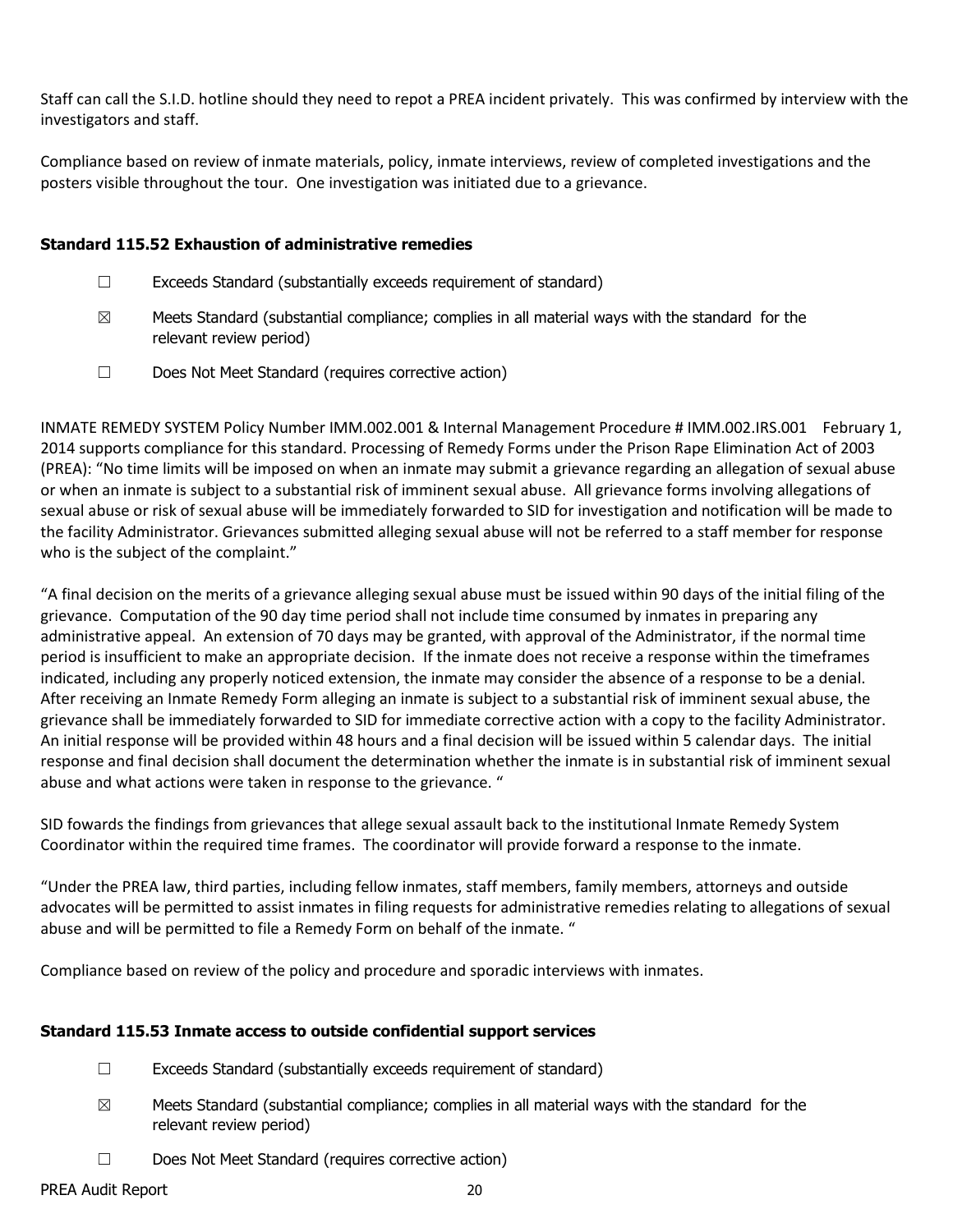Staff can call the S.I.D. hotline should they need to repot a PREA incident privately. This was confirmed by interview with the investigators and staff.

Compliance based on review of inmate materials, policy, inmate interviews, review of completed investigations and the posters visible throughout the tour. One investigation was initiated due to a grievance.

#### **Standard 115.52 Exhaustion of administrative remedies**

- ☐ Exceeds Standard (substantially exceeds requirement of standard)
- $\boxtimes$  Meets Standard (substantial compliance; complies in all material ways with the standard for the relevant review period)
- ☐ Does Not Meet Standard (requires corrective action)

INMATE REMEDY SYSTEM Policy Number IMM.002.001 & Internal Management Procedure # IMM.002.IRS.001 February 1, 2014 supports compliance for this standard. Processing of Remedy Forms under the Prison Rape Elimination Act of 2003 (PREA): "No time limits will be imposed on when an inmate may submit a grievance regarding an allegation of sexual abuse or when an inmate is subject to a substantial risk of imminent sexual abuse. All grievance forms involving allegations of sexual abuse or risk of sexual abuse will be immediately forwarded to SID for investigation and notification will be made to the facility Administrator. Grievances submitted alleging sexual abuse will not be referred to a staff member for response who is the subject of the complaint."

"A final decision on the merits of a grievance alleging sexual abuse must be issued within 90 days of the initial filing of the grievance. Computation of the 90 day time period shall not include time consumed by inmates in preparing any administrative appeal. An extension of 70 days may be granted, with approval of the Administrator, if the normal time period is insufficient to make an appropriate decision. If the inmate does not receive a response within the timeframes indicated, including any properly noticed extension, the inmate may consider the absence of a response to be a denial. After receiving an Inmate Remedy Form alleging an inmate is subject to a substantial risk of imminent sexual abuse, the grievance shall be immediately forwarded to SID for immediate corrective action with a copy to the facility Administrator. An initial response will be provided within 48 hours and a final decision will be issued within 5 calendar days. The initial response and final decision shall document the determination whether the inmate is in substantial risk of imminent sexual abuse and what actions were taken in response to the grievance. "

SID fowards the findings from grievances that allege sexual assault back to the institutional Inmate Remedy System Coordinator within the required time frames. The coordinator will provide forward a response to the inmate.

"Under the PREA law, third parties, including fellow inmates, staff members, family members, attorneys and outside advocates will be permitted to assist inmates in filing requests for administrative remedies relating to allegations of sexual abuse and will be permitted to file a Remedy Form on behalf of the inmate. "

Compliance based on review of the policy and procedure and sporadic interviews with inmates.

#### **Standard 115.53 Inmate access to outside confidential support services**

- ☐ Exceeds Standard (substantially exceeds requirement of standard)
- $\boxtimes$  Meets Standard (substantial compliance; complies in all material ways with the standard for the relevant review period)
- ☐ Does Not Meet Standard (requires corrective action)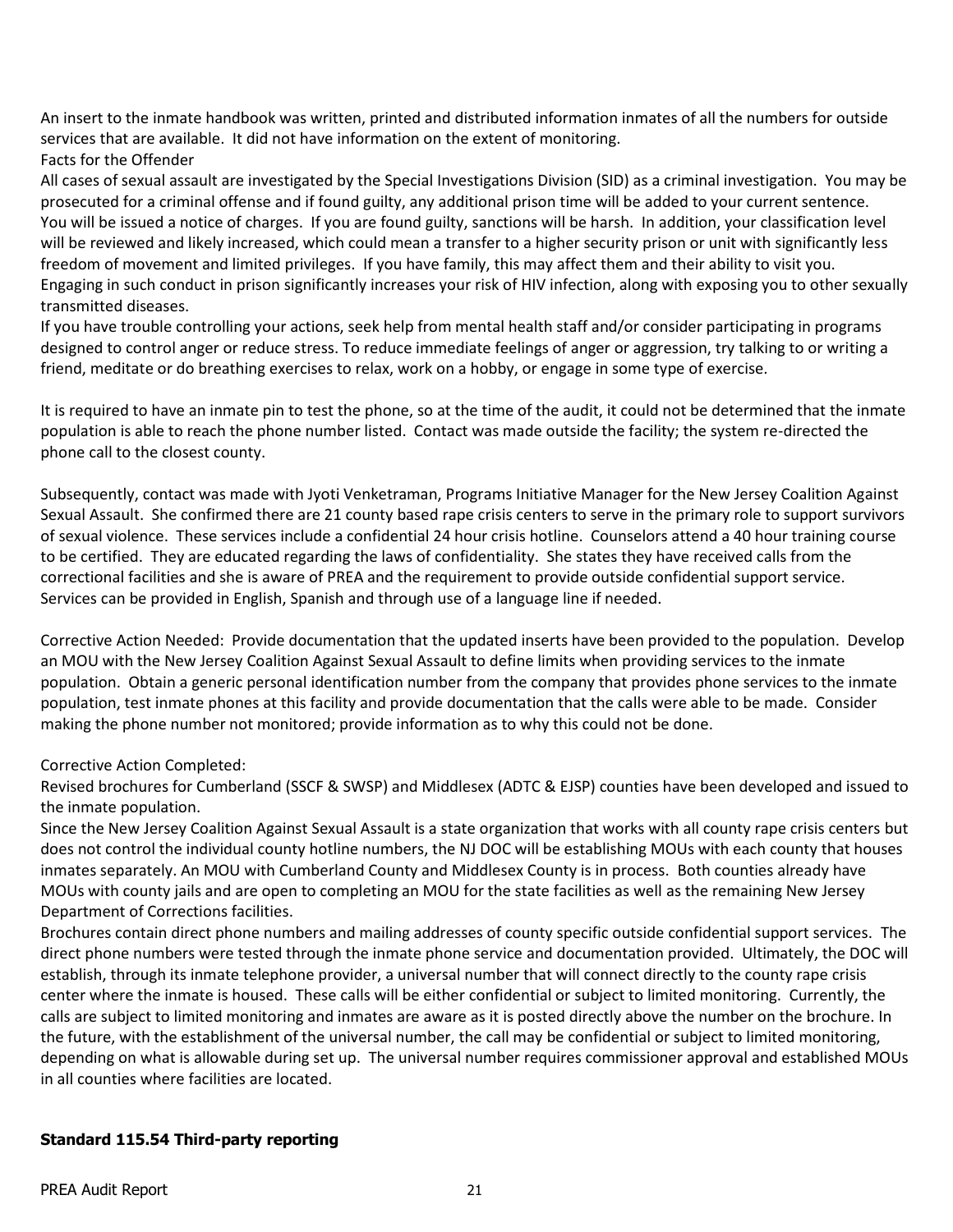An insert to the inmate handbook was written, printed and distributed information inmates of all the numbers for outside services that are available. It did not have information on the extent of monitoring.

#### Facts for the Offender

All cases of sexual assault are investigated by the Special Investigations Division (SID) as a criminal investigation. You may be prosecuted for a criminal offense and if found guilty, any additional prison time will be added to your current sentence. You will be issued a notice of charges. If you are found guilty, sanctions will be harsh. In addition, your classification level will be reviewed and likely increased, which could mean a transfer to a higher security prison or unit with significantly less freedom of movement and limited privileges. If you have family, this may affect them and their ability to visit you. Engaging in such conduct in prison significantly increases your risk of HIV infection, along with exposing you to other sexually transmitted diseases.

If you have trouble controlling your actions, seek help from mental health staff and/or consider participating in programs designed to control anger or reduce stress. To reduce immediate feelings of anger or aggression, try talking to or writing a friend, meditate or do breathing exercises to relax, work on a hobby, or engage in some type of exercise.

It is required to have an inmate pin to test the phone, so at the time of the audit, it could not be determined that the inmate population is able to reach the phone number listed. Contact was made outside the facility; the system re-directed the phone call to the closest county.

Subsequently, contact was made with Jyoti Venketraman, Programs Initiative Manager for the New Jersey Coalition Against Sexual Assault. She confirmed there are 21 county based rape crisis centers to serve in the primary role to support survivors of sexual violence. These services include a confidential 24 hour crisis hotline. Counselors attend a 40 hour training course to be certified. They are educated regarding the laws of confidentiality. She states they have received calls from the correctional facilities and she is aware of PREA and the requirement to provide outside confidential support service. Services can be provided in English, Spanish and through use of a language line if needed.

Corrective Action Needed: Provide documentation that the updated inserts have been provided to the population. Develop an MOU with the New Jersey Coalition Against Sexual Assault to define limits when providing services to the inmate population. Obtain a generic personal identification number from the company that provides phone services to the inmate population, test inmate phones at this facility and provide documentation that the calls were able to be made. Consider making the phone number not monitored; provide information as to why this could not be done.

## Corrective Action Completed:

Revised brochures for Cumberland (SSCF & SWSP) and Middlesex (ADTC & EJSP) counties have been developed and issued to the inmate population.

Since the New Jersey Coalition Against Sexual Assault is a state organization that works with all county rape crisis centers but does not control the individual county hotline numbers, the NJ DOC will be establishing MOUs with each county that houses inmates separately. An MOU with Cumberland County and Middlesex County is in process. Both counties already have MOUs with county jails and are open to completing an MOU for the state facilities as well as the remaining New Jersey Department of Corrections facilities.

Brochures contain direct phone numbers and mailing addresses of county specific outside confidential support services. The direct phone numbers were tested through the inmate phone service and documentation provided. Ultimately, the DOC will establish, through its inmate telephone provider, a universal number that will connect directly to the county rape crisis center where the inmate is housed. These calls will be either confidential or subject to limited monitoring. Currently, the calls are subject to limited monitoring and inmates are aware as it is posted directly above the number on the brochure. In the future, with the establishment of the universal number, the call may be confidential or subject to limited monitoring, depending on what is allowable during set up. The universal number requires commissioner approval and established MOUs in all counties where facilities are located.

## **Standard 115.54 Third-party reporting**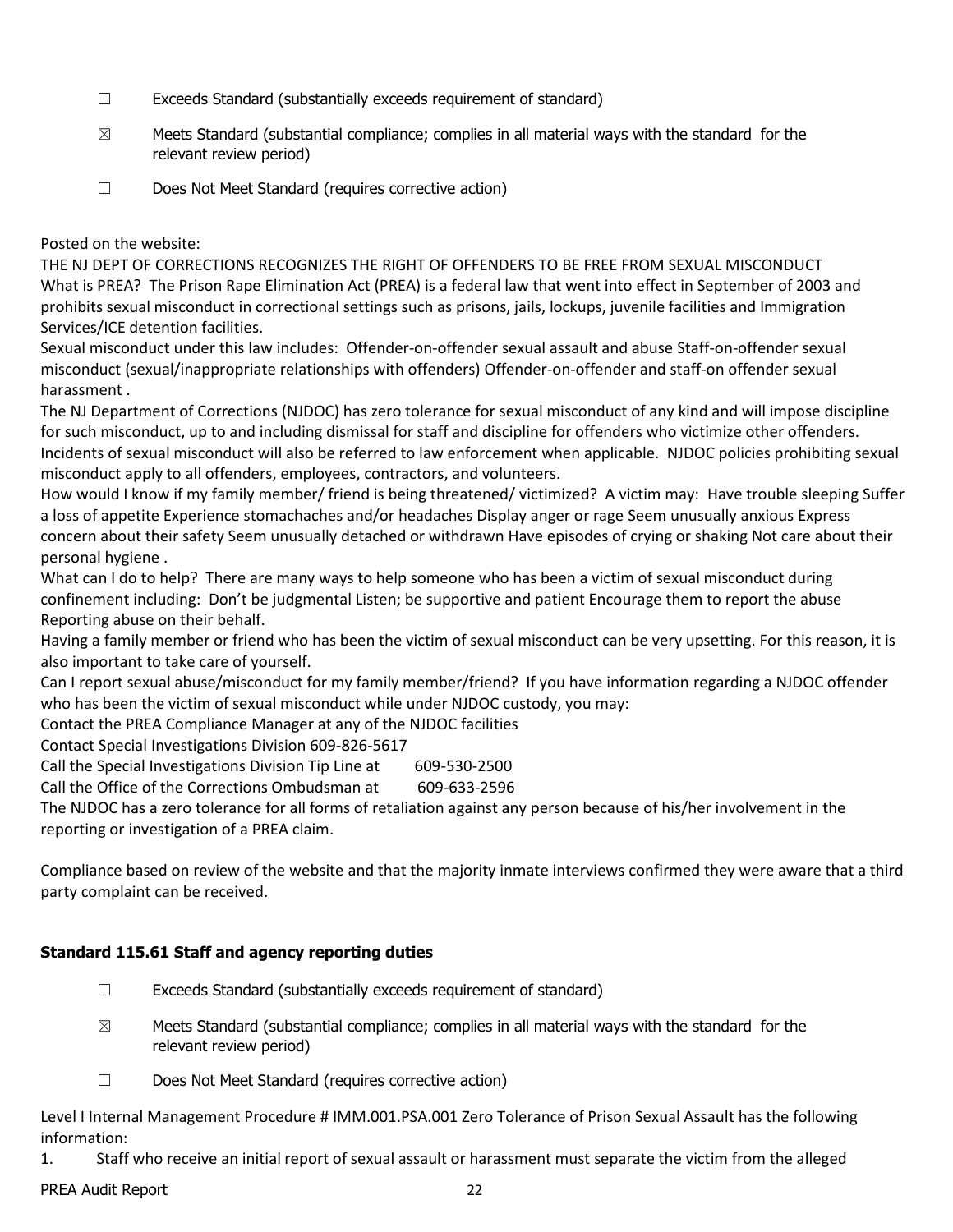- ☐ Exceeds Standard (substantially exceeds requirement of standard)
- $\boxtimes$  Meets Standard (substantial compliance; complies in all material ways with the standard for the relevant review period)
- ☐ Does Not Meet Standard (requires corrective action)

Posted on the website:

THE NJ DEPT OF CORRECTIONS RECOGNIZES THE RIGHT OF OFFENDERS TO BE FREE FROM SEXUAL MISCONDUCT What is PREA? The Prison Rape Elimination Act (PREA) is a federal law that went into effect in September of 2003 and prohibits sexual misconduct in correctional settings such as prisons, jails, lockups, juvenile facilities and Immigration Services/ICE detention facilities.

Sexual misconduct under this law includes: Offender-on-offender sexual assault and abuse Staff-on-offender sexual misconduct (sexual/inappropriate relationships with offenders) Offender-on-offender and staff-on offender sexual harassment .

The NJ Department of Corrections (NJDOC) has zero tolerance for sexual misconduct of any kind and will impose discipline for such misconduct, up to and including dismissal for staff and discipline for offenders who victimize other offenders. Incidents of sexual misconduct will also be referred to law enforcement when applicable. NJDOC policies prohibiting sexual misconduct apply to all offenders, employees, contractors, and volunteers.

How would I know if my family member/ friend is being threatened/ victimized? A victim may: Have trouble sleeping Suffer a loss of appetite Experience stomachaches and/or headaches Display anger or rage Seem unusually anxious Express concern about their safety Seem unusually detached or withdrawn Have episodes of crying or shaking Not care about their personal hygiene .

What can I do to help? There are many ways to help someone who has been a victim of sexual misconduct during confinement including: Don't be judgmental Listen; be supportive and patient Encourage them to report the abuse Reporting abuse on their behalf.

Having a family member or friend who has been the victim of sexual misconduct can be very upsetting. For this reason, it is also important to take care of yourself.

Can I report sexual abuse/misconduct for my family member/friend? If you have information regarding a NJDOC offender who has been the victim of sexual misconduct while under NJDOC custody, you may:

Contact the PREA Compliance Manager at any of the NJDOC facilities

Contact Special Investigations Division 609-826-5617

Call the Special Investigations Division Tip Line at 609-530-2500

Call the Office of the Corrections Ombudsman at 609-633-2596

The NJDOC has a zero tolerance for all forms of retaliation against any person because of his/her involvement in the reporting or investigation of a PREA claim.

Compliance based on review of the website and that the majority inmate interviews confirmed they were aware that a third party complaint can be received.

## **Standard 115.61 Staff and agency reporting duties**

- ☐ Exceeds Standard (substantially exceeds requirement of standard)
- $\boxtimes$  Meets Standard (substantial compliance; complies in all material ways with the standard for the relevant review period)
- ☐ Does Not Meet Standard (requires corrective action)

Level I Internal Management Procedure # IMM.001.PSA.001 Zero Tolerance of Prison Sexual Assault has the following information:

1. Staff who receive an initial report of sexual assault or harassment must separate the victim from the alleged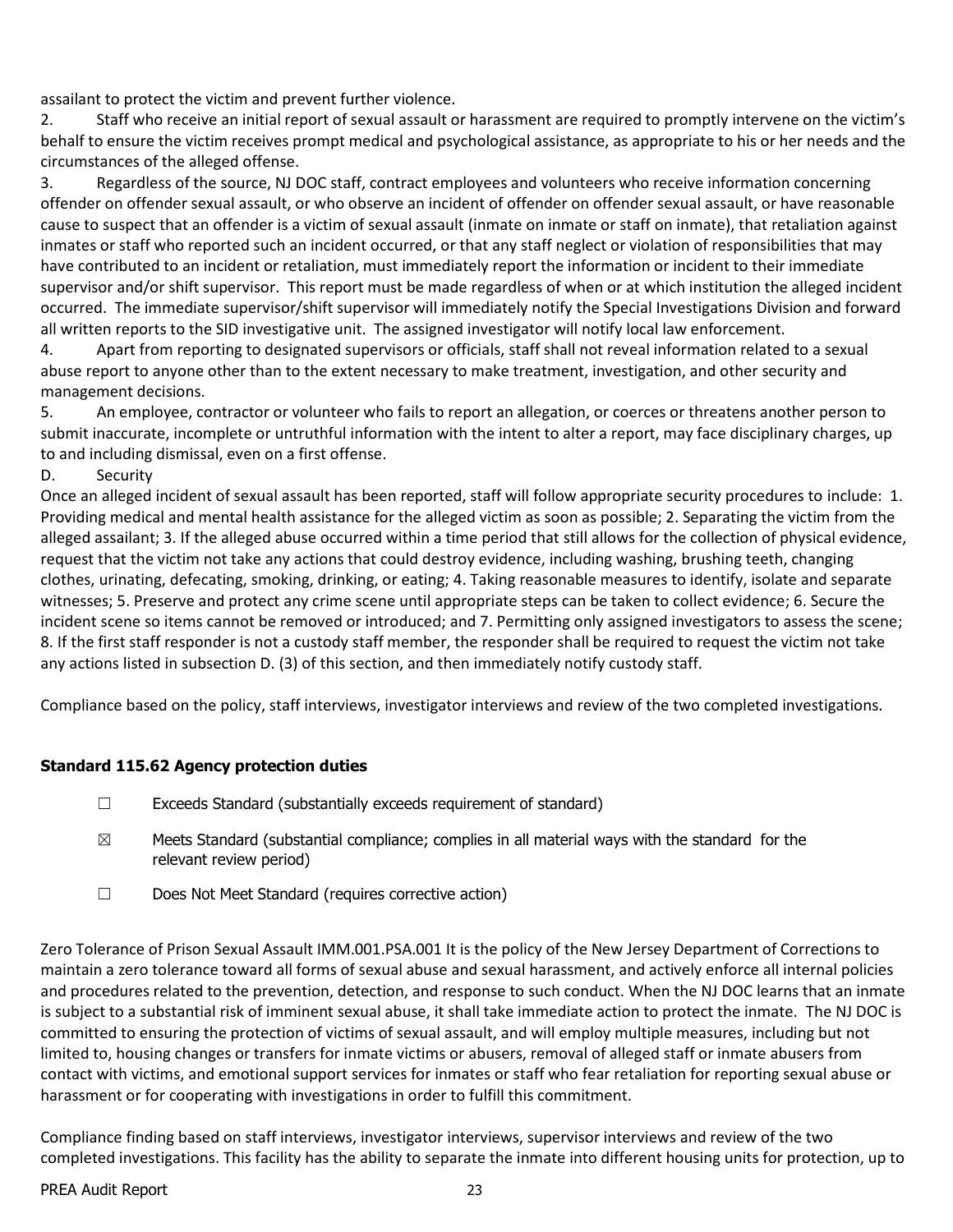assailant to protect the victim and prevent further violence.

2. Staff who receive an initial report of sexual assault or harassment are required to promptly intervene on the victim's behalf to ensure the victim receives prompt medical and psychological assistance, as appropriate to his or her needs and the circumstances of the alleged offense.

3. Regardless of the source, NJ DOC staff, contract employees and volunteers who receive information concerning offender on offender sexual assault, or who observe an incident of offender on offender sexual assault, or have reasonable cause to suspect that an offender is a victim of sexual assault (inmate on inmate or staff on inmate), that retaliation against inmates or staff who reported such an incident occurred, or that any staff neglect or violation of responsibilities that may have contributed to an incident or retaliation, must immediately report the information or incident to their immediate supervisor and/or shift supervisor. This report must be made regardless of when or at which institution the alleged incident occurred. The immediate supervisor/shift supervisor will immediately notify the Special Investigations Division and forward all written reports to the SID investigative unit. The assigned investigator will notify local law enforcement.

4. Apart from reporting to designated supervisors or officials, staff shall not reveal information related to a sexual abuse report to anyone other than to the extent necessary to make treatment, investigation, and other security and management decisions.

5. An employee, contractor or volunteer who fails to report an allegation, or coerces or threatens another person to submit inaccurate, incomplete or untruthful information with the intent to alter a report, may face disciplinary charges, up to and including dismissal, even on a first offense.

D. Security

Once an alleged incident of sexual assault has been reported, staff will follow appropriate security procedures to include: 1. Providing medical and mental health assistance for the alleged victim as soon as possible; 2. Separating the victim from the alleged assailant; 3. If the alleged abuse occurred within a time period that still allows for the collection of physical evidence, request that the victim not take any actions that could destroy evidence, including washing, brushing teeth, changing clothes, urinating, defecating, smoking, drinking, or eating; 4. Taking reasonable measures to identify, isolate and separate witnesses; 5. Preserve and protect any crime scene until appropriate steps can be taken to collect evidence; 6. Secure the incident scene so items cannot be removed or introduced; and 7. Permitting only assigned investigators to assess the scene; 8. If the first staff responder is not a custody staff member, the responder shall be required to request the victim not take any actions listed in subsection D. (3) of this section, and then immediately notify custody staff.

Compliance based on the policy, staff interviews, investigator interviews and review of the two completed investigations.

## **Standard 115.62 Agency protection duties**

- ☐ Exceeds Standard (substantially exceeds requirement of standard)
- $\boxtimes$  Meets Standard (substantial compliance; complies in all material ways with the standard for the relevant review period)
- ☐ Does Not Meet Standard (requires corrective action)

Zero Tolerance of Prison Sexual Assault IMM.001.PSA.001 It is the policy of the New Jersey Department of Corrections to maintain a zero tolerance toward all forms of sexual abuse and sexual harassment, and actively enforce all internal policies and procedures related to the prevention, detection, and response to such conduct. When the NJ DOC learns that an inmate is subject to a substantial risk of imminent sexual abuse, it shall take immediate action to protect the inmate. The NJ DOC is committed to ensuring the protection of victims of sexual assault, and will employ multiple measures, including but not limited to, housing changes or transfers for inmate victims or abusers, removal of alleged staff or inmate abusers from contact with victims, and emotional support services for inmates or staff who fear retaliation for reporting sexual abuse or harassment or for cooperating with investigations in order to fulfill this commitment.

Compliance finding based on staff interviews, investigator interviews, supervisor interviews and review of the two completed investigations. This facility has the ability to separate the inmate into different housing units for protection, up to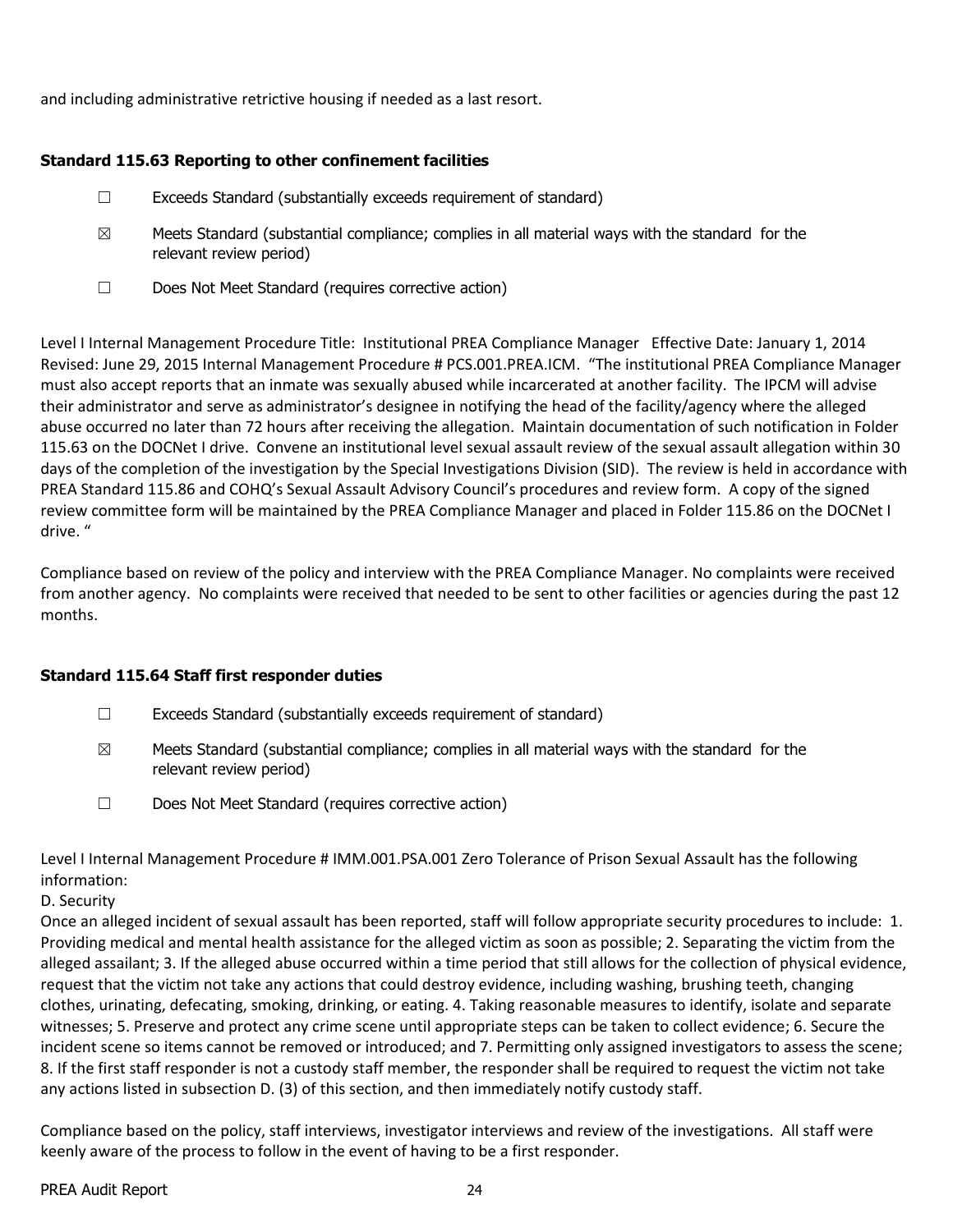and including administrative retrictive housing if needed as a last resort.

#### **Standard 115.63 Reporting to other confinement facilities**

- $\Box$  Exceeds Standard (substantially exceeds requirement of standard)
- $\boxtimes$  Meets Standard (substantial compliance; complies in all material ways with the standard for the relevant review period)
- ☐ Does Not Meet Standard (requires corrective action)

Level I Internal Management Procedure Title: Institutional PREA Compliance Manager Effective Date: January 1, 2014 Revised: June 29, 2015 Internal Management Procedure # PCS.001.PREA.ICM. "The institutional PREA Compliance Manager must also accept reports that an inmate was sexually abused while incarcerated at another facility. The IPCM will advise their administrator and serve as administrator's designee in notifying the head of the facility/agency where the alleged abuse occurred no later than 72 hours after receiving the allegation. Maintain documentation of such notification in Folder 115.63 on the DOCNet I drive. Convene an institutional level sexual assault review of the sexual assault allegation within 30 days of the completion of the investigation by the Special Investigations Division (SID). The review is held in accordance with PREA Standard 115.86 and COHQ's Sexual Assault Advisory Council's procedures and review form. A copy of the signed review committee form will be maintained by the PREA Compliance Manager and placed in Folder 115.86 on the DOCNet I drive. "

Compliance based on review of the policy and interview with the PREA Compliance Manager. No complaints were received from another agency. No complaints were received that needed to be sent to other facilities or agencies during the past 12 months.

## **Standard 115.64 Staff first responder duties**

- $\Box$  Exceeds Standard (substantially exceeds requirement of standard)
- $\boxtimes$  Meets Standard (substantial compliance; complies in all material ways with the standard for the relevant review period)
- ☐ Does Not Meet Standard (requires corrective action)

Level I Internal Management Procedure # IMM.001.PSA.001 Zero Tolerance of Prison Sexual Assault has the following information:

#### D. Security

Once an alleged incident of sexual assault has been reported, staff will follow appropriate security procedures to include: 1. Providing medical and mental health assistance for the alleged victim as soon as possible; 2. Separating the victim from the alleged assailant; 3. If the alleged abuse occurred within a time period that still allows for the collection of physical evidence, request that the victim not take any actions that could destroy evidence, including washing, brushing teeth, changing clothes, urinating, defecating, smoking, drinking, or eating. 4. Taking reasonable measures to identify, isolate and separate witnesses; 5. Preserve and protect any crime scene until appropriate steps can be taken to collect evidence; 6. Secure the incident scene so items cannot be removed or introduced; and 7. Permitting only assigned investigators to assess the scene; 8. If the first staff responder is not a custody staff member, the responder shall be required to request the victim not take any actions listed in subsection D. (3) of this section, and then immediately notify custody staff.

Compliance based on the policy, staff interviews, investigator interviews and review of the investigations. All staff were keenly aware of the process to follow in the event of having to be a first responder.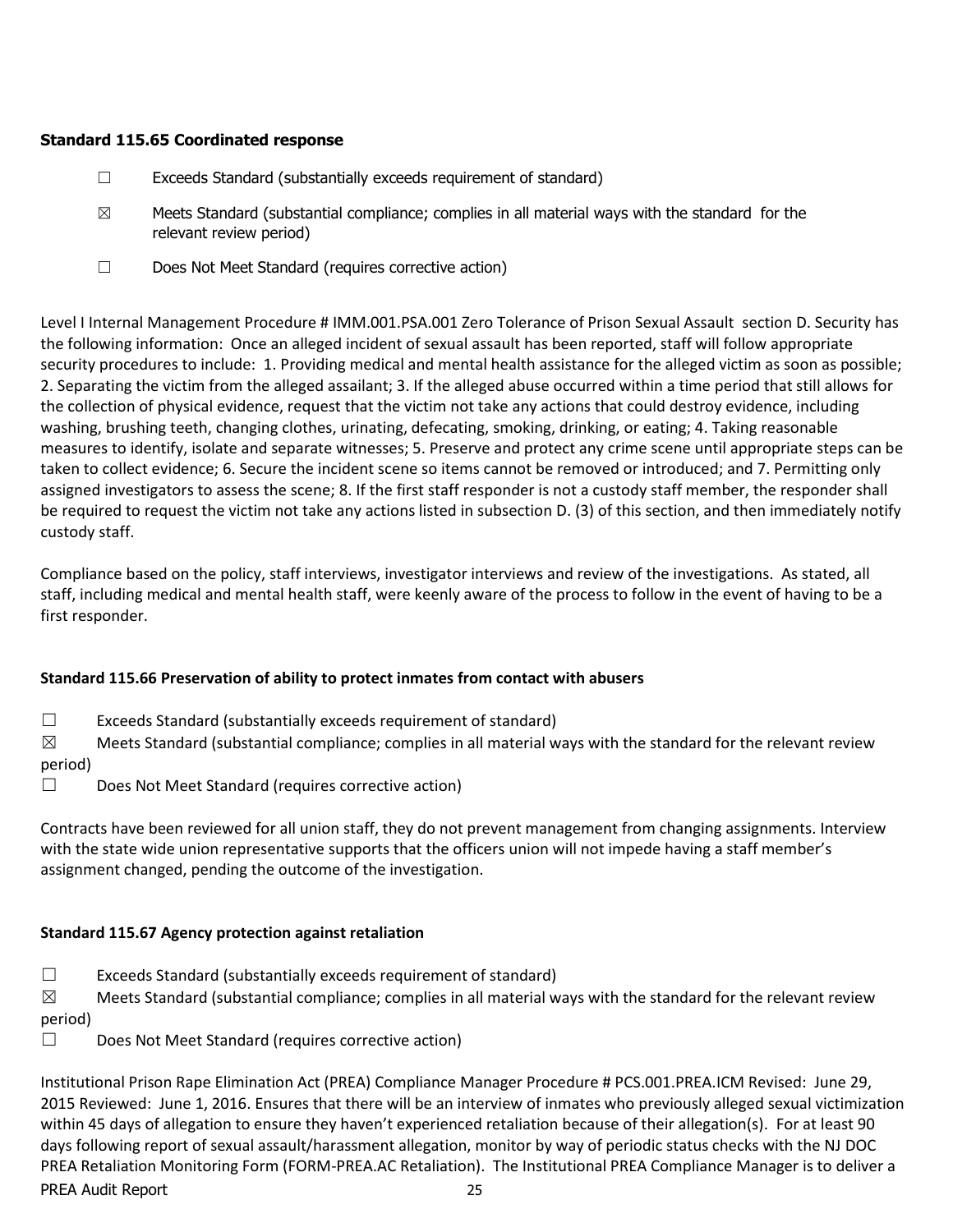## **Standard 115.65 Coordinated response**

- ☐ Exceeds Standard (substantially exceeds requirement of standard)
- $\boxtimes$  Meets Standard (substantial compliance; complies in all material ways with the standard for the relevant review period)
- ☐ Does Not Meet Standard (requires corrective action)

Level I Internal Management Procedure # IMM.001.PSA.001 Zero Tolerance of Prison Sexual Assault section D. Security has the following information: Once an alleged incident of sexual assault has been reported, staff will follow appropriate security procedures to include: 1. Providing medical and mental health assistance for the alleged victim as soon as possible; 2. Separating the victim from the alleged assailant; 3. If the alleged abuse occurred within a time period that still allows for the collection of physical evidence, request that the victim not take any actions that could destroy evidence, including washing, brushing teeth, changing clothes, urinating, defecating, smoking, drinking, or eating; 4. Taking reasonable measures to identify, isolate and separate witnesses; 5. Preserve and protect any crime scene until appropriate steps can be taken to collect evidence; 6. Secure the incident scene so items cannot be removed or introduced; and 7. Permitting only assigned investigators to assess the scene; 8. If the first staff responder is not a custody staff member, the responder shall be required to request the victim not take any actions listed in subsection D. (3) of this section, and then immediately notify custody staff.

Compliance based on the policy, staff interviews, investigator interviews and review of the investigations. As stated, all staff, including medical and mental health staff, were keenly aware of the process to follow in the event of having to be a first responder.

# **Standard 115.66 Preservation of ability to protect inmates from contact with abusers**

 $\Box$  Exceeds Standard (substantially exceeds requirement of standard)

 $\boxtimes$  Meets Standard (substantial compliance; complies in all material ways with the standard for the relevant review period)

☐ Does Not Meet Standard (requires corrective action)

Contracts have been reviewed for all union staff, they do not prevent management from changing assignments. Interview with the state wide union representative supports that the officers union will not impede having a staff member's assignment changed, pending the outcome of the investigation.

# **Standard 115.67 Agency protection against retaliation**

 $\Box$  Exceeds Standard (substantially exceeds requirement of standard)

 $\boxtimes$  Meets Standard (substantial compliance; complies in all material ways with the standard for the relevant review period)

☐ Does Not Meet Standard (requires corrective action)

PREA Audit Report 25 Institutional Prison Rape Elimination Act (PREA) Compliance Manager Procedure # PCS.001.PREA.ICM Revised: June 29, 2015 Reviewed: June 1, 2016. Ensures that there will be an interview of inmates who previously alleged sexual victimization within 45 days of allegation to ensure they haven't experienced retaliation because of their allegation(s). For at least 90 days following report of sexual assault/harassment allegation, monitor by way of periodic status checks with the NJ DOC PREA Retaliation Monitoring Form (FORM-PREA.AC Retaliation). The Institutional PREA Compliance Manager is to deliver a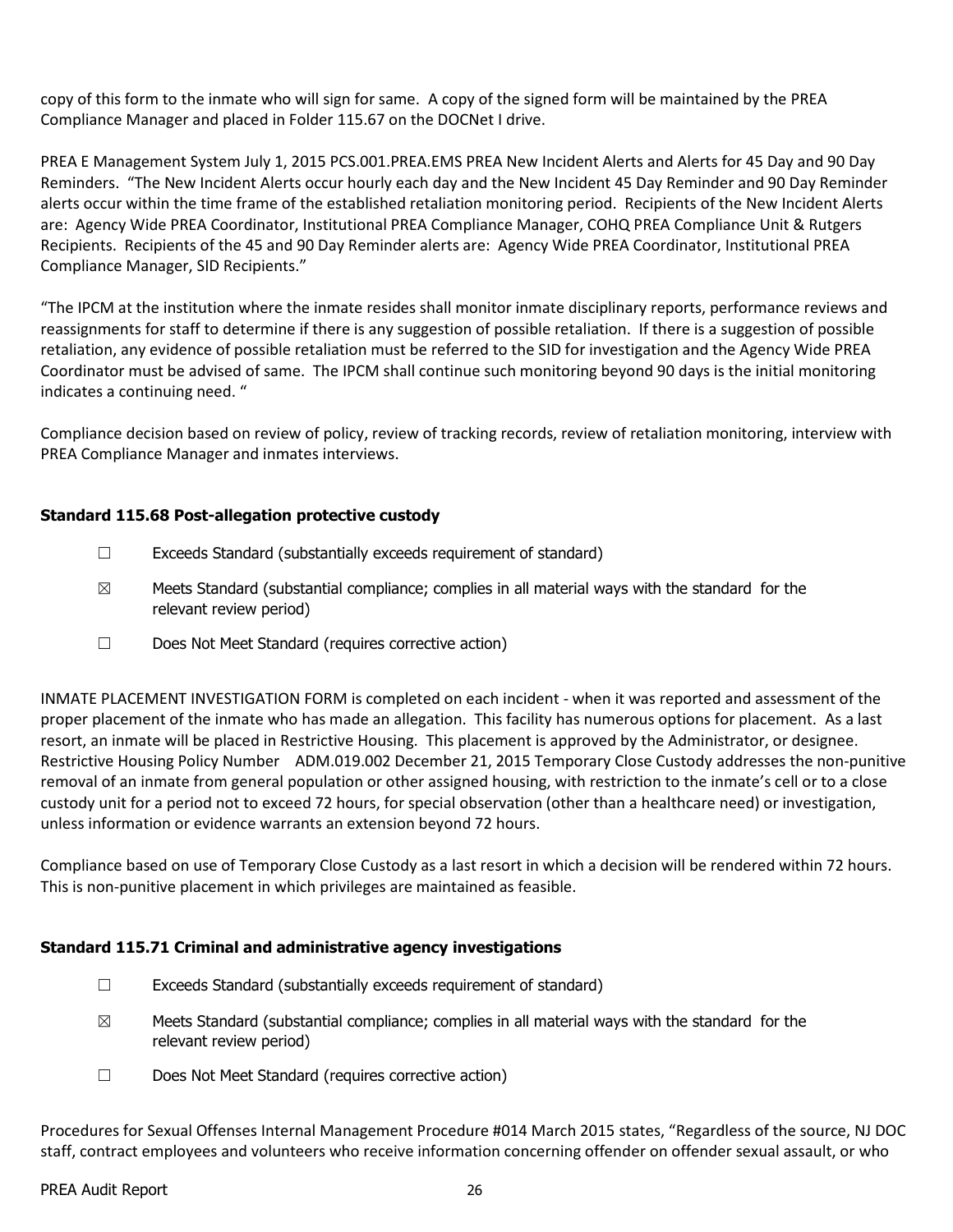copy of this form to the inmate who will sign for same. A copy of the signed form will be maintained by the PREA Compliance Manager and placed in Folder 115.67 on the DOCNet I drive.

PREA E Management System July 1, 2015 PCS.001.PREA.EMS PREA New Incident Alerts and Alerts for 45 Day and 90 Day Reminders. "The New Incident Alerts occur hourly each day and the New Incident 45 Day Reminder and 90 Day Reminder alerts occur within the time frame of the established retaliation monitoring period. Recipients of the New Incident Alerts are: Agency Wide PREA Coordinator, Institutional PREA Compliance Manager, COHQ PREA Compliance Unit & Rutgers Recipients. Recipients of the 45 and 90 Day Reminder alerts are: Agency Wide PREA Coordinator, Institutional PREA Compliance Manager, SID Recipients."

"The IPCM at the institution where the inmate resides shall monitor inmate disciplinary reports, performance reviews and reassignments for staff to determine if there is any suggestion of possible retaliation. If there is a suggestion of possible retaliation, any evidence of possible retaliation must be referred to the SID for investigation and the Agency Wide PREA Coordinator must be advised of same. The IPCM shall continue such monitoring beyond 90 days is the initial monitoring indicates a continuing need. "

Compliance decision based on review of policy, review of tracking records, review of retaliation monitoring, interview with PREA Compliance Manager and inmates interviews.

## **Standard 115.68 Post-allegation protective custody**

- $\Box$  Exceeds Standard (substantially exceeds requirement of standard)
- $\boxtimes$  Meets Standard (substantial compliance; complies in all material ways with the standard for the relevant review period)
- ☐ Does Not Meet Standard (requires corrective action)

INMATE PLACEMENT INVESTIGATION FORM is completed on each incident - when it was reported and assessment of the proper placement of the inmate who has made an allegation. This facility has numerous options for placement. As a last resort, an inmate will be placed in Restrictive Housing. This placement is approved by the Administrator, or designee. Restrictive Housing Policy Number ADM.019.002 December 21, 2015 Temporary Close Custody addresses the non-punitive removal of an inmate from general population or other assigned housing, with restriction to the inmate's cell or to a close custody unit for a period not to exceed 72 hours, for special observation (other than a healthcare need) or investigation, unless information or evidence warrants an extension beyond 72 hours.

Compliance based on use of Temporary Close Custody as a last resort in which a decision will be rendered within 72 hours. This is non-punitive placement in which privileges are maintained as feasible.

## **Standard 115.71 Criminal and administrative agency investigations**

- ☐ Exceeds Standard (substantially exceeds requirement of standard)
- $\boxtimes$  Meets Standard (substantial compliance; complies in all material ways with the standard for the relevant review period)
- ☐ Does Not Meet Standard (requires corrective action)

Procedures for Sexual Offenses Internal Management Procedure #014 March 2015 states, "Regardless of the source, NJ DOC staff, contract employees and volunteers who receive information concerning offender on offender sexual assault, or who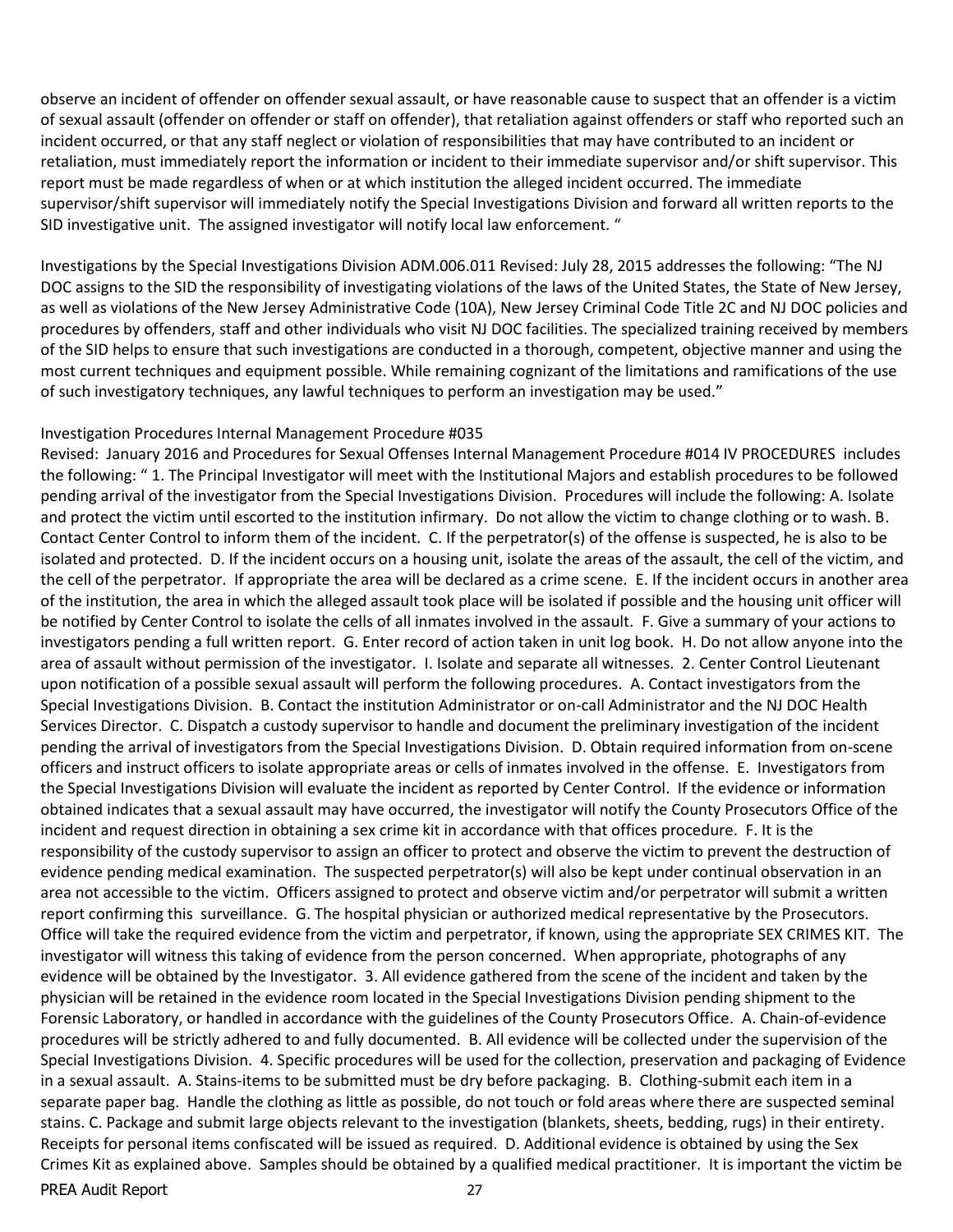observe an incident of offender on offender sexual assault, or have reasonable cause to suspect that an offender is a victim of sexual assault (offender on offender or staff on offender), that retaliation against offenders or staff who reported such an incident occurred, or that any staff neglect or violation of responsibilities that may have contributed to an incident or retaliation, must immediately report the information or incident to their immediate supervisor and/or shift supervisor. This report must be made regardless of when or at which institution the alleged incident occurred. The immediate supervisor/shift supervisor will immediately notify the Special Investigations Division and forward all written reports to the SID investigative unit. The assigned investigator will notify local law enforcement. "

Investigations by the Special Investigations Division ADM.006.011 Revised: July 28, 2015 addresses the following: "The NJ DOC assigns to the SID the responsibility of investigating violations of the laws of the United States, the State of New Jersey, as well as violations of the New Jersey Administrative Code (10A), New Jersey Criminal Code Title 2C and NJ DOC policies and procedures by offenders, staff and other individuals who visit NJ DOC facilities. The specialized training received by members of the SID helps to ensure that such investigations are conducted in a thorough, competent, objective manner and using the most current techniques and equipment possible. While remaining cognizant of the limitations and ramifications of the use of such investigatory techniques, any lawful techniques to perform an investigation may be used."

#### Investigation Procedures Internal Management Procedure #035

PREA Audit Report 27 Revised: January 2016 and Procedures for Sexual Offenses Internal Management Procedure #014 IV PROCEDURES includes the following: " 1. The Principal Investigator will meet with the Institutional Majors and establish procedures to be followed pending arrival of the investigator from the Special Investigations Division. Procedures will include the following: A. Isolate and protect the victim until escorted to the institution infirmary. Do not allow the victim to change clothing or to wash. B. Contact Center Control to inform them of the incident. C. If the perpetrator(s) of the offense is suspected, he is also to be isolated and protected. D. If the incident occurs on a housing unit, isolate the areas of the assault, the cell of the victim, and the cell of the perpetrator. If appropriate the area will be declared as a crime scene. E. If the incident occurs in another area of the institution, the area in which the alleged assault took place will be isolated if possible and the housing unit officer will be notified by Center Control to isolate the cells of all inmates involved in the assault. F. Give a summary of your actions to investigators pending a full written report. G. Enter record of action taken in unit log book. H. Do not allow anyone into the area of assault without permission of the investigator. I. Isolate and separate all witnesses. 2. Center Control Lieutenant upon notification of a possible sexual assault will perform the following procedures. A. Contact investigators from the Special Investigations Division. B. Contact the institution Administrator or on-call Administrator and the NJ DOC Health Services Director. C. Dispatch a custody supervisor to handle and document the preliminary investigation of the incident pending the arrival of investigators from the Special Investigations Division. D. Obtain required information from on-scene officers and instruct officers to isolate appropriate areas or cells of inmates involved in the offense. E. Investigators from the Special Investigations Division will evaluate the incident as reported by Center Control. If the evidence or information obtained indicates that a sexual assault may have occurred, the investigator will notify the County Prosecutors Office of the incident and request direction in obtaining a sex crime kit in accordance with that offices procedure. F. It is the responsibility of the custody supervisor to assign an officer to protect and observe the victim to prevent the destruction of evidence pending medical examination. The suspected perpetrator(s) will also be kept under continual observation in an area not accessible to the victim. Officers assigned to protect and observe victim and/or perpetrator will submit a written report confirming this surveillance. G. The hospital physician or authorized medical representative by the Prosecutors. Office will take the required evidence from the victim and perpetrator, if known, using the appropriate SEX CRIMES KIT. The investigator will witness this taking of evidence from the person concerned. When appropriate, photographs of any evidence will be obtained by the Investigator. 3. All evidence gathered from the scene of the incident and taken by the physician will be retained in the evidence room located in the Special Investigations Division pending shipment to the Forensic Laboratory, or handled in accordance with the guidelines of the County Prosecutors Office. A. Chain-of-evidence procedures will be strictly adhered to and fully documented. B. All evidence will be collected under the supervision of the Special Investigations Division. 4. Specific procedures will be used for the collection, preservation and packaging of Evidence in a sexual assault. A. Stains-items to be submitted must be dry before packaging. B. Clothing-submit each item in a separate paper bag. Handle the clothing as little as possible, do not touch or fold areas where there are suspected seminal stains. C. Package and submit large objects relevant to the investigation (blankets, sheets, bedding, rugs) in their entirety. Receipts for personal items confiscated will be issued as required. D. Additional evidence is obtained by using the Sex Crimes Kit as explained above. Samples should be obtained by a qualified medical practitioner. It is important the victim be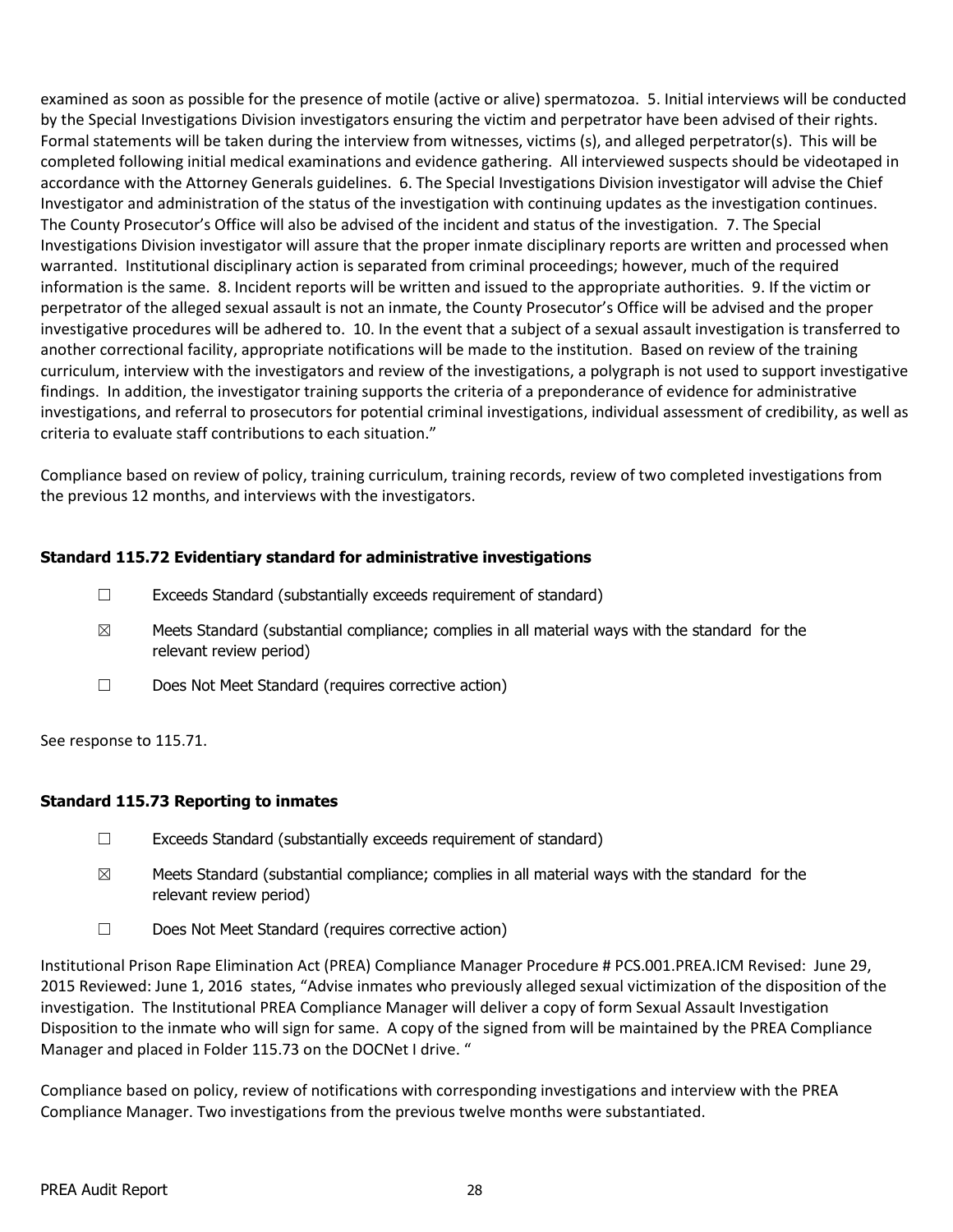examined as soon as possible for the presence of motile (active or alive) spermatozoa. 5. Initial interviews will be conducted by the Special Investigations Division investigators ensuring the victim and perpetrator have been advised of their rights. Formal statements will be taken during the interview from witnesses, victims (s), and alleged perpetrator(s). This will be completed following initial medical examinations and evidence gathering. All interviewed suspects should be videotaped in accordance with the Attorney Generals guidelines. 6. The Special Investigations Division investigator will advise the Chief Investigator and administration of the status of the investigation with continuing updates as the investigation continues. The County Prosecutor's Office will also be advised of the incident and status of the investigation. 7. The Special Investigations Division investigator will assure that the proper inmate disciplinary reports are written and processed when warranted. Institutional disciplinary action is separated from criminal proceedings; however, much of the required information is the same. 8. Incident reports will be written and issued to the appropriate authorities. 9. If the victim or perpetrator of the alleged sexual assault is not an inmate, the County Prosecutor's Office will be advised and the proper investigative procedures will be adhered to. 10. In the event that a subject of a sexual assault investigation is transferred to another correctional facility, appropriate notifications will be made to the institution. Based on review of the training curriculum, interview with the investigators and review of the investigations, a polygraph is not used to support investigative findings. In addition, the investigator training supports the criteria of a preponderance of evidence for administrative investigations, and referral to prosecutors for potential criminal investigations, individual assessment of credibility, as well as criteria to evaluate staff contributions to each situation."

Compliance based on review of policy, training curriculum, training records, review of two completed investigations from the previous 12 months, and interviews with the investigators.

## **Standard 115.72 Evidentiary standard for administrative investigations**

- $\Box$  Exceeds Standard (substantially exceeds requirement of standard)
- $\boxtimes$  Meets Standard (substantial compliance; complies in all material ways with the standard for the relevant review period)
- ☐ Does Not Meet Standard (requires corrective action)

See response to 115.71.

## **Standard 115.73 Reporting to inmates**

- ☐ Exceeds Standard (substantially exceeds requirement of standard)
- $\boxtimes$  Meets Standard (substantial compliance; complies in all material ways with the standard for the relevant review period)
- ☐ Does Not Meet Standard (requires corrective action)

Institutional Prison Rape Elimination Act (PREA) Compliance Manager Procedure # PCS.001.PREA.ICM Revised: June 29, 2015 Reviewed: June 1, 2016 states, "Advise inmates who previously alleged sexual victimization of the disposition of the investigation. The Institutional PREA Compliance Manager will deliver a copy of form Sexual Assault Investigation Disposition to the inmate who will sign for same. A copy of the signed from will be maintained by the PREA Compliance Manager and placed in Folder 115.73 on the DOCNet I drive. "

Compliance based on policy, review of notifications with corresponding investigations and interview with the PREA Compliance Manager. Two investigations from the previous twelve months were substantiated.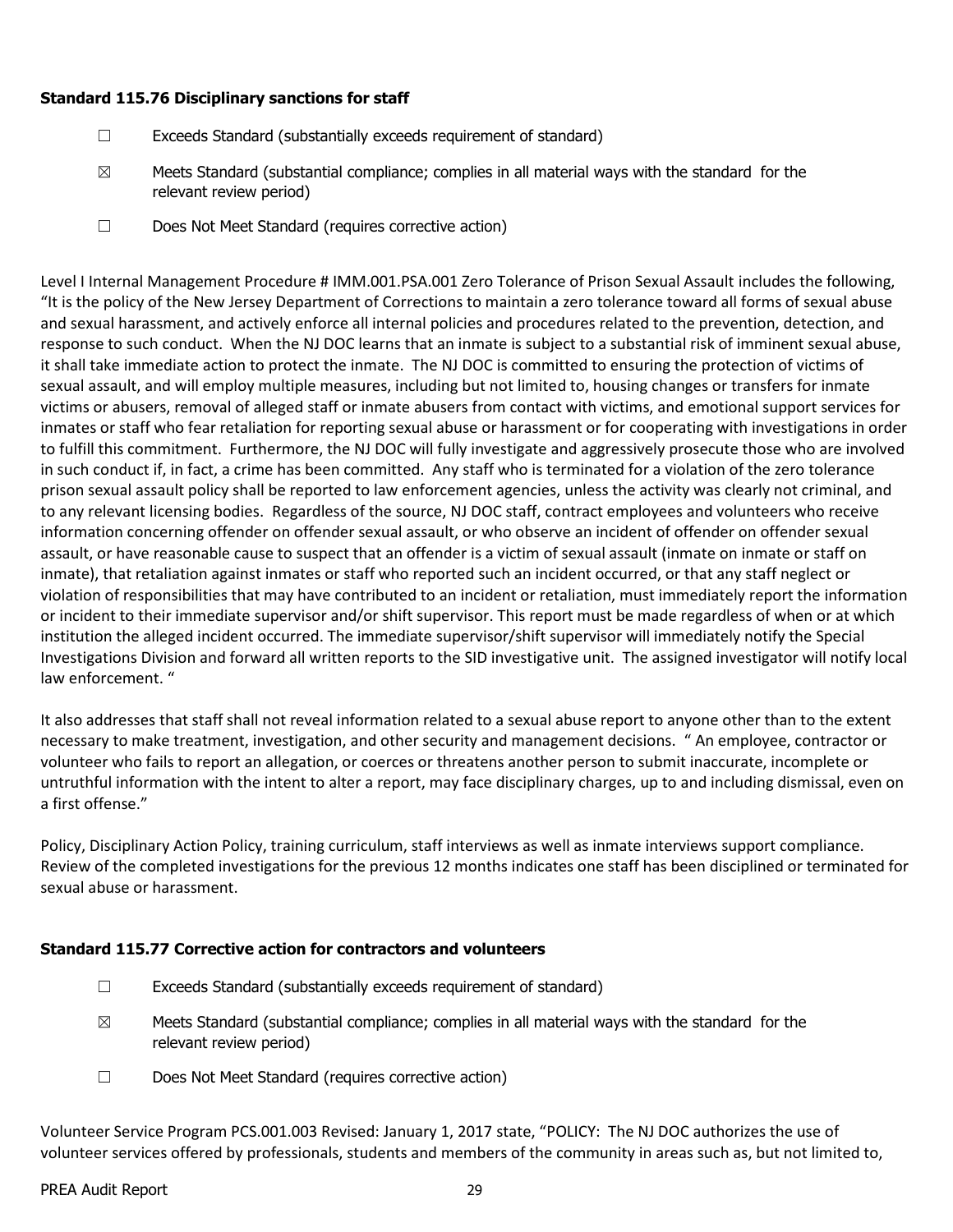#### **Standard 115.76 Disciplinary sanctions for staff**

- ☐ Exceeds Standard (substantially exceeds requirement of standard)
- $\boxtimes$  Meets Standard (substantial compliance; complies in all material ways with the standard for the relevant review period)
- ☐ Does Not Meet Standard (requires corrective action)

Level I Internal Management Procedure # IMM.001.PSA.001 Zero Tolerance of Prison Sexual Assault includes the following, "It is the policy of the New Jersey Department of Corrections to maintain a zero tolerance toward all forms of sexual abuse and sexual harassment, and actively enforce all internal policies and procedures related to the prevention, detection, and response to such conduct. When the NJ DOC learns that an inmate is subject to a substantial risk of imminent sexual abuse, it shall take immediate action to protect the inmate. The NJ DOC is committed to ensuring the protection of victims of sexual assault, and will employ multiple measures, including but not limited to, housing changes or transfers for inmate victims or abusers, removal of alleged staff or inmate abusers from contact with victims, and emotional support services for inmates or staff who fear retaliation for reporting sexual abuse or harassment or for cooperating with investigations in order to fulfill this commitment. Furthermore, the NJ DOC will fully investigate and aggressively prosecute those who are involved in such conduct if, in fact, a crime has been committed. Any staff who is terminated for a violation of the zero tolerance prison sexual assault policy shall be reported to law enforcement agencies, unless the activity was clearly not criminal, and to any relevant licensing bodies. Regardless of the source, NJ DOC staff, contract employees and volunteers who receive information concerning offender on offender sexual assault, or who observe an incident of offender on offender sexual assault, or have reasonable cause to suspect that an offender is a victim of sexual assault (inmate on inmate or staff on inmate), that retaliation against inmates or staff who reported such an incident occurred, or that any staff neglect or violation of responsibilities that may have contributed to an incident or retaliation, must immediately report the information or incident to their immediate supervisor and/or shift supervisor. This report must be made regardless of when or at which institution the alleged incident occurred. The immediate supervisor/shift supervisor will immediately notify the Special Investigations Division and forward all written reports to the SID investigative unit. The assigned investigator will notify local law enforcement. "

It also addresses that staff shall not reveal information related to a sexual abuse report to anyone other than to the extent necessary to make treatment, investigation, and other security and management decisions. " An employee, contractor or volunteer who fails to report an allegation, or coerces or threatens another person to submit inaccurate, incomplete or untruthful information with the intent to alter a report, may face disciplinary charges, up to and including dismissal, even on a first offense."

Policy, Disciplinary Action Policy, training curriculum, staff interviews as well as inmate interviews support compliance. Review of the completed investigations for the previous 12 months indicates one staff has been disciplined or terminated for sexual abuse or harassment.

#### **Standard 115.77 Corrective action for contractors and volunteers**

- $\Box$  Exceeds Standard (substantially exceeds requirement of standard)
- $\boxtimes$  Meets Standard (substantial compliance; complies in all material ways with the standard for the relevant review period)
- ☐ Does Not Meet Standard (requires corrective action)

Volunteer Service Program PCS.001.003 Revised: January 1, 2017 state, "POLICY: The NJ DOC authorizes the use of volunteer services offered by professionals, students and members of the community in areas such as, but not limited to,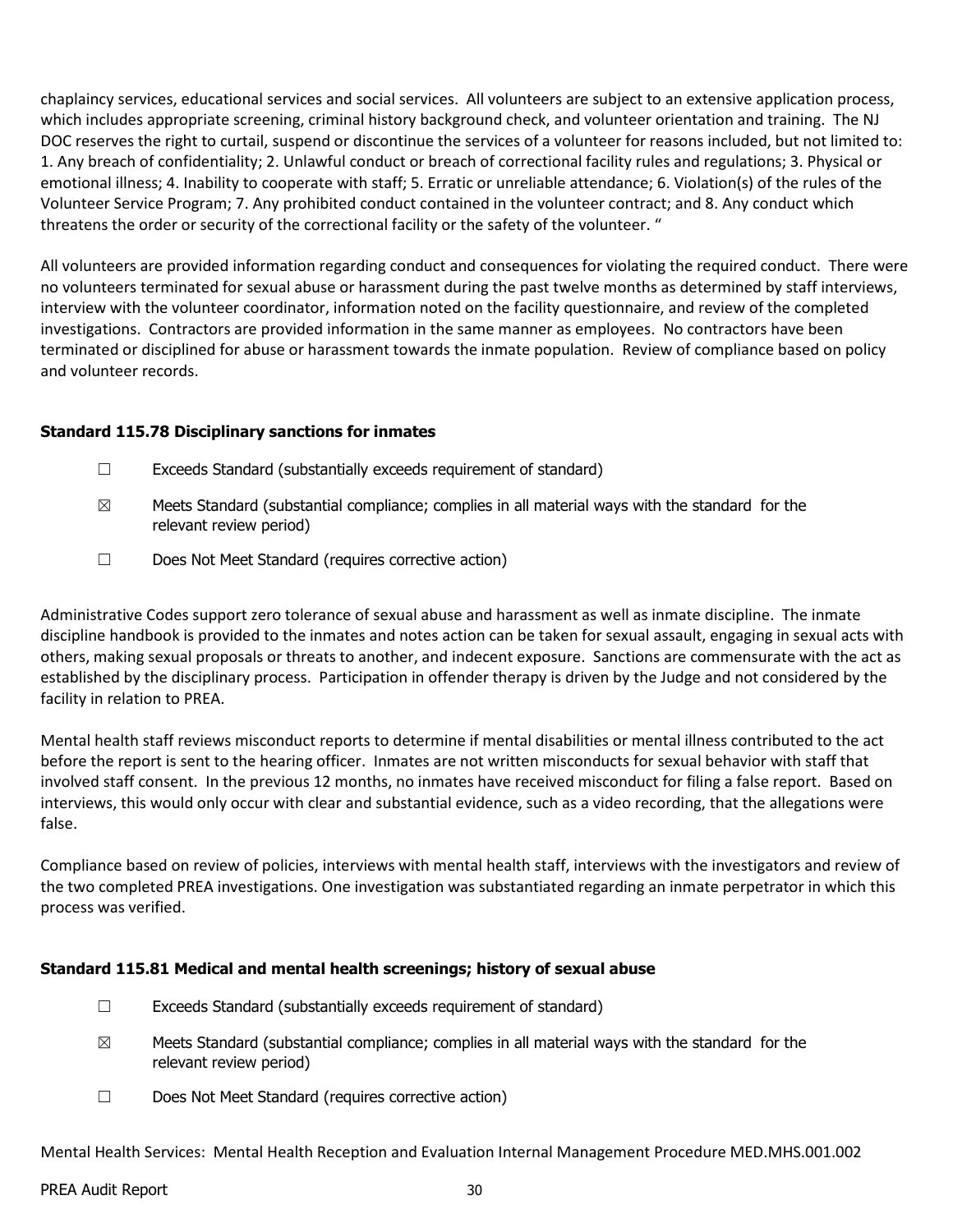chaplaincy services, educational services and social services. All volunteers are subject to an extensive application process, which includes appropriate screening, criminal history background check, and volunteer orientation and training. The NJ DOC reserves the right to curtail, suspend or discontinue the services of a volunteer for reasons included, but not limited to: 1. Any breach of confidentiality; 2. Unlawful conduct or breach of correctional facility rules and regulations; 3. Physical or emotional illness; 4. Inability to cooperate with staff; 5. Erratic or unreliable attendance; 6. Violation(s) of the rules of the Volunteer Service Program; 7. Any prohibited conduct contained in the volunteer contract; and 8. Any conduct which threatens the order or security of the correctional facility or the safety of the volunteer. "

All volunteers are provided information regarding conduct and consequences for violating the required conduct. There were no volunteers terminated for sexual abuse or harassment during the past twelve months as determined by staff interviews, interview with the volunteer coordinator, information noted on the facility questionnaire, and review of the completed investigations. Contractors are provided information in the same manner as employees. No contractors have been terminated or disciplined for abuse or harassment towards the inmate population. Review of compliance based on policy and volunteer records.

#### **Standard 115.78 Disciplinary sanctions for inmates**

- ☐ Exceeds Standard (substantially exceeds requirement of standard)
- $\boxtimes$  Meets Standard (substantial compliance; complies in all material ways with the standard for the relevant review period)
- ☐ Does Not Meet Standard (requires corrective action)

Administrative Codes support zero tolerance of sexual abuse and harassment as well as inmate discipline. The inmate discipline handbook is provided to the inmates and notes action can be taken for sexual assault, engaging in sexual acts with others, making sexual proposals or threats to another, and indecent exposure. Sanctions are commensurate with the act as established by the disciplinary process. Participation in offender therapy is driven by the Judge and not considered by the facility in relation to PREA.

Mental health staff reviews misconduct reports to determine if mental disabilities or mental illness contributed to the act before the report is sent to the hearing officer. Inmates are not written misconducts for sexual behavior with staff that involved staff consent. In the previous 12 months, no inmates have received misconduct for filing a false report. Based on interviews, this would only occur with clear and substantial evidence, such as a video recording, that the allegations were false.

Compliance based on review of policies, interviews with mental health staff, interviews with the investigators and review of the two completed PREA investigations. One investigation was substantiated regarding an inmate perpetrator in which this process was verified.

#### **Standard 115.81 Medical and mental health screenings; history of sexual abuse**

- ☐ Exceeds Standard (substantially exceeds requirement of standard)
- $\boxtimes$  Meets Standard (substantial compliance; complies in all material ways with the standard for the relevant review period)
- ☐ Does Not Meet Standard (requires corrective action)

Mental Health Services: Mental Health Reception and Evaluation Internal Management Procedure MED.MHS.001.002

#### PREA Audit Report 30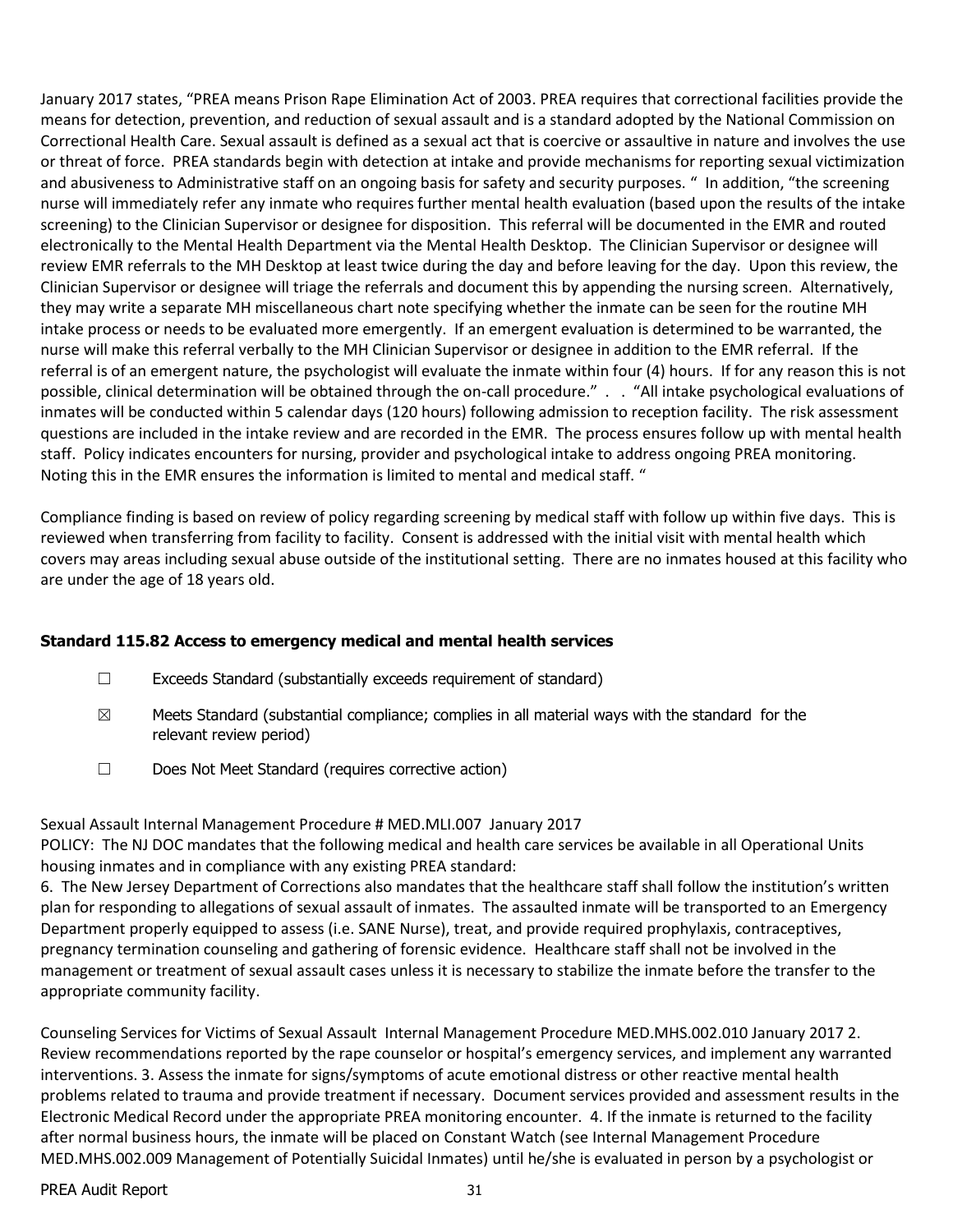January 2017 states, "PREA means Prison Rape Elimination Act of 2003. PREA requires that correctional facilities provide the means for detection, prevention, and reduction of sexual assault and is a standard adopted by the National Commission on Correctional Health Care. Sexual assault is defined as a sexual act that is coercive or assaultive in nature and involves the use or threat of force. PREA standards begin with detection at intake and provide mechanisms for reporting sexual victimization and abusiveness to Administrative staff on an ongoing basis for safety and security purposes. " In addition, "the screening nurse will immediately refer any inmate who requires further mental health evaluation (based upon the results of the intake screening) to the Clinician Supervisor or designee for disposition. This referral will be documented in the EMR and routed electronically to the Mental Health Department via the Mental Health Desktop. The Clinician Supervisor or designee will review EMR referrals to the MH Desktop at least twice during the day and before leaving for the day. Upon this review, the Clinician Supervisor or designee will triage the referrals and document this by appending the nursing screen. Alternatively, they may write a separate MH miscellaneous chart note specifying whether the inmate can be seen for the routine MH intake process or needs to be evaluated more emergently. If an emergent evaluation is determined to be warranted, the nurse will make this referral verbally to the MH Clinician Supervisor or designee in addition to the EMR referral. If the referral is of an emergent nature, the psychologist will evaluate the inmate within four (4) hours. If for any reason this is not possible, clinical determination will be obtained through the on-call procedure." . . "All intake psychological evaluations of inmates will be conducted within 5 calendar days (120 hours) following admission to reception facility. The risk assessment questions are included in the intake review and are recorded in the EMR. The process ensures follow up with mental health staff. Policy indicates encounters for nursing, provider and psychological intake to address ongoing PREA monitoring. Noting this in the EMR ensures the information is limited to mental and medical staff. "

Compliance finding is based on review of policy regarding screening by medical staff with follow up within five days. This is reviewed when transferring from facility to facility. Consent is addressed with the initial visit with mental health which covers may areas including sexual abuse outside of the institutional setting. There are no inmates housed at this facility who are under the age of 18 years old.

## **Standard 115.82 Access to emergency medical and mental health services**

- $\Box$  Exceeds Standard (substantially exceeds requirement of standard)
- $\boxtimes$  Meets Standard (substantial compliance; complies in all material ways with the standard for the relevant review period)
- ☐ Does Not Meet Standard (requires corrective action)

Sexual Assault Internal Management Procedure # MED.MLI.007 January 2017

POLICY: The NJ DOC mandates that the following medical and health care services be available in all Operational Units housing inmates and in compliance with any existing PREA standard:

6. The New Jersey Department of Corrections also mandates that the healthcare staff shall follow the institution's written plan for responding to allegations of sexual assault of inmates. The assaulted inmate will be transported to an Emergency Department properly equipped to assess (i.e. SANE Nurse), treat, and provide required prophylaxis, contraceptives, pregnancy termination counseling and gathering of forensic evidence. Healthcare staff shall not be involved in the management or treatment of sexual assault cases unless it is necessary to stabilize the inmate before the transfer to the appropriate community facility.

Counseling Services for Victims of Sexual Assault Internal Management Procedure MED.MHS.002.010 January 2017 2. Review recommendations reported by the rape counselor or hospital's emergency services, and implement any warranted interventions. 3. Assess the inmate for signs/symptoms of acute emotional distress or other reactive mental health problems related to trauma and provide treatment if necessary. Document services provided and assessment results in the Electronic Medical Record under the appropriate PREA monitoring encounter. 4. If the inmate is returned to the facility after normal business hours, the inmate will be placed on Constant Watch (see Internal Management Procedure MED.MHS.002.009 Management of Potentially Suicidal Inmates) until he/she is evaluated in person by a psychologist or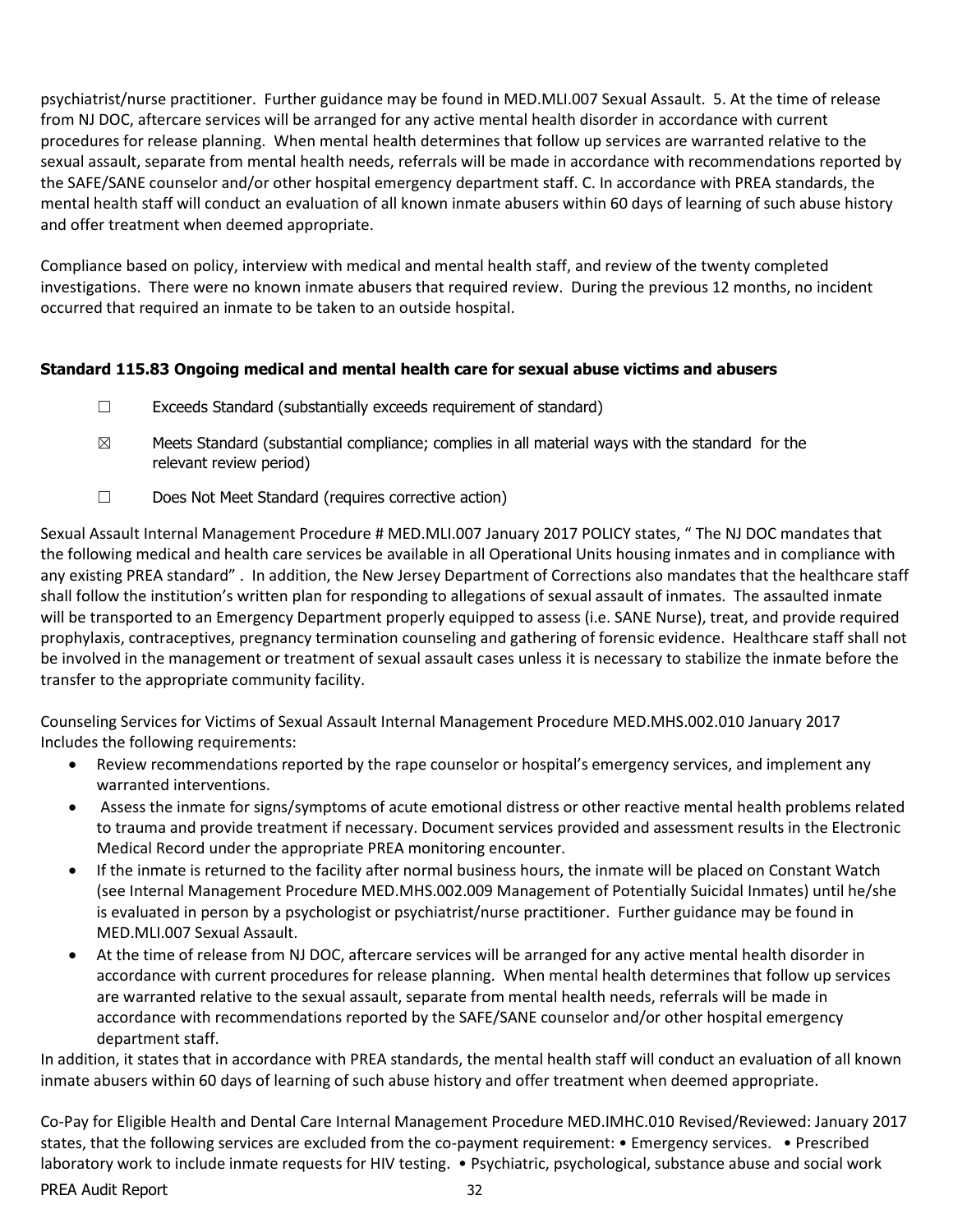psychiatrist/nurse practitioner. Further guidance may be found in MED.MLI.007 Sexual Assault. 5. At the time of release from NJ DOC, aftercare services will be arranged for any active mental health disorder in accordance with current procedures for release planning. When mental health determines that follow up services are warranted relative to the sexual assault, separate from mental health needs, referrals will be made in accordance with recommendations reported by the SAFE/SANE counselor and/or other hospital emergency department staff. C. In accordance with PREA standards, the mental health staff will conduct an evaluation of all known inmate abusers within 60 days of learning of such abuse history and offer treatment when deemed appropriate.

Compliance based on policy, interview with medical and mental health staff, and review of the twenty completed investigations. There were no known inmate abusers that required review. During the previous 12 months, no incident occurred that required an inmate to be taken to an outside hospital.

## **Standard 115.83 Ongoing medical and mental health care for sexual abuse victims and abusers**

- ☐ Exceeds Standard (substantially exceeds requirement of standard)
- $\boxtimes$  Meets Standard (substantial compliance; complies in all material ways with the standard for the relevant review period)
- ☐ Does Not Meet Standard (requires corrective action)

Sexual Assault Internal Management Procedure # MED.MLI.007 January 2017 POLICY states, " The NJ DOC mandates that the following medical and health care services be available in all Operational Units housing inmates and in compliance with any existing PREA standard" . In addition, the New Jersey Department of Corrections also mandates that the healthcare staff shall follow the institution's written plan for responding to allegations of sexual assault of inmates. The assaulted inmate will be transported to an Emergency Department properly equipped to assess (i.e. SANE Nurse), treat, and provide required prophylaxis, contraceptives, pregnancy termination counseling and gathering of forensic evidence. Healthcare staff shall not be involved in the management or treatment of sexual assault cases unless it is necessary to stabilize the inmate before the transfer to the appropriate community facility.

Counseling Services for Victims of Sexual Assault Internal Management Procedure MED.MHS.002.010 January 2017 Includes the following requirements:

- Review recommendations reported by the rape counselor or hospital's emergency services, and implement any warranted interventions.
- Assess the inmate for signs/symptoms of acute emotional distress or other reactive mental health problems related to trauma and provide treatment if necessary. Document services provided and assessment results in the Electronic Medical Record under the appropriate PREA monitoring encounter.
- If the inmate is returned to the facility after normal business hours, the inmate will be placed on Constant Watch (see Internal Management Procedure MED.MHS.002.009 Management of Potentially Suicidal Inmates) until he/she is evaluated in person by a psychologist or psychiatrist/nurse practitioner. Further guidance may be found in MED.MLI.007 Sexual Assault.
- At the time of release from NJ DOC, aftercare services will be arranged for any active mental health disorder in accordance with current procedures for release planning. When mental health determines that follow up services are warranted relative to the sexual assault, separate from mental health needs, referrals will be made in accordance with recommendations reported by the SAFE/SANE counselor and/or other hospital emergency department staff.

In addition, it states that in accordance with PREA standards, the mental health staff will conduct an evaluation of all known inmate abusers within 60 days of learning of such abuse history and offer treatment when deemed appropriate.

Co-Pay for Eligible Health and Dental Care Internal Management Procedure MED.IMHC.010 Revised/Reviewed: January 2017 states, that the following services are excluded from the co-payment requirement: • Emergency services. • Prescribed laboratory work to include inmate requests for HIV testing. • Psychiatric, psychological, substance abuse and social work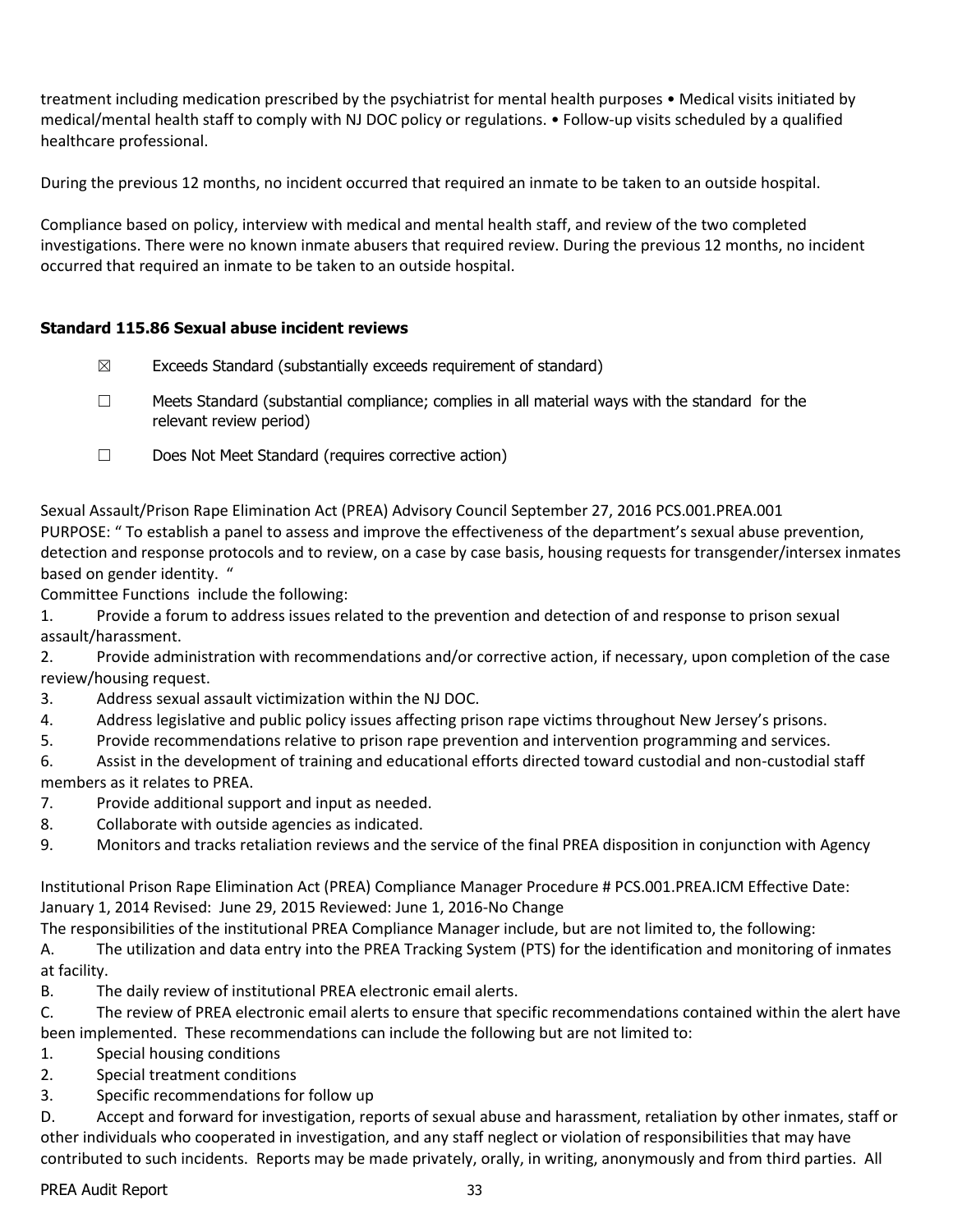treatment including medication prescribed by the psychiatrist for mental health purposes • Medical visits initiated by medical/mental health staff to comply with NJ DOC policy or regulations. • Follow-up visits scheduled by a qualified healthcare professional.

During the previous 12 months, no incident occurred that required an inmate to be taken to an outside hospital.

Compliance based on policy, interview with medical and mental health staff, and review of the two completed investigations. There were no known inmate abusers that required review. During the previous 12 months, no incident occurred that required an inmate to be taken to an outside hospital.

## **Standard 115.86 Sexual abuse incident reviews**

- $\boxtimes$  Exceeds Standard (substantially exceeds requirement of standard)
- ☐ Meets Standard (substantial compliance; complies in all material ways with the standard for the relevant review period)
- ☐ Does Not Meet Standard (requires corrective action)

Sexual Assault/Prison Rape Elimination Act (PREA) Advisory Council September 27, 2016 PCS.001.PREA.001 PURPOSE: " To establish a panel to assess and improve the effectiveness of the department's sexual abuse prevention, detection and response protocols and to review, on a case by case basis, housing requests for transgender/intersex inmates based on gender identity. "

Committee Functions include the following:

1. Provide a forum to address issues related to the prevention and detection of and response to prison sexual assault/harassment.

2. Provide administration with recommendations and/or corrective action, if necessary, upon completion of the case review/housing request.

- 3. Address sexual assault victimization within the NJ DOC.
- 4. Address legislative and public policy issues affecting prison rape victims throughout New Jersey's prisons.
- 5. Provide recommendations relative to prison rape prevention and intervention programming and services.

6. Assist in the development of training and educational efforts directed toward custodial and non-custodial staff members as it relates to PREA.

- 7. Provide additional support and input as needed.
- 8. Collaborate with outside agencies as indicated.
- 9. Monitors and tracks retaliation reviews and the service of the final PREA disposition in conjunction with Agency

Institutional Prison Rape Elimination Act (PREA) Compliance Manager Procedure # PCS.001.PREA.ICM Effective Date: January 1, 2014 Revised: June 29, 2015 Reviewed: June 1, 2016-No Change

The responsibilities of the institutional PREA Compliance Manager include, but are not limited to, the following:

A. The utilization and data entry into the PREA Tracking System (PTS) for the identification and monitoring of inmates at facility.

B. The daily review of institutional PREA electronic email alerts.

C. The review of PREA electronic email alerts to ensure that specific recommendations contained within the alert have been implemented. These recommendations can include the following but are not limited to:

- 1. Special housing conditions
- 2. Special treatment conditions
- 3. Specific recommendations for follow up

D. Accept and forward for investigation, reports of sexual abuse and harassment, retaliation by other inmates, staff or other individuals who cooperated in investigation, and any staff neglect or violation of responsibilities that may have contributed to such incidents. Reports may be made privately, orally, in writing, anonymously and from third parties. All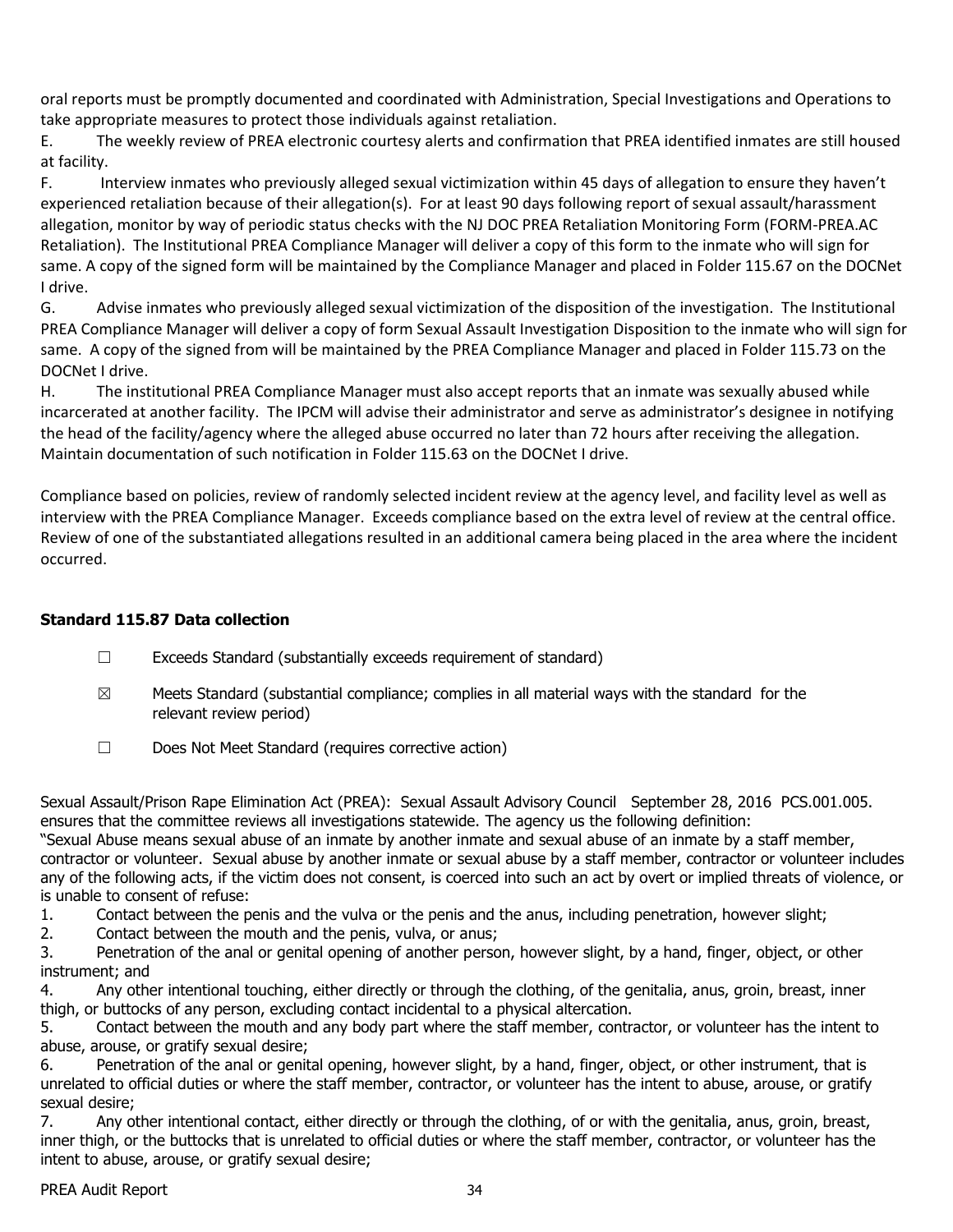oral reports must be promptly documented and coordinated with Administration, Special Investigations and Operations to take appropriate measures to protect those individuals against retaliation.

E. The weekly review of PREA electronic courtesy alerts and confirmation that PREA identified inmates are still housed at facility.

F. Interview inmates who previously alleged sexual victimization within 45 days of allegation to ensure they haven't experienced retaliation because of their allegation(s). For at least 90 days following report of sexual assault/harassment allegation, monitor by way of periodic status checks with the NJ DOC PREA Retaliation Monitoring Form (FORM-PREA.AC Retaliation). The Institutional PREA Compliance Manager will deliver a copy of this form to the inmate who will sign for same. A copy of the signed form will be maintained by the Compliance Manager and placed in Folder 115.67 on the DOCNet I drive.

G. Advise inmates who previously alleged sexual victimization of the disposition of the investigation. The Institutional PREA Compliance Manager will deliver a copy of form Sexual Assault Investigation Disposition to the inmate who will sign for same. A copy of the signed from will be maintained by the PREA Compliance Manager and placed in Folder 115.73 on the DOCNet I drive.

H. The institutional PREA Compliance Manager must also accept reports that an inmate was sexually abused while incarcerated at another facility. The IPCM will advise their administrator and serve as administrator's designee in notifying the head of the facility/agency where the alleged abuse occurred no later than 72 hours after receiving the allegation. Maintain documentation of such notification in Folder 115.63 on the DOCNet I drive.

Compliance based on policies, review of randomly selected incident review at the agency level, and facility level as well as interview with the PREA Compliance Manager. Exceeds compliance based on the extra level of review at the central office. Review of one of the substantiated allegations resulted in an additional camera being placed in the area where the incident occurred.

## **Standard 115.87 Data collection**

- ☐ Exceeds Standard (substantially exceeds requirement of standard)
- $\boxtimes$  Meets Standard (substantial compliance; complies in all material ways with the standard for the relevant review period)
- ☐ Does Not Meet Standard (requires corrective action)

Sexual Assault/Prison Rape Elimination Act (PREA): Sexual Assault Advisory Council September 28, 2016 PCS.001.005. ensures that the committee reviews all investigations statewide. The agency us the following definition:

"Sexual Abuse means sexual abuse of an inmate by another inmate and sexual abuse of an inmate by a staff member, contractor or volunteer. Sexual abuse by another inmate or sexual abuse by a staff member, contractor or volunteer includes any of the following acts, if the victim does not consent, is coerced into such an act by overt or implied threats of violence, or is unable to consent of refuse:

- 1. Contact between the penis and the vulva or the penis and the anus, including penetration, however slight;
- 2. Contact between the mouth and the penis, vulva, or anus;

3. Penetration of the anal or genital opening of another person, however slight, by a hand, finger, object, or other instrument; and

4. Any other intentional touching, either directly or through the clothing, of the genitalia, anus, groin, breast, inner thigh, or buttocks of any person, excluding contact incidental to a physical altercation.

5. Contact between the mouth and any body part where the staff member, contractor, or volunteer has the intent to abuse, arouse, or gratify sexual desire;

6. Penetration of the anal or genital opening, however slight, by a hand, finger, object, or other instrument, that is unrelated to official duties or where the staff member, contractor, or volunteer has the intent to abuse, arouse, or gratify sexual desire;

7. Any other intentional contact, either directly or through the clothing, of or with the genitalia, anus, groin, breast, inner thigh, or the buttocks that is unrelated to official duties or where the staff member, contractor, or volunteer has the intent to abuse, arouse, or gratify sexual desire;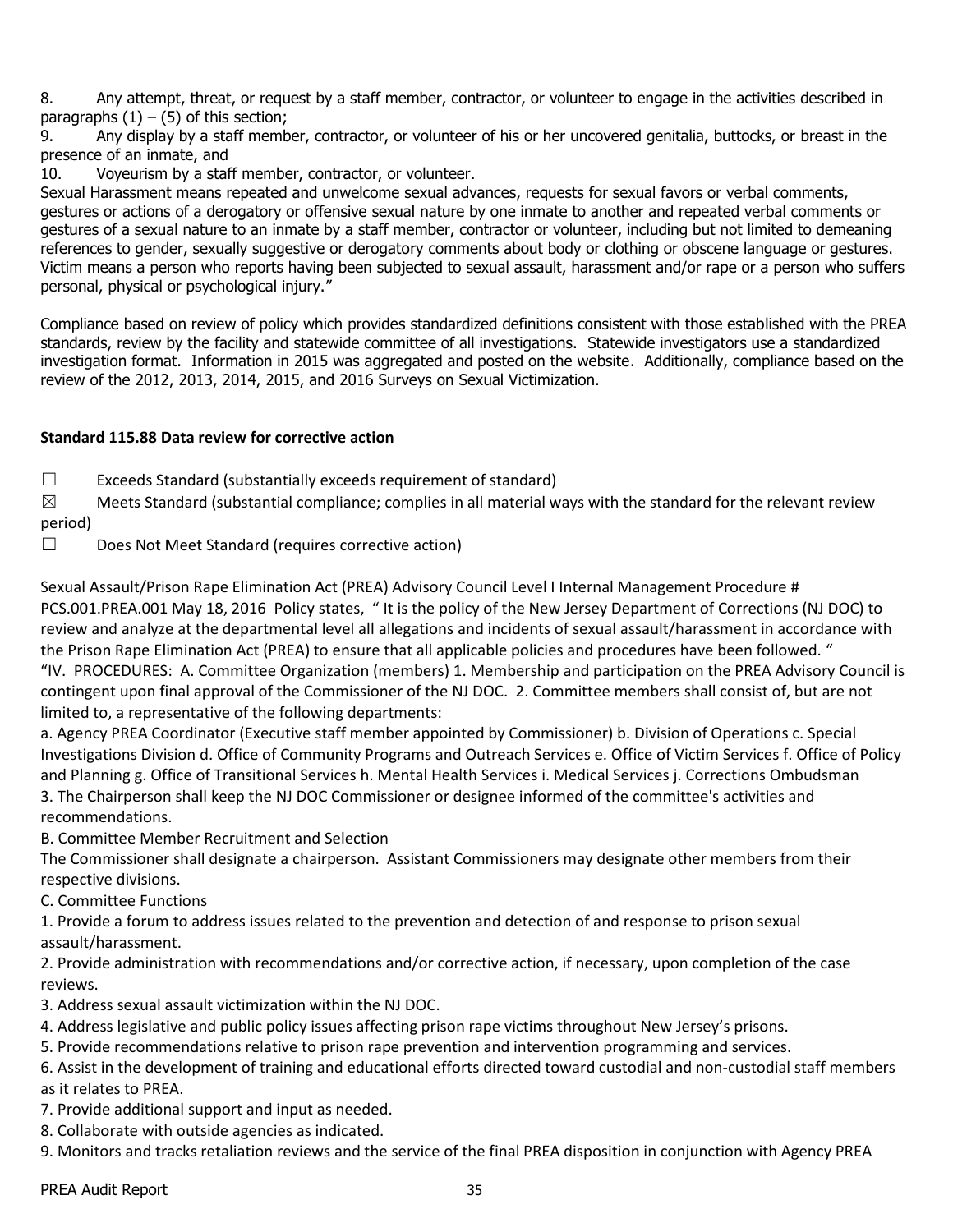8. Any attempt, threat, or request by a staff member, contractor, or volunteer to engage in the activities described in paragraphs  $(1) - (5)$  of this section;

9. Any display by a staff member, contractor, or volunteer of his or her uncovered genitalia, buttocks, or breast in the presence of an inmate, and

10. Voyeurism by a staff member, contractor, or volunteer.

Sexual Harassment means repeated and unwelcome sexual advances, requests for sexual favors or verbal comments, gestures or actions of a derogatory or offensive sexual nature by one inmate to another and repeated verbal comments or gestures of a sexual nature to an inmate by a staff member, contractor or volunteer, including but not limited to demeaning references to gender, sexually suggestive or derogatory comments about body or clothing or obscene language or gestures. Victim means a person who reports having been subjected to sexual assault, harassment and/or rape or a person who suffers personal, physical or psychological injury."

Compliance based on review of policy which provides standardized definitions consistent with those established with the PREA standards, review by the facility and statewide committee of all investigations. Statewide investigators use a standardized investigation format. Information in 2015 was aggregated and posted on the website. Additionally, compliance based on the review of the 2012, 2013, 2014, 2015, and 2016 Surveys on Sexual Victimization.

## **Standard 115.88 Data review for corrective action**

 $\Box$  Exceeds Standard (substantially exceeds requirement of standard)

 $\boxtimes$  Meets Standard (substantial compliance; complies in all material ways with the standard for the relevant review period)

☐ Does Not Meet Standard (requires corrective action)

Sexual Assault/Prison Rape Elimination Act (PREA) Advisory Council Level I Internal Management Procedure # PCS.001.PREA.001 May 18, 2016 Policy states, " It is the policy of the New Jersey Department of Corrections (NJ DOC) to review and analyze at the departmental level all allegations and incidents of sexual assault/harassment in accordance with the Prison Rape Elimination Act (PREA) to ensure that all applicable policies and procedures have been followed. " "IV. PROCEDURES: A. Committee Organization (members) 1. Membership and participation on the PREA Advisory Council is contingent upon final approval of the Commissioner of the NJ DOC. 2. Committee members shall consist of, but are not limited to, a representative of the following departments:

a. Agency PREA Coordinator (Executive staff member appointed by Commissioner) b. Division of Operations c. Special Investigations Division d. Office of Community Programs and Outreach Services e. Office of Victim Services f. Office of Policy and Planning g. Office of Transitional Services h. Mental Health Services i. Medical Services j. Corrections Ombudsman 3. The Chairperson shall keep the NJ DOC Commissioner or designee informed of the committee's activities and recommendations.

B. Committee Member Recruitment and Selection

The Commissioner shall designate a chairperson. Assistant Commissioners may designate other members from their respective divisions.

C. Committee Functions

1. Provide a forum to address issues related to the prevention and detection of and response to prison sexual assault/harassment.

2. Provide administration with recommendations and/or corrective action, if necessary, upon completion of the case reviews.

3. Address sexual assault victimization within the NJ DOC.

4. Address legislative and public policy issues affecting prison rape victims throughout New Jersey's prisons.

5. Provide recommendations relative to prison rape prevention and intervention programming and services.

6. Assist in the development of training and educational efforts directed toward custodial and non-custodial staff members as it relates to PREA.

7. Provide additional support and input as needed.

8. Collaborate with outside agencies as indicated.

9. Monitors and tracks retaliation reviews and the service of the final PREA disposition in conjunction with Agency PREA